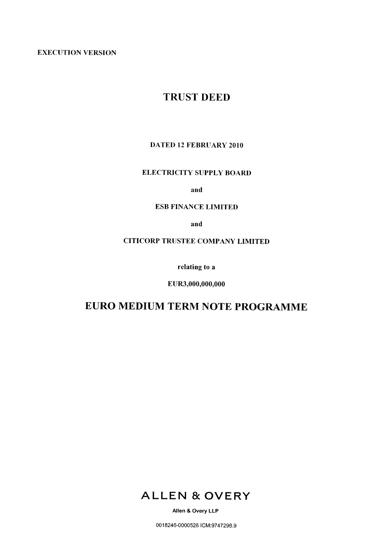**EXECUTION VERSION** 

# **TRUST DEED**

## **DATED 12 FEBRUARY 2010**

# **ELECTRICITY SUPPLY BOARD**

and

## **ESB FINANCE LIMITED**

and

# **CITICORP TRUSTEE COMPANY LIMITED**

relating to a

EUR3,000,000,000

# EURO MEDIUM TERM NOTE PROGRAMME



Allen & Overy LLP

0018246-0000526 ICM:9747298.9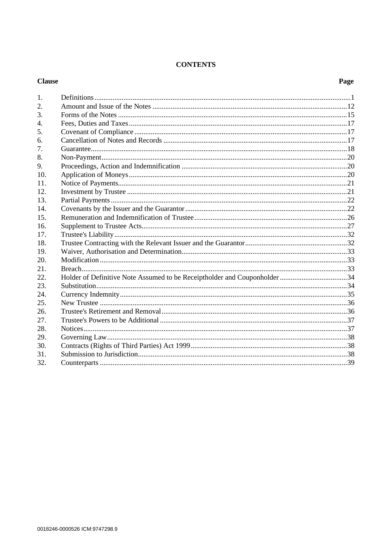# **CONTENTS**

#### **Clause**

# Page

| 1.  |                                                                           |  |
|-----|---------------------------------------------------------------------------|--|
| 2.  |                                                                           |  |
| 3.  |                                                                           |  |
| 4.  |                                                                           |  |
| 5.  |                                                                           |  |
| 6.  |                                                                           |  |
| 7.  |                                                                           |  |
| 8.  |                                                                           |  |
| 9.  |                                                                           |  |
| 10. |                                                                           |  |
| 11. |                                                                           |  |
| 12. |                                                                           |  |
| 13. |                                                                           |  |
| 14. |                                                                           |  |
| 15  |                                                                           |  |
| 16. |                                                                           |  |
| 17. |                                                                           |  |
| 18. |                                                                           |  |
| 19. |                                                                           |  |
| 20. |                                                                           |  |
| 21. |                                                                           |  |
| 22. | Holder of Definitive Note Assumed to be Receiptholder and Couponholder 34 |  |
| 23. |                                                                           |  |
| 24. |                                                                           |  |
| 25. |                                                                           |  |
| 26. |                                                                           |  |
| 27. |                                                                           |  |
| 28. |                                                                           |  |
| 29. |                                                                           |  |
| 30. |                                                                           |  |
| 31. |                                                                           |  |
| 32. |                                                                           |  |
|     |                                                                           |  |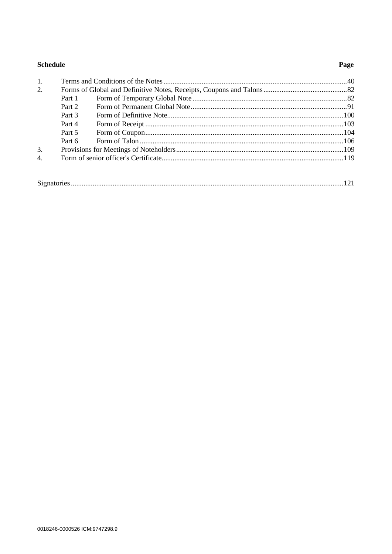# Schedule

# Page

| 1. |        |  |
|----|--------|--|
| 2. |        |  |
|    | Part 1 |  |
|    | Part 2 |  |
|    | Part 3 |  |
|    | Part 4 |  |
|    | Part 5 |  |
|    | Part 6 |  |
| 3. |        |  |
| 4. |        |  |
|    |        |  |
|    |        |  |

|--|--|--|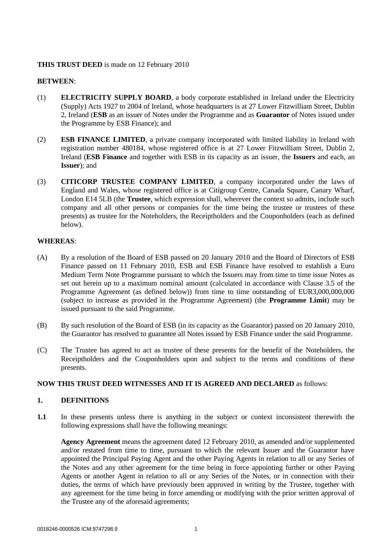#### **THIS TRUST DEED** is made on 12 February 2010

#### **BETWEEN**:

- (1) **ELECTRICITY SUPPLY BOARD**, a body corporate established in Ireland under the Electricity (Supply) Acts 1927 to 2004 of Ireland, whose headquarters is at 27 Lower Fitzwilliam Street, Dublin 2, Ireland (**ESB** as an issuer of Notes under the Programme and as **Guarantor** of Notes issued under the Programme by ESB Finance); and
- (2) **ESB FINANCE LIMITED**, a private company incorporated with limited liability in Ireland with registration number 480184, whose registered office is at 27 Lower Fitzwilliam Street, Dublin 2, Ireland (**ESB Finance** and together with ESB in its capacity as an issuer, the **Issuers** and each, an **Issuer**); and
- (3) **CITICORP TRUSTEE COMPANY LIMITED**, a company incorporated under the laws of England and Wales, whose registered office is at Citigroup Centre, Canada Square, Canary Wharf, London E14 5LB (the **Trustee**, which expression shall, wherever the context so admits, include such company and all other persons or companies for the time being the trustee or trustees of these presents) as trustee for the Noteholders, the Receiptholders and the Couponholders (each as defined below).

#### **WHEREAS**:

- (A) By a resolution of the Board of ESB passed on 20 January 2010 and the Board of Directors of ESB Finance passed on 11 February 2010, ESB and ESB Finance have resolved to establish a Euro Medium Term Note Programme pursuant to which the Issuers may from time to time issue Notes as set out herein up to a maximum nominal amount (calculated in accordance with Clause 3.5 of the Programme Agreement (as defined below)) from time to time outstanding of EUR3,000,000,000 (subject to increase as provided in the Programme Agreement) (the **Programme Limit**) may be issued pursuant to the said Programme.
- (B) By such resolution of the Board of ESB (in its capacity as the Guarantor) passed on 20 January 2010, the Guarantor has resolved to guarantee all Notes issued by ESB Finance under the said Programme.
- (C) The Trustee has agreed to act as trustee of these presents for the benefit of the Noteholders, the Receiptholders and the Couponholders upon and subject to the terms and conditions of these presents.

#### <span id="page-3-0"></span>**NOW THIS TRUST DEED WITNESSES AND IT IS AGREED AND DECLARED** as follows:

#### **1. DEFINITIONS**

**1.1** In these presents unless there is anything in the subject or context inconsistent therewith the following expressions shall have the following meanings:

**Agency Agreement** means the agreement dated 12 February 2010, as amended and/or supplemented and/or restated from time to time, pursuant to which the relevant Issuer and the Guarantor have appointed the Principal Paying Agent and the other Paying Agents in relation to all or any Series of the Notes and any other agreement for the time being in force appointing further or other Paying Agents or another Agent in relation to all or any Series of the Notes, or in connection with their duties, the terms of which have previously been approved in writing by the Trustee, together with any agreement for the time being in force amending or modifying with the prior written approval of the Trustee any of the aforesaid agreements;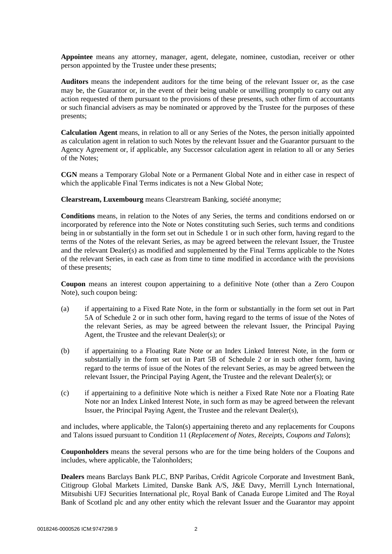**Appointee** means any attorney, manager, agent, delegate, nominee, custodian, receiver or other person appointed by the Trustee under these presents;

**Auditors** means the independent auditors for the time being of the relevant Issuer or, as the case may be, the Guarantor or, in the event of their being unable or unwilling promptly to carry out any action requested of them pursuant to the provisions of these presents, such other firm of accountants or such financial advisers as may be nominated or approved by the Trustee for the purposes of these presents;

**Calculation Agent** means, in relation to all or any Series of the Notes, the person initially appointed as calculation agent in relation to such Notes by the relevant Issuer and the Guarantor pursuant to the Agency Agreement or, if applicable, any Successor calculation agent in relation to all or any Series of the Notes;

**CGN** means a Temporary Global Note or a Permanent Global Note and in either case in respect of which the applicable Final Terms indicates is not a New Global Note;

**Clearstream, Luxembourg** means Clearstream Banking, société anonyme;

**Conditions** means, in relation to the Notes of any Series, the terms and conditions endorsed on or incorporated by reference into the Note or Notes constituting such Series, such terms and conditions being in or substantially in the form set out in [Schedule 1](#page-42-0) or in such other form, having regard to the terms of the Notes of the relevant Series, as may be agreed between the relevant Issuer, the Trustee and the relevant Dealer(s) as modified and supplemented by the Final Terms applicable to the Notes of the relevant Series, in each case as from time to time modified in accordance with the provisions of these presents;

**Coupon** means an interest coupon appertaining to a definitive Note (other than a Zero Coupon Note), such coupon being:

- (a) if appertaining to a Fixed Rate Note, in the form or substantially in the form set out in Part 5A of [Schedule 2](#page-84-0) or in such other form, having regard to the terms of issue of the Notes of the relevant Series, as may be agreed between the relevant Issuer, the Principal Paying Agent, the Trustee and the relevant Dealer(s); or
- (b) if appertaining to a Floating Rate Note or an Index Linked Interest Note, in the form or substantially in the form set out in Part 5B of [Schedule 2](#page-84-0) or in such other form, having regard to the terms of issue of the Notes of the relevant Series, as may be agreed between the relevant Issuer, the Principal Paying Agent, the Trustee and the relevant Dealer(s); or
- (c) if appertaining to a definitive Note which is neither a Fixed Rate Note nor a Floating Rate Note nor an Index Linked Interest Note, in such form as may be agreed between the relevant Issuer, the Principal Paying Agent, the Trustee and the relevant Dealer(s),

and includes, where applicable, the Talon(s) appertaining thereto and any replacements for Coupons and Talons issued pursuant to Condition 11 (*Replacement of Notes, Receipts, Coupons and Talons*);

**Couponholders** means the several persons who are for the time being holders of the Coupons and includes, where applicable, the Talonholders;

**Dealers** means Barclays Bank PLC, BNP Paribas, Crédit Agricole Corporate and Investment Bank, Citigroup Global Markets Limited, Danske Bank A/S, J&E Davy, Merrill Lynch International, Mitsubishi UFJ Securities International plc, Royal Bank of Canada Europe Limited and The Royal Bank of Scotland plc and any other entity which the relevant Issuer and the Guarantor may appoint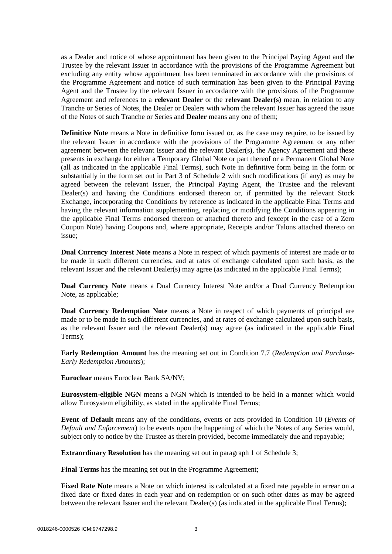as a Dealer and notice of whose appointment has been given to the Principal Paying Agent and the Trustee by the relevant Issuer in accordance with the provisions of the Programme Agreement but excluding any entity whose appointment has been terminated in accordance with the provisions of the Programme Agreement and notice of such termination has been given to the Principal Paying Agent and the Trustee by the relevant Issuer in accordance with the provisions of the Programme Agreement and references to a **relevant Dealer** or the **relevant Dealer(s)** mean, in relation to any Tranche or Series of Notes, the Dealer or Dealers with whom the relevant Issuer has agreed the issue of the Notes of such Tranche or Series and **Dealer** means any one of them;

**Definitive Note** means a Note in definitive form issued or, as the case may require, to be issued by the relevant Issuer in accordance with the provisions of the Programme Agreement or any other agreement between the relevant Issuer and the relevant Dealer(s), the Agency Agreement and these presents in exchange for either a Temporary Global Note or part thereof or a Permanent Global Note (all as indicated in the applicable Final Terms), such Note in definitive form being in the form or substantially in the form set out in [Part 3](#page-102-0) of [Schedule 2](#page-84-0) with such modifications (if any) as may be agreed between the relevant Issuer, the Principal Paying Agent, the Trustee and the relevant Dealer(s) and having the Conditions endorsed thereon or, if permitted by the relevant Stock Exchange, incorporating the Conditions by reference as indicated in the applicable Final Terms and having the relevant information supplementing, replacing or modifying the Conditions appearing in the applicable Final Terms endorsed thereon or attached thereto and (except in the case of a Zero Coupon Note) having Coupons and, where appropriate, Receipts and/or Talons attached thereto on issue;

**Dual Currency Interest Note** means a Note in respect of which payments of interest are made or to be made in such different currencies, and at rates of exchange calculated upon such basis, as the relevant Issuer and the relevant Dealer(s) may agree (as indicated in the applicable Final Terms);

**Dual Currency Note** means a Dual Currency Interest Note and/or a Dual Currency Redemption Note, as applicable;

**Dual Currency Redemption Note** means a Note in respect of which payments of principal are made or to be made in such different currencies, and at rates of exchange calculated upon such basis, as the relevant Issuer and the relevant Dealer(s) may agree (as indicated in the applicable Final Terms);

**Early Redemption Amount** has the meaning set out in Condition 7.7 (*Redemption and Purchase-Early Redemption Amounts*);

**Euroclear** means Euroclear Bank SA/NV;

**Eurosystem-eligible NGN** means a NGN which is intended to be held in a manner which would allow Eurosystem eligibility, as stated in the applicable Final Terms;

**Event of Default** means any of the conditions, events or acts provided in Condition 10 (*Events of Default and Enforcement*) to be events upon the happening of which the Notes of any Series would, subject only to notice by the Trustee as therein provided, become immediately due and repayable;

**Extraordinary Resolution** has the meaning set out in paragraph [1](#page-111-0) of [Schedule 3;](#page-111-1)

**Final Terms** has the meaning set out in the Programme Agreement;

**Fixed Rate Note** means a Note on which interest is calculated at a fixed rate payable in arrear on a fixed date or fixed dates in each year and on redemption or on such other dates as may be agreed between the relevant Issuer and the relevant Dealer(s) (as indicated in the applicable Final Terms);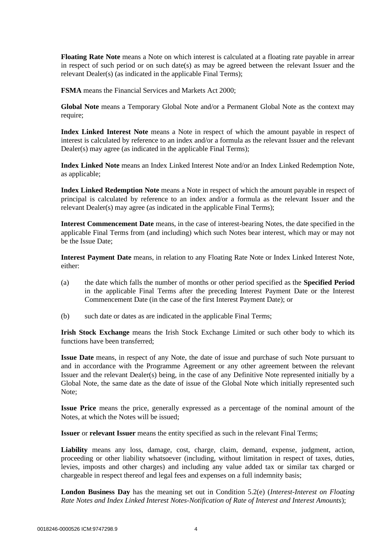**Floating Rate Note** means a Note on which interest is calculated at a floating rate payable in arrear in respect of such period or on such date(s) as may be agreed between the relevant Issuer and the relevant Dealer(s) (as indicated in the applicable Final Terms);

**FSMA** means the Financial Services and Markets Act 2000;

**Global Note** means a Temporary Global Note and/or a Permanent Global Note as the context may require;

**Index Linked Interest Note** means a Note in respect of which the amount payable in respect of interest is calculated by reference to an index and/or a formula as the relevant Issuer and the relevant Dealer(s) may agree (as indicated in the applicable Final Terms);

**Index Linked Note** means an Index Linked Interest Note and/or an Index Linked Redemption Note, as applicable;

**Index Linked Redemption Note** means a Note in respect of which the amount payable in respect of principal is calculated by reference to an index and/or a formula as the relevant Issuer and the relevant Dealer(s) may agree (as indicated in the applicable Final Terms);

**Interest Commencement Date** means, in the case of interest-bearing Notes, the date specified in the applicable Final Terms from (and including) which such Notes bear interest, which may or may not be the Issue Date;

**Interest Payment Date** means, in relation to any Floating Rate Note or Index Linked Interest Note, either:

- (a) the date which falls the number of months or other period specified as the **Specified Period** in the applicable Final Terms after the preceding Interest Payment Date or the Interest Commencement Date (in the case of the first Interest Payment Date); or
- (b) such date or dates as are indicated in the applicable Final Terms;

**Irish Stock Exchange** means the Irish Stock Exchange Limited or such other body to which its functions have been transferred;

**Issue Date** means, in respect of any Note, the date of issue and purchase of such Note pursuant to and in accordance with the Programme Agreement or any other agreement between the relevant Issuer and the relevant Dealer(s) being, in the case of any Definitive Note represented initially by a Global Note, the same date as the date of issue of the Global Note which initially represented such Note;

**Issue Price** means the price, generally expressed as a percentage of the nominal amount of the Notes, at which the Notes will be issued;

**Issuer** or **relevant Issuer** means the entity specified as such in the relevant Final Terms;

Liability means any loss, damage, cost, charge, claim, demand, expense, judgment, action, proceeding or other liability whatsoever (including, without limitation in respect of taxes, duties, levies, imposts and other charges) and including any value added tax or similar tax charged or chargeable in respect thereof and legal fees and expenses on a full indemnity basis;

**London Business Day** has the meaning set out in Condition 5.2(e) (*Interest-Interest on Floating Rate Notes and Index Linked Interest Notes-Notification of Rate of Interest and Interest Amounts*);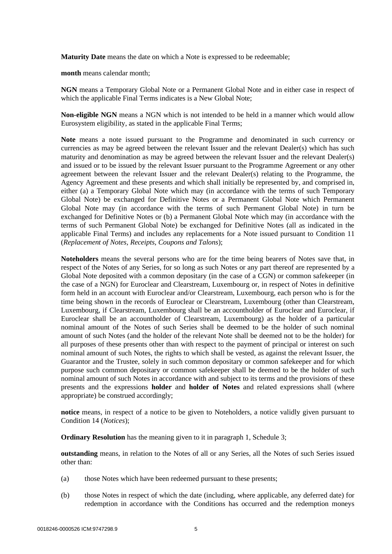**Maturity Date** means the date on which a Note is expressed to be redeemable;

**month** means calendar month;

**NGN** means a Temporary Global Note or a Permanent Global Note and in either case in respect of which the applicable Final Terms indicates is a New Global Note;

**Non-eligible NGN** means a NGN which is not intended to be held in a manner which would allow Eurosystem eligibility, as stated in the applicable Final Terms;

**Note** means a note issued pursuant to the Programme and denominated in such currency or currencies as may be agreed between the relevant Issuer and the relevant Dealer(s) which has such maturity and denomination as may be agreed between the relevant Issuer and the relevant Dealer(s) and issued or to be issued by the relevant Issuer pursuant to the Programme Agreement or any other agreement between the relevant Issuer and the relevant Dealer(s) relating to the Programme, the Agency Agreement and these presents and which shall initially be represented by, and comprised in, either (a) a Temporary Global Note which may (in accordance with the terms of such Temporary Global Note) be exchanged for Definitive Notes or a Permanent Global Note which Permanent Global Note may (in accordance with the terms of such Permanent Global Note) in turn be exchanged for Definitive Notes or (b) a Permanent Global Note which may (in accordance with the terms of such Permanent Global Note) be exchanged for Definitive Notes (all as indicated in the applicable Final Terms) and includes any replacements for a Note issued pursuant to Condition 11 (*Replacement of Notes, Receipts, Coupons and Talons*);

**Noteholders** means the several persons who are for the time being bearers of Notes save that, in respect of the Notes of any Series, for so long as such Notes or any part thereof are represented by a Global Note deposited with a common depositary (in the case of a CGN) or common safekeeper (in the case of a NGN) for Euroclear and Clearstream, Luxembourg or, in respect of Notes in definitive form held in an account with Euroclear and/or Clearstream, Luxembourg, each person who is for the time being shown in the records of Euroclear or Clearstream, Luxembourg (other than Clearstream, Luxembourg, if Clearstream, Luxembourg shall be an accountholder of Euroclear and Euroclear, if Euroclear shall be an accountholder of Clearstream, Luxembourg) as the holder of a particular nominal amount of the Notes of such Series shall be deemed to be the holder of such nominal amount of such Notes (and the holder of the relevant Note shall be deemed not to be the holder) for all purposes of these presents other than with respect to the payment of principal or interest on such nominal amount of such Notes, the rights to which shall be vested, as against the relevant Issuer, the Guarantor and the Trustee, solely in such common depositary or common safekeeper and for which purpose such common depositary or common safekeeper shall be deemed to be the holder of such nominal amount of such Notes in accordance with and subject to its terms and the provisions of these presents and the expressions **holder** and **holder of Notes** and related expressions shall (where appropriate) be construed accordingly;

**notice** means, in respect of a notice to be given to Noteholders, a notice validly given pursuant to Condition 14 (*Notices*);

**Ordinary Resolution** has the meaning given to it in paragraph [1,](#page-111-0) [Schedule 3;](#page-111-1)

**outstanding** means, in relation to the Notes of all or any Series, all the Notes of such Series issued other than:

- (a) those Notes which have been redeemed pursuant to these presents;
- (b) those Notes in respect of which the date (including, where applicable, any deferred date) for redemption in accordance with the Conditions has occurred and the redemption moneys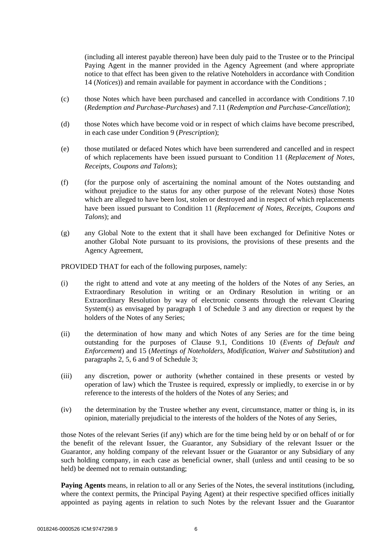(including all interest payable thereon) have been duly paid to the Trustee or to the Principal Paying Agent in the manner provided in the Agency Agreement (and where appropriate notice to that effect has been given to the relative Noteholders in accordance with Condition 14 (*Notices*)) and remain available for payment in accordance with the Conditions ;

- (c) those Notes which have been purchased and cancelled in accordance with Conditions 7.10 (*Redemption and Purchase-Purchases*) and 7.11 (*Redemption and Purchase-Cancellation*);
- (d) those Notes which have become void or in respect of which claims have become prescribed, in each case under Condition 9 (*Prescription*);
- (e) those mutilated or defaced Notes which have been surrendered and cancelled and in respect of which replacements have been issued pursuant to Condition 11 (*Replacement of Notes, Receipts, Coupons and Talons*);
- (f) (for the purpose only of ascertaining the nominal amount of the Notes outstanding and without prejudice to the status for any other purpose of the relevant Notes) those Notes which are alleged to have been lost, stolen or destroyed and in respect of which replacements have been issued pursuant to Condition 11 (*Replacement of Notes, Receipts, Coupons and Talons*); and
- (g) any Global Note to the extent that it shall have been exchanged for Definitive Notes or another Global Note pursuant to its provisions, the provisions of these presents and the Agency Agreement,

PROVIDED THAT for each of the following purposes, namely:

- (i) the right to attend and vote at any meeting of the holders of the Notes of any Series, an Extraordinary Resolution in writing or an Ordinary Resolution in writing or an Extraordinary Resolution by way of electronic consents through the relevant Clearing System(s) as envisaged by paragraph [1](#page-111-0) of [Schedule 3](#page-111-1) and any direction or request by the holders of the Notes of any Series;
- (ii) the determination of how many and which Notes of any Series are for the time being outstanding for the purposes of Clause [9.1,](#page-22-0) Conditions 10 (*Events of Default and Enforcement*) and 15 (*Meetings of Noteholders, Modification, Waiver and Substitution*) and paragraphs [2,](#page-113-0) [5,](#page-115-0) [6](#page-116-0) and [9](#page-117-0) o[f Schedule 3;](#page-111-1)
- (iii) any discretion, power or authority (whether contained in these presents or vested by operation of law) which the Trustee is required, expressly or impliedly, to exercise in or by reference to the interests of the holders of the Notes of any Series; and
- (iv) the determination by the Trustee whether any event, circumstance, matter or thing is, in its opinion, materially prejudicial to the interests of the holders of the Notes of any Series,

those Notes of the relevant Series (if any) which are for the time being held by or on behalf of or for the benefit of the relevant Issuer, the Guarantor, any Subsidiary of the relevant Issuer or the Guarantor, any holding company of the relevant Issuer or the Guarantor or any Subsidiary of any such holding company, in each case as beneficial owner, shall (unless and until ceasing to be so held) be deemed not to remain outstanding;

**Paying Agents** means, in relation to all or any Series of the Notes, the several institutions (including, where the context permits, the Principal Paying Agent) at their respective specified offices initially appointed as paying agents in relation to such Notes by the relevant Issuer and the Guarantor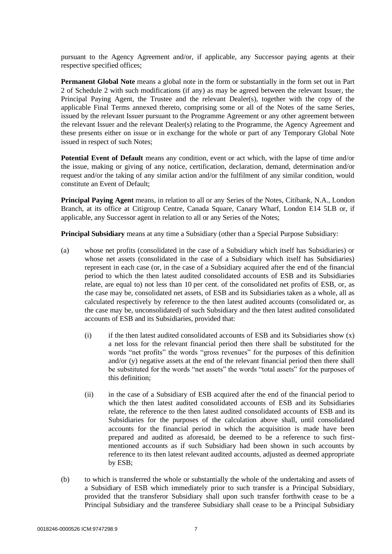pursuant to the Agency Agreement and/or, if applicable, any Successor paying agents at their respective specified offices;

**Permanent Global Note** means a global note in the form or substantially in the form set out in [Part](#page-93-0)  [2](#page-93-0) of [Schedule 2](#page-84-0) with such modifications (if any) as may be agreed between the relevant Issuer, the Principal Paying Agent, the Trustee and the relevant Dealer(s), together with the copy of the applicable Final Terms annexed thereto, comprising some or all of the Notes of the same Series, issued by the relevant Issuer pursuant to the Programme Agreement or any other agreement between the relevant Issuer and the relevant Dealer(s) relating to the Programme, the Agency Agreement and these presents either on issue or in exchange for the whole or part of any Temporary Global Note issued in respect of such Notes;

**Potential Event of Default** means any condition, event or act which, with the lapse of time and/or the issue, making or giving of any notice, certification, declaration, demand, determination and/or request and/or the taking of any similar action and/or the fulfilment of any similar condition, would constitute an Event of Default;

**Principal Paying Agent** means, in relation to all or any Series of the Notes, Citibank, N.A., London Branch, at its office at Citigroup Centre, Canada Square, Canary Wharf, London E14 5LB or, if applicable, any Successor agent in relation to all or any Series of the Notes;

<span id="page-9-1"></span>**Principal Subsidiary** means at any time a Subsidiary (other than a Special Purpose Subsidiary:

- (a) whose net profits (consolidated in the case of a Subsidiary which itself has Subsidiaries) or whose net assets (consolidated in the case of a Subsidiary which itself has Subsidiaries) represent in each case (or, in the case of a Subsidiary acquired after the end of the financial period to which the then latest audited consolidated accounts of ESB and its Subsidiaries relate, are equal to) not less than 10 per cent. of the consolidated net profits of ESB, or, as the case may be, consolidated net assets, of ESB and its Subsidiaries taken as a whole, all as calculated respectively by reference to the then latest audited accounts (consolidated or, as the case may be, unconsolidated) of such Subsidiary and the then latest audited consolidated accounts of ESB and its Subsidiaries, provided that:
	- $(i)$  if the then latest audited consolidated accounts of ESB and its Subsidiaries show  $(x)$ a net loss for the relevant financial period then there shall be substituted for the words "net profits" the words "gross revenues" for the purposes of this definition and/or (y) negative assets at the end of the relevant financial period then there shall be substituted for the words "net assets" the words "total assets" for the purposes of this definition;
	- (ii) in the case of a Subsidiary of ESB acquired after the end of the financial period to which the then latest audited consolidated accounts of ESB and its Subsidiaries relate, the reference to the then latest audited consolidated accounts of ESB and its Subsidiaries for the purposes of the calculation above shall, until consolidated accounts for the financial period in which the acquisition is made have been prepared and audited as aforesaid, be deemed to be a reference to such firstmentioned accounts as if such Subsidiary had been shown in such accounts by reference to its then latest relevant audited accounts, adjusted as deemed appropriate by ESB;
- <span id="page-9-0"></span>(b) to which is transferred the whole or substantially the whole of the undertaking and assets of a Subsidiary of ESB which immediately prior to such transfer is a Principal Subsidiary, provided that the transferor Subsidiary shall upon such transfer forthwith cease to be a Principal Subsidiary and the transferee Subsidiary shall cease to be a Principal Subsidiary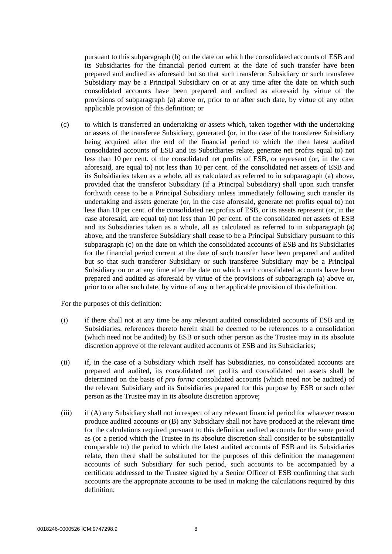pursuant to this subparagraph [\(b\)](#page-9-0) on the date on which the consolidated accounts of ESB and its Subsidiaries for the financial period current at the date of such transfer have been prepared and audited as aforesaid but so that such transferor Subsidiary or such transferee Subsidiary may be a Principal Subsidiary on or at any time after the date on which such consolidated accounts have been prepared and audited as aforesaid by virtue of the provisions of subparagraph [\(a\) above](#page-9-1) or, prior to or after such date, by virtue of any other applicable provision of this definition; or

<span id="page-10-0"></span>(c) to which is transferred an undertaking or assets which, taken together with the undertaking or assets of the transferee Subsidiary, generated (or, in the case of the transferee Subsidiary being acquired after the end of the financial period to which the then latest audited consolidated accounts of ESB and its Subsidiaries relate, generate net profits equal to) not less than 10 per cent. of the consolidated net profits of ESB, or represent (or, in the case aforesaid, are equal to) not less than 10 per cent. of the consolidated net assets of ESB and its Subsidiaries taken as a whole, all as calculated as referred to in subparagraph [\(a\) above,](#page-9-1) provided that the transferor Subsidiary (if a Principal Subsidiary) shall upon such transfer forthwith cease to be a Principal Subsidiary unless immediately following such transfer its undertaking and assets generate (or, in the case aforesaid, generate net profits equal to) not less than 10 per cent. of the consolidated net profits of ESB, or its assets represent (or, in the case aforesaid, are equal to) not less than 10 per cent. of the consolidated net assets of ESB and its Subsidiaries taken as a whole, all as calculated as referred to in subparagraph [\(a\)](#page-9-1)  [above,](#page-9-1) and the transferee Subsidiary shall cease to be a Principal Subsidiary pursuant to this subparagraph [\(c\)](#page-10-0) on the date on which the consolidated accounts of ESB and its Subsidiaries for the financial period current at the date of such transfer have been prepared and audited but so that such transferor Subsidiary or such transferee Subsidiary may be a Principal Subsidiary on or at any time after the date on which such consolidated accounts have been prepared and audited as aforesaid by virtue of the provisions of subparagraph [\(a\) above](#page-9-1) or, prior to or after such date, by virtue of any other applicable provision of this definition.

For the purposes of this definition:

- (i) if there shall not at any time be any relevant audited consolidated accounts of ESB and its Subsidiaries, references thereto herein shall be deemed to be references to a consolidation (which need not be audited) by ESB or such other person as the Trustee may in its absolute discretion approve of the relevant audited accounts of ESB and its Subsidiaries;
- (ii) if, in the case of a Subsidiary which itself has Subsidiaries, no consolidated accounts are prepared and audited, its consolidated net profits and consolidated net assets shall be determined on the basis of *pro forma* consolidated accounts (which need not be audited) of the relevant Subsidiary and its Subsidiaries prepared for this purpose by ESB or such other person as the Trustee may in its absolute discretion approve;
- (iii) if (A) any Subsidiary shall not in respect of any relevant financial period for whatever reason produce audited accounts or (B) any Subsidiary shall not have produced at the relevant time for the calculations required pursuant to this definition audited accounts for the same period as (or a period which the Trustee in its absolute discretion shall consider to be substantially comparable to) the period to which the latest audited accounts of ESB and its Subsidiaries relate, then there shall be substituted for the purposes of this definition the management accounts of such Subsidiary for such period, such accounts to be accompanied by a certificate addressed to the Trustee signed by a Senior Officer of ESB confirming that such accounts are the appropriate accounts to be used in making the calculations required by this definition;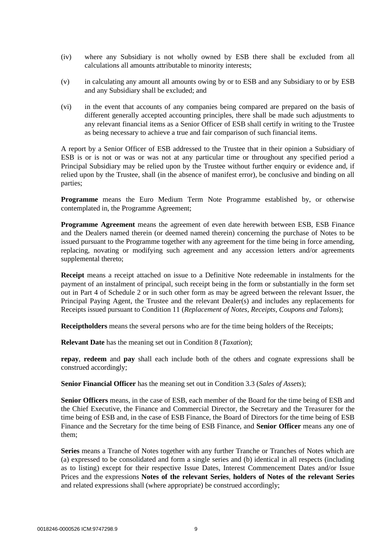- (iv) where any Subsidiary is not wholly owned by ESB there shall be excluded from all calculations all amounts attributable to minority interests;
- (v) in calculating any amount all amounts owing by or to ESB and any Subsidiary to or by ESB and any Subsidiary shall be excluded; and
- (vi) in the event that accounts of any companies being compared are prepared on the basis of different generally accepted accounting principles, there shall be made such adjustments to any relevant financial items as a Senior Officer of ESB shall certify in writing to the Trustee as being necessary to achieve a true and fair comparison of such financial items.

A report by a Senior Officer of ESB addressed to the Trustee that in their opinion a Subsidiary of ESB is or is not or was or was not at any particular time or throughout any specified period a Principal Subsidiary may be relied upon by the Trustee without further enquiry or evidence and, if relied upon by the Trustee, shall (in the absence of manifest error), be conclusive and binding on all parties;

**Programme** means the Euro Medium Term Note Programme established by, or otherwise contemplated in, the Programme Agreement;

**Programme Agreement** means the agreement of even date herewith between ESB, ESB Finance and the Dealers named therein (or deemed named therein) concerning the purchase of Notes to be issued pursuant to the Programme together with any agreement for the time being in force amending, replacing, novating or modifying such agreement and any accession letters and/or agreements supplemental thereto;

**Receipt** means a receipt attached on issue to a Definitive Note redeemable in instalments for the payment of an instalment of principal, such receipt being in the form or substantially in the form set out in [Part 4](#page-105-0) of [Schedule 2](#page-84-0) or in such other form as may be agreed between the relevant Issuer, the Principal Paying Agent, the Trustee and the relevant Dealer(s) and includes any replacements for Receipts issued pursuant to Condition 11 (*Replacement of Notes, Receipts, Coupons and Talons*);

**Receiptholders** means the several persons who are for the time being holders of the Receipts;

**Relevant Date** has the meaning set out in Condition 8 (*Taxation*);

**repay**, **redeem** and **pay** shall each include both of the others and cognate expressions shall be construed accordingly;

**Senior Financial Officer** has the meaning set out in Condition 3.3 (*Sales of Assets*);

**Senior Officers** means, in the case of ESB, each member of the Board for the time being of ESB and the Chief Executive, the Finance and Commercial Director, the Secretary and the Treasurer for the time being of ESB and, in the case of ESB Finance, the Board of Directors for the time being of ESB Finance and the Secretary for the time being of ESB Finance, and **Senior Officer** means any one of them;

**Series** means a Tranche of Notes together with any further Tranche or Tranches of Notes which are (a) expressed to be consolidated and form a single series and (b) identical in all respects (including as to listing) except for their respective Issue Dates, Interest Commencement Dates and/or Issue Prices and the expressions **Notes of the relevant Series**, **holders of Notes of the relevant Series** and related expressions shall (where appropriate) be construed accordingly;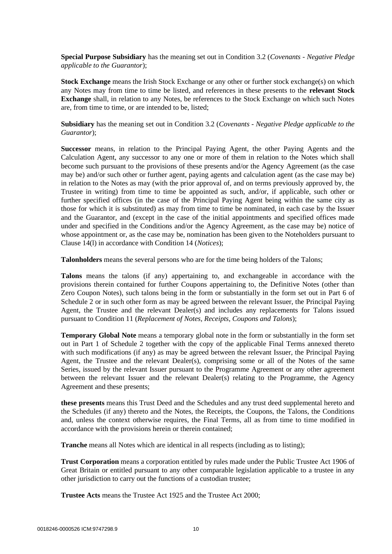**Special Purpose Subsidiary** has the meaning set out in Condition 3.2 (*Covenants - Negative Pledge applicable to the Guarantor*);

**Stock Exchange** means the Irish Stock Exchange or any other or further stock exchange(s) on which any Notes may from time to time be listed, and references in these presents to the **relevant Stock Exchange** shall, in relation to any Notes, be references to the Stock Exchange on which such Notes are, from time to time, or are intended to be, listed;

**Subsidiary** has the meaning set out in Condition 3.2 (*Covenants - Negative Pledge applicable to the Guarantor*);

**Successor** means, in relation to the Principal Paying Agent, the other Paying Agents and the Calculation Agent, any successor to any one or more of them in relation to the Notes which shall become such pursuant to the provisions of these presents and/or the Agency Agreement (as the case may be) and/or such other or further agent, paying agents and calculation agent (as the case may be) in relation to the Notes as may (with the prior approval of, and on terms previously approved by, the Trustee in writing) from time to time be appointed as such, and/or, if applicable, such other or further specified offices (in the case of the Principal Paying Agent being within the same city as those for which it is substituted) as may from time to time be nominated, in each case by the Issuer and the Guarantor, and (except in the case of the initial appointments and specified offices made under and specified in the Conditions and/or the Agency Agreement, as the case may be) notice of whose appointment or, as the case may be, nomination has been given to the Noteholders pursuant to Clause [14\(l\)](#page-25-0) in accordance with Condition 14 (*Notices*);

**Talonholders** means the several persons who are for the time being holders of the Talons;

**Talons** means the talons (if any) appertaining to, and exchangeable in accordance with the provisions therein contained for further Coupons appertaining to, the Definitive Notes (other than Zero Coupon Notes), such talons being in the form or substantially in the form set out in [Part 6](#page-108-0) of [Schedule 2](#page-84-0) or in such other form as may be agreed between the relevant Issuer, the Principal Paying Agent, the Trustee and the relevant Dealer(s) and includes any replacements for Talons issued pursuant to Condition 11 (*Replacement of Notes, Receipts, Coupons and Talons*);

**Temporary Global Note** means a temporary global note in the form or substantially in the form set out in [Part 1](#page-84-1) of [Schedule 2](#page-84-0) together with the copy of the applicable Final Terms annexed thereto with such modifications (if any) as may be agreed between the relevant Issuer, the Principal Paying Agent, the Trustee and the relevant Dealer(s), comprising some or all of the Notes of the same Series, issued by the relevant Issuer pursuant to the Programme Agreement or any other agreement between the relevant Issuer and the relevant Dealer(s) relating to the Programme, the Agency Agreement and these presents;

**these presents** means this Trust Deed and the Schedules and any trust deed supplemental hereto and the Schedules (if any) thereto and the Notes, the Receipts, the Coupons, the Talons, the Conditions and, unless the context otherwise requires, the Final Terms, all as from time to time modified in accordance with the provisions herein or therein contained;

**Tranche** means all Notes which are identical in all respects (including as to listing);

**Trust Corporation** means a corporation entitled by rules made under the Public Trustee Act 1906 of Great Britain or entitled pursuant to any other comparable legislation applicable to a trustee in any other jurisdiction to carry out the functions of a custodian trustee;

**Trustee Acts** means the Trustee Act 1925 and the Trustee Act 2000;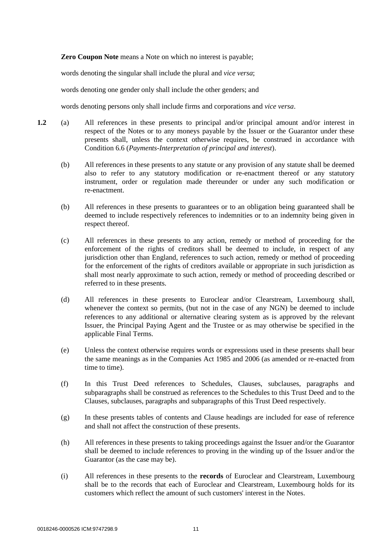**Zero Coupon Note** means a Note on which no interest is payable;

words denoting the singular shall include the plural and *vice versa*;

words denoting one gender only shall include the other genders; and

words denoting persons only shall include firms and corporations and *vice versa*.

- **1.2** (a) All references in these presents to principal and/or principal amount and/or interest in respect of the Notes or to any moneys payable by the Issuer or the Guarantor under these presents shall, unless the context otherwise requires, be construed in accordance with Condition 6.6 (*Payments-Interpretation of principal and interest*).
	- (b) All references in these presents to any statute or any provision of any statute shall be deemed also to refer to any statutory modification or re-enactment thereof or any statutory instrument, order or regulation made thereunder or under any such modification or re-enactment.
	- (b) All references in these presents to guarantees or to an obligation being guaranteed shall be deemed to include respectively references to indemnities or to an indemnity being given in respect thereof.
	- (c) All references in these presents to any action, remedy or method of proceeding for the enforcement of the rights of creditors shall be deemed to include, in respect of any jurisdiction other than England, references to such action, remedy or method of proceeding for the enforcement of the rights of creditors available or appropriate in such jurisdiction as shall most nearly approximate to such action, remedy or method of proceeding described or referred to in these presents.
	- (d) All references in these presents to Euroclear and/or Clearstream, Luxembourg shall, whenever the context so permits, (but not in the case of any NGN) be deemed to include references to any additional or alternative clearing system as is approved by the relevant Issuer, the Principal Paying Agent and the Trustee or as may otherwise be specified in the applicable Final Terms.
	- (e) Unless the context otherwise requires words or expressions used in these presents shall bear the same meanings as in the Companies Act 1985 and 2006 (as amended or re-enacted from time to time).
	- (f) In this Trust Deed references to Schedules, Clauses, subclauses, paragraphs and subparagraphs shall be construed as references to the Schedules to this Trust Deed and to the Clauses, subclauses, paragraphs and subparagraphs of this Trust Deed respectively.
	- (g) In these presents tables of contents and Clause headings are included for ease of reference and shall not affect the construction of these presents.
	- (h) All references in these presents to taking proceedings against the Issuer and/or the Guarantor shall be deemed to include references to proving in the winding up of the Issuer and/or the Guarantor (as the case may be).
	- (i) All references in these presents to the **records** of Euroclear and Clearstream, Luxembourg shall be to the records that each of Euroclear and Clearstream, Luxembourg holds for its customers which reflect the amount of such customers' interest in the Notes.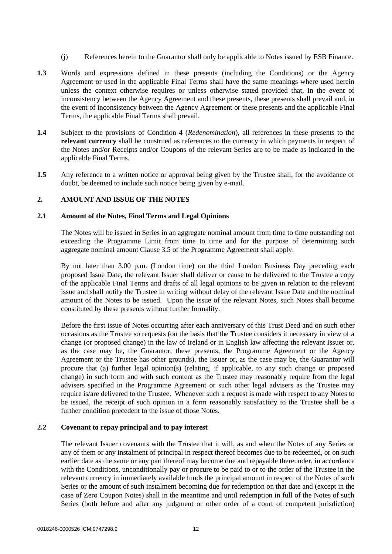- (j) References herein to the Guarantor shall only be applicable to Notes issued by ESB Finance.
- **1.3** Words and expressions defined in these presents (including the Conditions) or the Agency Agreement or used in the applicable Final Terms shall have the same meanings where used herein unless the context otherwise requires or unless otherwise stated provided that, in the event of inconsistency between the Agency Agreement and these presents, these presents shall prevail and, in the event of inconsistency between the Agency Agreement or these presents and the applicable Final Terms, the applicable Final Terms shall prevail.
- **1.4** Subject to the provisions of Condition 4 (*Redenomination*), all references in these presents to the **relevant currency** shall be construed as references to the currency in which payments in respect of the Notes and/or Receipts and/or Coupons of the relevant Series are to be made as indicated in the applicable Final Terms.
- **1.5** Any reference to a written notice or approval being given by the Trustee shall, for the avoidance of doubt, be deemed to include such notice being given by e-mail.

#### **2. AMOUNT AND ISSUE OF THE NOTES**

#### **2.1 Amount of the Notes, Final Terms and Legal Opinions**

The Notes will be issued in Series in an aggregate nominal amount from time to time outstanding not exceeding the Programme Limit from time to time and for the purpose of determining such aggregate nominal amount Clause 3.5 of the Programme Agreement shall apply.

By not later than 3.00 p.m. (London time) on the third London Business Day preceding each proposed Issue Date, the relevant Issuer shall deliver or cause to be delivered to the Trustee a copy of the applicable Final Terms and drafts of all legal opinions to be given in relation to the relevant issue and shall notify the Trustee in writing without delay of the relevant Issue Date and the nominal amount of the Notes to be issued. Upon the issue of the relevant Notes, such Notes shall become constituted by these presents without further formality.

Before the first issue of Notes occurring after each anniversary of this Trust Deed and on such other occasions as the Trustee so requests (on the basis that the Trustee considers it necessary in view of a change (or proposed change) in the law of Ireland or in English law affecting the relevant Issuer or, as the case may be, the Guarantor, these presents, the Programme Agreement or the Agency Agreement or the Trustee has other grounds), the Issuer or, as the case may be, the Guarantor will procure that (a) further legal opinion(s) (relating, if applicable, to any such change or proposed change) in such form and with such content as the Trustee may reasonably require from the legal advisers specified in the Programme Agreement or such other legal advisers as the Trustee may require is/are delivered to the Trustee. Whenever such a request is made with respect to any Notes to be issued, the receipt of such opinion in a form reasonably satisfactory to the Trustee shall be a further condition precedent to the issue of those Notes.

#### **2.2 Covenant to repay principal and to pay interest**

The relevant Issuer covenants with the Trustee that it will, as and when the Notes of any Series or any of them or any instalment of principal in respect thereof becomes due to be redeemed, or on such earlier date as the same or any part thereof may become due and repayable thereunder, in accordance with the Conditions, unconditionally pay or procure to be paid to or to the order of the Trustee in the relevant currency in immediately available funds the principal amount in respect of the Notes of such Series or the amount of such instalment becoming due for redemption on that date and (except in the case of Zero Coupon Notes) shall in the meantime and until redemption in full of the Notes of such Series (both before and after any judgment or other order of a court of competent jurisdiction)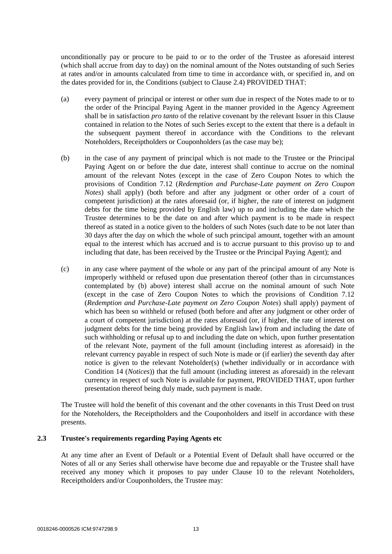unconditionally pay or procure to be paid to or to the order of the Trustee as aforesaid interest (which shall accrue from day to day) on the nominal amount of the Notes outstanding of such Series at rates and/or in amounts calculated from time to time in accordance with, or specified in, and on the dates provided for in, the Conditions (subject to Clause [2.4\)](#page-16-0) PROVIDED THAT:

- (a) every payment of principal or interest or other sum due in respect of the Notes made to or to the order of the Principal Paying Agent in the manner provided in the Agency Agreement shall be in satisfaction *pro tanto* of the relative covenant by the relevant Issuer in this Clause contained in relation to the Notes of such Series except to the extent that there is a default in the subsequent payment thereof in accordance with the Conditions to the relevant Noteholders, Receiptholders or Couponholders (as the case may be);
- <span id="page-15-0"></span>(b) in the case of any payment of principal which is not made to the Trustee or the Principal Paying Agent on or before the due date, interest shall continue to accrue on the nominal amount of the relevant Notes (except in the case of Zero Coupon Notes to which the provisions of Condition 7.12 (*Redemption and Purchase-Late payment on Zero Coupon Notes*) shall apply) (both before and after any judgment or other order of a court of competent jurisdiction) at the rates aforesaid (or, if higher, the rate of interest on judgment debts for the time being provided by English law) up to and including the date which the Trustee determines to be the date on and after which payment is to be made in respect thereof as stated in a notice given to the holders of such Notes (such date to be not later than 30 days after the day on which the whole of such principal amount, together with an amount equal to the interest which has accrued and is to accrue pursuant to this proviso up to and including that date, has been received by the Trustee or the Principal Paying Agent); and
- (c) in any case where payment of the whole or any part of the principal amount of any Note is improperly withheld or refused upon due presentation thereof (other than in circumstances contemplated by [\(b\) above\)](#page-15-0) interest shall accrue on the nominal amount of such Note (except in the case of Zero Coupon Notes to which the provisions of Condition 7.12 (*Redemption and Purchase-Late payment on Zero Coupon Notes*) shall apply) payment of which has been so withheld or refused (both before and after any judgment or other order of a court of competent jurisdiction) at the rates aforesaid (or, if higher, the rate of interest on judgment debts for the time being provided by English law) from and including the date of such withholding or refusal up to and including the date on which, upon further presentation of the relevant Note, payment of the full amount (including interest as aforesaid) in the relevant currency payable in respect of such Note is made or (if earlier) the seventh day after notice is given to the relevant Noteholder(s) (whether individually or in accordance with Condition 14 (*Notices*)) that the full amount (including interest as aforesaid) in the relevant currency in respect of such Note is available for payment, PROVIDED THAT, upon further presentation thereof being duly made, such payment is made.

The Trustee will hold the benefit of this covenant and the other covenants in this Trust Deed on trust for the Noteholders, the Receiptholders and the Couponholders and itself in accordance with these presents.

#### **2.3 Trustee's requirements regarding Paying Agents etc**

At any time after an Event of Default or a Potential Event of Default shall have occurred or the Notes of all or any Series shall otherwise have become due and repayable or the Trustee shall have received any money which it proposes to pay under Clause 10 to the relevant Noteholders, Receiptholders and/or Couponholders, the Trustee may: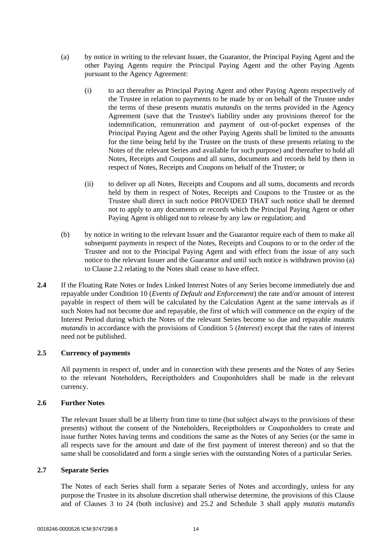- <span id="page-16-1"></span>(a) by notice in writing to the relevant Issuer, the Guarantor, the Principal Paying Agent and the other Paying Agents require the Principal Paying Agent and the other Paying Agents pursuant to the Agency Agreement:
	- (i) to act thereafter as Principal Paying Agent and other Paying Agents respectively of the Trustee in relation to payments to be made by or on behalf of the Trustee under the terms of these presents *mutatis mutandis* on the terms provided in the Agency Agreement (save that the Trustee's liability under any provisions thereof for the indemnification, remuneration and payment of out-of-pocket expenses of the Principal Paying Agent and the other Paying Agents shall be limited to the amounts for the time being held by the Trustee on the trusts of these presents relating to the Notes of the relevant Series and available for such purpose) and thereafter to hold all Notes, Receipts and Coupons and all sums, documents and records held by them in respect of Notes, Receipts and Coupons on behalf of the Trustee; or
	- (ii) to deliver up all Notes, Receipts and Coupons and all sums, documents and records held by them in respect of Notes, Receipts and Coupons to the Trustee or as the Trustee shall direct in such notice PROVIDED THAT such notice shall be deemed not to apply to any documents or records which the Principal Paying Agent or other Paying Agent is obliged not to release by any law or regulation; and
- (b) by notice in writing to the relevant Issuer and the Guarantor require each of them to make all subsequent payments in respect of the Notes, Receipts and Coupons to or to the order of the Trustee and not to the Principal Paying Agent and with effect from the issue of any such notice to the relevant Issuer and the Guarantor and until such notice is withdrawn proviso (a) to Clause 2.2 relating to the Notes shall cease to have effect.
- <span id="page-16-0"></span>**2.4** If the Floating Rate Notes or Index Linked Interest Notes of any Series become immediately due and repayable under Condition 10 (*Events of Default and Enforcement*) the rate and/or amount of interest payable in respect of them will be calculated by the Calculation Agent at the same intervals as if such Notes had not become due and repayable, the first of which will commence on the expiry of the Interest Period during which the Notes of the relevant Series become so due and repayable *mutatis mutandis* in accordance with the provisions of Condition 5 (*Interest*) except that the rates of interest need not be published.

#### **2.5 Currency of payments**

All payments in respect of, under and in connection with these presents and the Notes of any Series to the relevant Noteholders, Receiptholders and Couponholders shall be made in the relevant currency.

#### **2.6 Further Notes**

The relevant Issuer shall be at liberty from time to time (but subject always to the provisions of these presents) without the consent of the Noteholders, Receiptholders or Couponholders to create and issue further Notes having terms and conditions the same as the Notes of any Series (or the same in all respects save for the amount and date of the first payment of interest thereon) and so that the same shall be consolidated and form a single series with the outstanding Notes of a particular Series.

#### **2.7 Separate Series**

The Notes of each Series shall form a separate Series of Notes and accordingly, unless for any purpose the Trustee in its absolute discretion shall otherwise determine, the provisions of this Clause and of Clauses [3](#page-17-0) to [24](#page-37-0) (both inclusive) and [25.2](#page-38-0) and [Schedule 3](#page-111-1) shall apply *mutatis mutandis*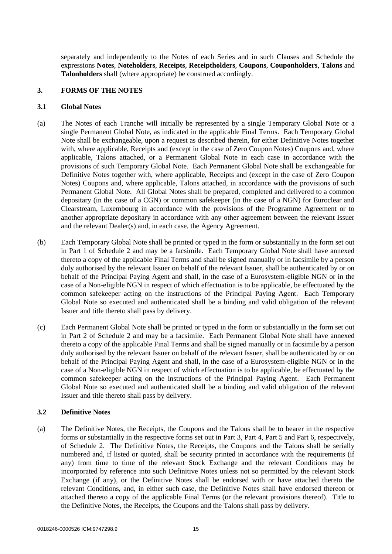separately and independently to the Notes of each Series and in such Clauses and Schedule the expressions **Notes**, **Noteholders**, **Receipts**, **Receiptholders**, **Coupons**, **Couponholders**, **Talons** and **Talonholders** shall (where appropriate) be construed accordingly.

#### <span id="page-17-0"></span>**3. FORMS OF THE NOTES**

#### **3.1 Global Notes**

- (a) The Notes of each Tranche will initially be represented by a single Temporary Global Note or a single Permanent Global Note, as indicated in the applicable Final Terms. Each Temporary Global Note shall be exchangeable, upon a request as described therein, for either Definitive Notes together with, where applicable, Receipts and (except in the case of Zero Coupon Notes) Coupons and, where applicable, Talons attached, or a Permanent Global Note in each case in accordance with the provisions of such Temporary Global Note. Each Permanent Global Note shall be exchangeable for Definitive Notes together with, where applicable, Receipts and (except in the case of Zero Coupon Notes) Coupons and, where applicable, Talons attached, in accordance with the provisions of such Permanent Global Note. All Global Notes shall be prepared, completed and delivered to a common depositary (in the case of a CGN) or common safekeeper (in the case of a NGN) for Euroclear and Clearstream, Luxembourg in accordance with the provisions of the Programme Agreement or to another appropriate depositary in accordance with any other agreement between the relevant Issuer and the relevant Dealer(s) and, in each case, the Agency Agreement.
- (b) Each Temporary Global Note shall be printed or typed in the form or substantially in the form set out in [Part 1](#page-84-1) of [Schedule 2](#page-84-0) and may be a facsimile. Each Temporary Global Note shall have annexed thereto a copy of the applicable Final Terms and shall be signed manually or in facsimile by a person duly authorised by the relevant Issuer on behalf of the relevant Issuer, shall be authenticated by or on behalf of the Principal Paying Agent and shall, in the case of a Eurosystem-eligible NGN or in the case of a Non-eligible NGN in respect of which effectuation is to be applicable, be effectuated by the common safekeeper acting on the instructions of the Principal Paying Agent. Each Temporary Global Note so executed and authenticated shall be a binding and valid obligation of the relevant Issuer and title thereto shall pass by delivery.
- (c) Each Permanent Global Note shall be printed or typed in the form or substantially in the form set out in [Part 2](#page-93-0) of [Schedule 2](#page-84-0) and may be a facsimile. Each Permanent Global Note shall have annexed thereto a copy of the applicable Final Terms and shall be signed manually or in facsimile by a person duly authorised by the relevant Issuer on behalf of the relevant Issuer, shall be authenticated by or on behalf of the Principal Paying Agent and shall, in the case of a Eurosystem-eligible NGN or in the case of a Non-eligible NGN in respect of which effectuation is to be applicable, be effectuated by the common safekeeper acting on the instructions of the Principal Paying Agent. Each Permanent Global Note so executed and authenticated shall be a binding and valid obligation of the relevant Issuer and title thereto shall pass by delivery.

#### **3.2 Definitive Notes**

(a) The Definitive Notes, the Receipts, the Coupons and the Talons shall be to bearer in the respective forms or substantially in the respective forms set out in [Part 3,](#page-102-0) [Part 4,](#page-105-0) [Part 5](#page-106-0) and [Part 6,](#page-108-0) respectively, of [Schedule 2.](#page-84-0) The Definitive Notes, the Receipts, the Coupons and the Talons shall be serially numbered and, if listed or quoted, shall be security printed in accordance with the requirements (if any) from time to time of the relevant Stock Exchange and the relevant Conditions may be incorporated by reference into such Definitive Notes unless not so permitted by the relevant Stock Exchange (if any), or the Definitive Notes shall be endorsed with or have attached thereto the relevant Conditions, and, in either such case, the Definitive Notes shall have endorsed thereon or attached thereto a copy of the applicable Final Terms (or the relevant provisions thereof). Title to the Definitive Notes, the Receipts, the Coupons and the Talons shall pass by delivery.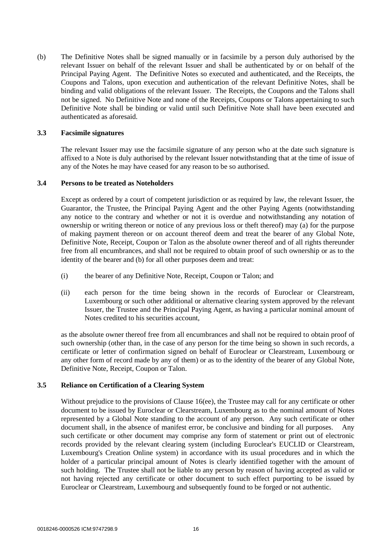(b) The Definitive Notes shall be signed manually or in facsimile by a person duly authorised by the relevant Issuer on behalf of the relevant Issuer and shall be authenticated by or on behalf of the Principal Paying Agent. The Definitive Notes so executed and authenticated, and the Receipts, the Coupons and Talons, upon execution and authentication of the relevant Definitive Notes, shall be binding and valid obligations of the relevant Issuer. The Receipts, the Coupons and the Talons shall not be signed. No Definitive Note and none of the Receipts, Coupons or Talons appertaining to such Definitive Note shall be binding or valid until such Definitive Note shall have been executed and authenticated as aforesaid.

#### **3.3 Facsimile signatures**

The relevant Issuer may use the facsimile signature of any person who at the date such signature is affixed to a Note is duly authorised by the relevant Issuer notwithstanding that at the time of issue of any of the Notes he may have ceased for any reason to be so authorised.

#### **3.4 Persons to be treated as Noteholders**

Except as ordered by a court of competent jurisdiction or as required by law, the relevant Issuer, the Guarantor, the Trustee, the Principal Paying Agent and the other Paying Agents (notwithstanding any notice to the contrary and whether or not it is overdue and notwithstanding any notation of ownership or writing thereon or notice of any previous loss or theft thereof) may (a) for the purpose of making payment thereon or on account thereof deem and treat the bearer of any Global Note, Definitive Note, Receipt, Coupon or Talon as the absolute owner thereof and of all rights thereunder free from all encumbrances, and shall not be required to obtain proof of such ownership or as to the identity of the bearer and (b) for all other purposes deem and treat:

- (i) the bearer of any Definitive Note, Receipt, Coupon or Talon; and
- (ii) each person for the time being shown in the records of Euroclear or Clearstream, Luxembourg or such other additional or alternative clearing system approved by the relevant Issuer, the Trustee and the Principal Paying Agent, as having a particular nominal amount of Notes credited to his securities account,

as the absolute owner thereof free from all encumbrances and shall not be required to obtain proof of such ownership (other than, in the case of any person for the time being so shown in such records, a certificate or letter of confirmation signed on behalf of Euroclear or Clearstream, Luxembourg or any other form of record made by any of them) or as to the identity of the bearer of any Global Note, Definitive Note, Receipt, Coupon or Talon.

#### **3.5 Reliance on Certification of a Clearing System**

Without prejudice to the provisions of Clause [16\(ee\),](#page-34-0) the Trustee may call for any certificate or other document to be issued by Euroclear or Clearstream, Luxembourg as to the nominal amount of Notes represented by a Global Note standing to the account of any person. Any such certificate or other document shall, in the absence of manifest error, be conclusive and binding for all purposes. Any such certificate or other document may comprise any form of statement or print out of electronic records provided by the relevant clearing system (including Euroclear's EUCLID or Clearstream, Luxembourg's Creation Online system) in accordance with its usual procedures and in which the holder of a particular principal amount of Notes is clearly identified together with the amount of such holding. The Trustee shall not be liable to any person by reason of having accepted as valid or not having rejected any certificate or other document to such effect purporting to be issued by Euroclear or Clearstream, Luxembourg and subsequently found to be forged or not authentic.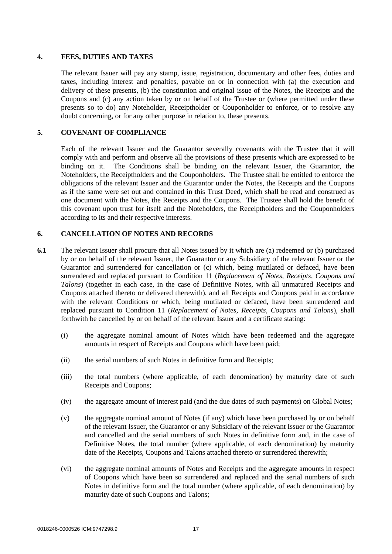#### **4. FEES, DUTIES AND TAXES**

The relevant Issuer will pay any stamp, issue, registration, documentary and other fees, duties and taxes, including interest and penalties, payable on or in connection with (a) the execution and delivery of these presents, (b) the constitution and original issue of the Notes, the Receipts and the Coupons and (c) any action taken by or on behalf of the Trustee or (where permitted under these presents so to do) any Noteholder, Receiptholder or Couponholder to enforce, or to resolve any doubt concerning, or for any other purpose in relation to, these presents.

#### **5. COVENANT OF COMPLIANCE**

Each of the relevant Issuer and the Guarantor severally covenants with the Trustee that it will comply with and perform and observe all the provisions of these presents which are expressed to be binding on it. The Conditions shall be binding on the relevant Issuer, the Guarantor, the Noteholders, the Receiptholders and the Couponholders. The Trustee shall be entitled to enforce the obligations of the relevant Issuer and the Guarantor under the Notes, the Receipts and the Coupons as if the same were set out and contained in this Trust Deed, which shall be read and construed as one document with the Notes, the Receipts and the Coupons. The Trustee shall hold the benefit of this covenant upon trust for itself and the Noteholders, the Receiptholders and the Couponholders according to its and their respective interests.

## **6. CANCELLATION OF NOTES AND RECORDS**

- **6.1** The relevant Issuer shall procure that all Notes issued by it which are (a) redeemed or (b) purchased by or on behalf of the relevant Issuer, the Guarantor or any Subsidiary of the relevant Issuer or the Guarantor and surrendered for cancellation or (c) which, being mutilated or defaced, have been surrendered and replaced pursuant to Condition 11 (*Replacement of Notes, Receipts, Coupons and Talons*) (together in each case, in the case of Definitive Notes, with all unmatured Receipts and Coupons attached thereto or delivered therewith), and all Receipts and Coupons paid in accordance with the relevant Conditions or which, being mutilated or defaced, have been surrendered and replaced pursuant to Condition 11 (*Replacement of Notes, Receipts, Coupons and Talons*), shall forthwith be cancelled by or on behalf of the relevant Issuer and a certificate stating:
	- (i) the aggregate nominal amount of Notes which have been redeemed and the aggregate amounts in respect of Receipts and Coupons which have been paid;
	- (ii) the serial numbers of such Notes in definitive form and Receipts;
	- (iii) the total numbers (where applicable, of each denomination) by maturity date of such Receipts and Coupons;
	- (iv) the aggregate amount of interest paid (and the due dates of such payments) on Global Notes;
	- (v) the aggregate nominal amount of Notes (if any) which have been purchased by or on behalf of the relevant Issuer, the Guarantor or any Subsidiary of the relevant Issuer or the Guarantor and cancelled and the serial numbers of such Notes in definitive form and, in the case of Definitive Notes, the total number (where applicable, of each denomination) by maturity date of the Receipts, Coupons and Talons attached thereto or surrendered therewith;
	- (vi) the aggregate nominal amounts of Notes and Receipts and the aggregate amounts in respect of Coupons which have been so surrendered and replaced and the serial numbers of such Notes in definitive form and the total number (where applicable, of each denomination) by maturity date of such Coupons and Talons;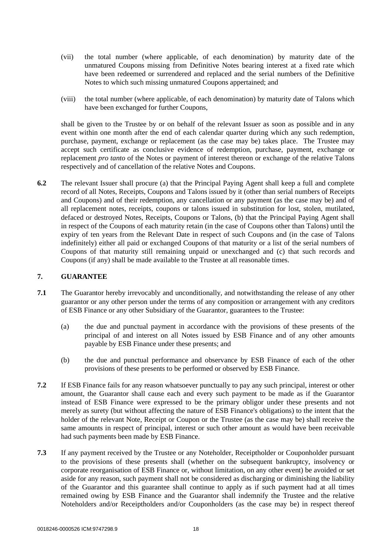- (vii) the total number (where applicable, of each denomination) by maturity date of the unmatured Coupons missing from Definitive Notes bearing interest at a fixed rate which have been redeemed or surrendered and replaced and the serial numbers of the Definitive Notes to which such missing unmatured Coupons appertained; and
- (viii) the total number (where applicable, of each denomination) by maturity date of Talons which have been exchanged for further Coupons,

shall be given to the Trustee by or on behalf of the relevant Issuer as soon as possible and in any event within one month after the end of each calendar quarter during which any such redemption, purchase, payment, exchange or replacement (as the case may be) takes place. The Trustee may accept such certificate as conclusive evidence of redemption, purchase, payment, exchange or replacement *pro tanto* of the Notes or payment of interest thereon or exchange of the relative Talons respectively and of cancellation of the relative Notes and Coupons.

**6.2** The relevant Issuer shall procure (a) that the Principal Paying Agent shall keep a full and complete record of all Notes, Receipts, Coupons and Talons issued by it (other than serial numbers of Receipts and Coupons) and of their redemption, any cancellation or any payment (as the case may be) and of all replacement notes, receipts, coupons or talons issued in substitution for lost, stolen, mutilated, defaced or destroyed Notes, Receipts, Coupons or Talons, (b) that the Principal Paying Agent shall in respect of the Coupons of each maturity retain (in the case of Coupons other than Talons) until the expiry of ten years from the Relevant Date in respect of such Coupons and (in the case of Talons indefinitely) either all paid or exchanged Coupons of that maturity or a list of the serial numbers of Coupons of that maturity still remaining unpaid or unexchanged and (c) that such records and Coupons (if any) shall be made available to the Trustee at all reasonable times.

#### **7. GUARANTEE**

- **7.1** The Guarantor hereby irrevocably and unconditionally, and notwithstanding the release of any other guarantor or any other person under the terms of any composition or arrangement with any creditors of ESB Finance or any other Subsidiary of the Guarantor, guarantees to the Trustee:
	- (a) the due and punctual payment in accordance with the provisions of these presents of the principal of and interest on all Notes issued by ESB Finance and of any other amounts payable by ESB Finance under these presents; and
	- (b) the due and punctual performance and observance by ESB Finance of each of the other provisions of these presents to be performed or observed by ESB Finance.
- **7.2** If ESB Finance fails for any reason whatsoever punctually to pay any such principal, interest or other amount, the Guarantor shall cause each and every such payment to be made as if the Guarantor instead of ESB Finance were expressed to be the primary obligor under these presents and not merely as surety (but without affecting the nature of ESB Finance's obligations) to the intent that the holder of the relevant Note, Receipt or Coupon or the Trustee (as the case may be) shall receive the same amounts in respect of principal, interest or such other amount as would have been receivable had such payments been made by ESB Finance.
- **7.3** If any payment received by the Trustee or any Noteholder, Receiptholder or Couponholder pursuant to the provisions of these presents shall (whether on the subsequent bankruptcy, insolvency or corporate reorganisation of ESB Finance or, without limitation, on any other event) be avoided or set aside for any reason, such payment shall not be considered as discharging or diminishing the liability of the Guarantor and this guarantee shall continue to apply as if such payment had at all times remained owing by ESB Finance and the Guarantor shall indemnify the Trustee and the relative Noteholders and/or Receiptholders and/or Couponholders (as the case may be) in respect thereof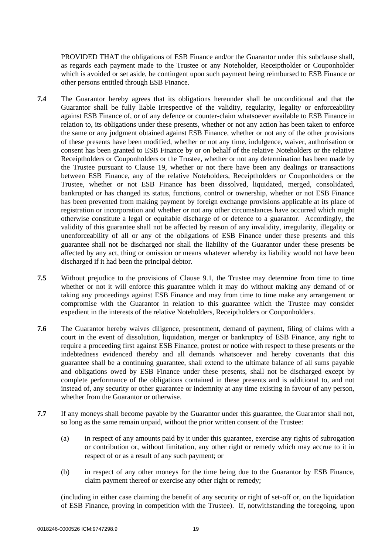PROVIDED THAT the obligations of ESB Finance and/or the Guarantor under this subclause shall, as regards each payment made to the Trustee or any Noteholder, Receiptholder or Couponholder which is avoided or set aside, be contingent upon such payment being reimbursed to ESB Finance or other persons entitled through ESB Finance.

- **7.4** The Guarantor hereby agrees that its obligations hereunder shall be unconditional and that the Guarantor shall be fully liable irrespective of the validity, regularity, legality or enforceability against ESB Finance of, or of any defence or counter-claim whatsoever available to ESB Finance in relation to, its obligations under these presents, whether or not any action has been taken to enforce the same or any judgment obtained against ESB Finance, whether or not any of the other provisions of these presents have been modified, whether or not any time, indulgence, waiver, authorisation or consent has been granted to ESB Finance by or on behalf of the relative Noteholders or the relative Receiptholders or Couponholders or the Trustee, whether or not any determination has been made by the Trustee pursuant to Clause [19,](#page-35-0) whether or not there have been any dealings or transactions between ESB Finance, any of the relative Noteholders, Receiptholders or Couponholders or the Trustee, whether or not ESB Finance has been dissolved, liquidated, merged, consolidated, bankrupted or has changed its status, functions, control or ownership, whether or not ESB Finance has been prevented from making payment by foreign exchange provisions applicable at its place of registration or incorporation and whether or not any other circumstances have occurred which might otherwise constitute a legal or equitable discharge of or defence to a guarantor. Accordingly, the validity of this guarantee shall not be affected by reason of any invalidity, irregularity, illegality or unenforceability of all or any of the obligations of ESB Finance under these presents and this guarantee shall not be discharged nor shall the liability of the Guarantor under these presents be affected by any act, thing or omission or means whatever whereby its liability would not have been discharged if it had been the principal debtor.
- **7.5** Without prejudice to the provisions of Clause [9.1,](#page-22-0) the Trustee may determine from time to time whether or not it will enforce this guarantee which it may do without making any demand of or taking any proceedings against ESB Finance and may from time to time make any arrangement or compromise with the Guarantor in relation to this guarantee which the Trustee may consider expedient in the interests of the relative Noteholders, Receiptholders or Couponholders.
- **7.6** The Guarantor hereby waives diligence, presentment, demand of payment, filing of claims with a court in the event of dissolution, liquidation, merger or bankruptcy of ESB Finance, any right to require a proceeding first against ESB Finance, protest or notice with respect to these presents or the indebtedness evidenced thereby and all demands whatsoever and hereby covenants that this guarantee shall be a continuing guarantee, shall extend to the ultimate balance of all sums payable and obligations owed by ESB Finance under these presents, shall not be discharged except by complete performance of the obligations contained in these presents and is additional to, and not instead of, any security or other guarantee or indemnity at any time existing in favour of any person, whether from the Guarantor or otherwise.
- <span id="page-21-0"></span>**7.7** If any moneys shall become payable by the Guarantor under this guarantee, the Guarantor shall not, so long as the same remain unpaid, without the prior written consent of the Trustee:
	- (a) in respect of any amounts paid by it under this guarantee, exercise any rights of subrogation or contribution or, without limitation, any other right or remedy which may accrue to it in respect of or as a result of any such payment; or
	- (b) in respect of any other moneys for the time being due to the Guarantor by ESB Finance, claim payment thereof or exercise any other right or remedy;

(including in either case claiming the benefit of any security or right of set-off or, on the liquidation of ESB Finance, proving in competition with the Trustee). If, notwithstanding the foregoing, upon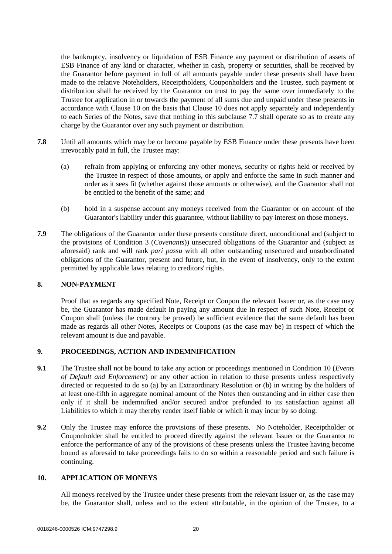the bankruptcy, insolvency or liquidation of ESB Finance any payment or distribution of assets of ESB Finance of any kind or character, whether in cash, property or securities, shall be received by the Guarantor before payment in full of all amounts payable under these presents shall have been made to the relative Noteholders, Receiptholders, Couponholders and the Trustee, such payment or distribution shall be received by the Guarantor on trust to pay the same over immediately to the Trustee for application in or towards the payment of all sums due and unpaid under these presents in accordance with Clause [10](#page-22-1) on the basis that Clause [10](#page-22-1) does not apply separately and independently to each Series of the Notes, save that nothing in this subclause [7.7](#page-21-0) shall operate so as to create any charge by the Guarantor over any such payment or distribution.

- **7.8** Until all amounts which may be or become payable by ESB Finance under these presents have been irrevocably paid in full, the Trustee may:
	- (a) refrain from applying or enforcing any other moneys, security or rights held or received by the Trustee in respect of those amounts, or apply and enforce the same in such manner and order as it sees fit (whether against those amounts or otherwise), and the Guarantor shall not be entitled to the benefit of the same; and
	- (b) hold in a suspense account any moneys received from the Guarantor or on account of the Guarantor's liability under this guarantee, without liability to pay interest on those moneys.
- **7.9** The obligations of the Guarantor under these presents constitute direct, unconditional and (subject to the provisions of Condition 3 (*Covenants*)) unsecured obligations of the Guarantor and (subject as aforesaid) rank and will rank *pari passu* with all other outstanding unsecured and unsubordinated obligations of the Guarantor, present and future, but, in the event of insolvency, only to the extent permitted by applicable laws relating to creditors' rights.

#### **8. NON-PAYMENT**

Proof that as regards any specified Note, Receipt or Coupon the relevant Issuer or, as the case may be, the Guarantor has made default in paying any amount due in respect of such Note, Receipt or Coupon shall (unless the contrary be proved) be sufficient evidence that the same default has been made as regards all other Notes, Receipts or Coupons (as the case may be) in respect of which the relevant amount is due and payable.

#### <span id="page-22-0"></span>**9. PROCEEDINGS, ACTION AND INDEMNIFICATION**

- **9.1** The Trustee shall not be bound to take any action or proceedings mentioned in Condition 10 (*Events of Default and Enforcement*) or any other action in relation to these presents unless respectively directed or requested to do so (a) by an Extraordinary Resolution or (b) in writing by the holders of at least one-fifth in aggregate nominal amount of the Notes then outstanding and in either case then only if it shall be indemnified and/or secured and/or prefunded to its satisfaction against all Liabilities to which it may thereby render itself liable or which it may incur by so doing.
- **9.2** Only the Trustee may enforce the provisions of these presents. No Noteholder, Receiptholder or Couponholder shall be entitled to proceed directly against the relevant Issuer or the Guarantor to enforce the performance of any of the provisions of these presents unless the Trustee having become bound as aforesaid to take proceedings fails to do so within a reasonable period and such failure is continuing.

#### <span id="page-22-1"></span>**10. APPLICATION OF MONEYS**

All moneys received by the Trustee under these presents from the relevant Issuer or, as the case may be, the Guarantor shall, unless and to the extent attributable, in the opinion of the Trustee, to a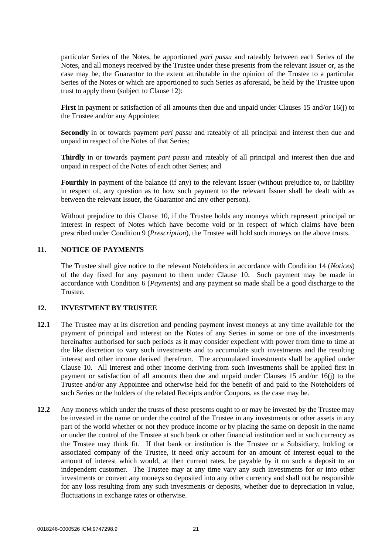particular Series of the Notes, be apportioned *pari passu* and rateably between each Series of the Notes, and all moneys received by the Trustee under these presents from the relevant Issuer or, as the case may be, the Guarantor to the extent attributable in the opinion of the Trustee to a particular Series of the Notes or which are apportioned to such Series as aforesaid, be held by the Trustee upon trust to apply them (subject to Clause [12\)](#page-23-0):

**First** in payment or satisfaction of all amounts then due and unpaid under Clauses [15](#page-28-0) and/or [16\(j\)](#page-31-0) to the Trustee and/or any Appointee;

**Secondly** in or towards payment *pari passu* and rateably of all principal and interest then due and unpaid in respect of the Notes of that Series;

**Thirdly** in or towards payment *pari passu* and rateably of all principal and interest then due and unpaid in respect of the Notes of each other Series; and

**Fourthly** in payment of the balance (if any) to the relevant Issuer (without prejudice to, or liability in respect of, any question as to how such payment to the relevant Issuer shall be dealt with as between the relevant Issuer, the Guarantor and any other person).

Without prejudice to this Clause [10,](#page-22-1) if the Trustee holds any moneys which represent principal or interest in respect of Notes which have become void or in respect of which claims have been prescribed under Condition 9 (*Prescription*), the Trustee will hold such moneys on the above trusts.

## **11. NOTICE OF PAYMENTS**

The Trustee shall give notice to the relevant Noteholders in accordance with Condition 14 (*Notices*) of the day fixed for any payment to them under Clause [10.](#page-22-1) Such payment may be made in accordance with Condition 6 (*Payments*) and any payment so made shall be a good discharge to the Trustee.

#### <span id="page-23-0"></span>**12. INVESTMENT BY TRUSTEE**

- **12.1** The Trustee may at its discretion and pending payment invest moneys at any time available for the payment of principal and interest on the Notes of any Series in some or one of the investments hereinafter authorised for such periods as it may consider expedient with power from time to time at the like discretion to vary such investments and to accumulate such investments and the resulting interest and other income derived therefrom. The accumulated investments shall be applied under Clause [10.](#page-22-1) All interest and other income deriving from such investments shall be applied first in payment or satisfaction of all amounts then due and unpaid under Clauses [15](#page-28-0) and/or [16\(j\)](#page-31-0) to the Trustee and/or any Appointee and otherwise held for the benefit of and paid to the Noteholders of such Series or the holders of the related Receipts and/or Coupons, as the case may be.
- **12.2** Any moneys which under the trusts of these presents ought to or may be invested by the Trustee may be invested in the name or under the control of the Trustee in any investments or other assets in any part of the world whether or not they produce income or by placing the same on deposit in the name or under the control of the Trustee at such bank or other financial institution and in such currency as the Trustee may think fit. If that bank or institution is the Trustee or a Subsidiary, holding or associated company of the Trustee, it need only account for an amount of interest equal to the amount of interest which would, at then current rates, be payable by it on such a deposit to an independent customer. The Trustee may at any time vary any such investments for or into other investments or convert any moneys so deposited into any other currency and shall not be responsible for any loss resulting from any such investments or deposits, whether due to depreciation in value, fluctuations in exchange rates or otherwise.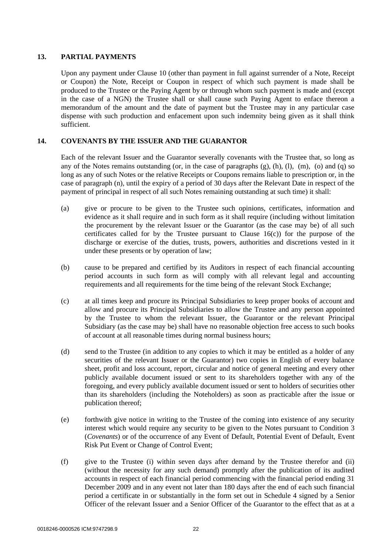#### **13. PARTIAL PAYMENTS**

Upon any payment under Clause [10](#page-22-1) (other than payment in full against surrender of a Note, Receipt or Coupon) the Note, Receipt or Coupon in respect of which such payment is made shall be produced to the Trustee or the Paying Agent by or through whom such payment is made and (except in the case of a NGN) the Trustee shall or shall cause such Paying Agent to enface thereon a memorandum of the amount and the date of payment but the Trustee may in any particular case dispense with such production and enfacement upon such indemnity being given as it shall think sufficient.

## **14. COVENANTS BY THE ISSUER AND THE GUARANTOR**

Each of the relevant Issuer and the Guarantor severally covenants with the Trustee that, so long as any of the Notes remains outstanding (or, in the case of paragraphs [\(g\),](#page-25-1) [\(h\),](#page-25-2) [\(l\),](#page-25-0) [\(m\),](#page-26-0) [\(o\)](#page-26-1) and [\(q\)](#page-26-2) so long as any of such Notes or the relative Receipts or Coupons remains liable to prescription or, in the case of paragraph [\(n\),](#page-26-3) until the expiry of a period of 30 days after the Relevant Date in respect of the payment of principal in respect of all such Notes remaining outstanding at such time) it shall:

- (a) give or procure to be given to the Trustee such opinions, certificates, information and evidence as it shall require and in such form as it shall require (including without limitation the procurement by the relevant Issuer or the Guarantor (as the case may be) of all such certificates called for by the Trustee pursuant to Clause  $16(c)$  for the purpose of the discharge or exercise of the duties, trusts, powers, authorities and discretions vested in it under these presents or by operation of law;
- (b) cause to be prepared and certified by its Auditors in respect of each financial accounting period accounts in such form as will comply with all relevant legal and accounting requirements and all requirements for the time being of the relevant Stock Exchange;
- (c) at all times keep and procure its Principal Subsidiaries to keep proper books of account and allow and procure its Principal Subsidiaries to allow the Trustee and any person appointed by the Trustee to whom the relevant Issuer, the Guarantor or the relevant Principal Subsidiary (as the case may be) shall have no reasonable objection free access to such books of account at all reasonable times during normal business hours;
- (d) send to the Trustee (in addition to any copies to which it may be entitled as a holder of any securities of the relevant Issuer or the Guarantor) two copies in English of every balance sheet, profit and loss account, report, circular and notice of general meeting and every other publicly available document issued or sent to its shareholders together with any of the foregoing, and every publicly available document issued or sent to holders of securities other than its shareholders (including the Noteholders) as soon as practicable after the issue or publication thereof;
- (e) forthwith give notice in writing to the Trustee of the coming into existence of any security interest which would require any security to be given to the Notes pursuant to Condition 3 (*Covenants*) or of the occurrence of any Event of Default, Potential Event of Default, Event Risk Put Event or Change of Control Event;
- <span id="page-24-0"></span>(f) give to the Trustee (i) within seven days after demand by the Trustee therefor and (ii) (without the necessity for any such demand) promptly after the publication of its audited accounts in respect of each financial period commencing with the financial period ending 31 December 2009 and in any event not later than 180 days after the end of each such financial period a certificate in or substantially in the form set out in [Schedule 4](#page-121-0) signed by a Senior Officer of the relevant Issuer and a Senior Officer of the Guarantor to the effect that as at a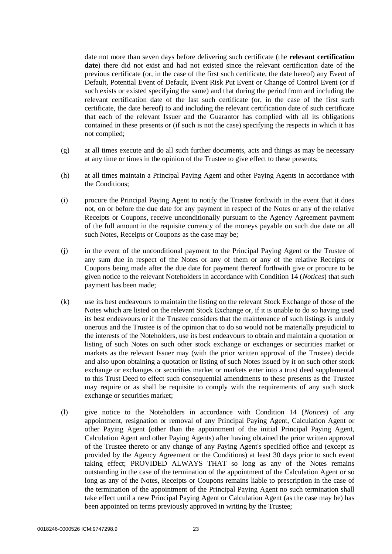date not more than seven days before delivering such certificate (the **relevant certification date**) there did not exist and had not existed since the relevant certification date of the previous certificate (or, in the case of the first such certificate, the date hereof) any Event of Default, Potential Event of Default, Event Risk Put Event or Change of Control Event (or if such exists or existed specifying the same) and that during the period from and including the relevant certification date of the last such certificate (or, in the case of the first such certificate, the date hereof) to and including the relevant certification date of such certificate that each of the relevant Issuer and the Guarantor has complied with all its obligations contained in these presents or (if such is not the case) specifying the respects in which it has not complied;

- <span id="page-25-1"></span>(g) at all times execute and do all such further documents, acts and things as may be necessary at any time or times in the opinion of the Trustee to give effect to these presents;
- <span id="page-25-2"></span>(h) at all times maintain a Principal Paying Agent and other Paying Agents in accordance with the Conditions;
- (i) procure the Principal Paying Agent to notify the Trustee forthwith in the event that it does not, on or before the due date for any payment in respect of the Notes or any of the relative Receipts or Coupons, receive unconditionally pursuant to the Agency Agreement payment of the full amount in the requisite currency of the moneys payable on such due date on all such Notes, Receipts or Coupons as the case may be;
- (j) in the event of the unconditional payment to the Principal Paying Agent or the Trustee of any sum due in respect of the Notes or any of them or any of the relative Receipts or Coupons being made after the due date for payment thereof forthwith give or procure to be given notice to the relevant Noteholders in accordance with Condition 14 (*Notices*) that such payment has been made;
- (k) use its best endeavours to maintain the listing on the relevant Stock Exchange of those of the Notes which are listed on the relevant Stock Exchange or, if it is unable to do so having used its best endeavours or if the Trustee considers that the maintenance of such listings is unduly onerous and the Trustee is of the opinion that to do so would not be materially prejudicial to the interests of the Noteholders, use its best endeavours to obtain and maintain a quotation or listing of such Notes on such other stock exchange or exchanges or securities market or markets as the relevant Issuer may (with the prior written approval of the Trustee) decide and also upon obtaining a quotation or listing of such Notes issued by it on such other stock exchange or exchanges or securities market or markets enter into a trust deed supplemental to this Trust Deed to effect such consequential amendments to these presents as the Trustee may require or as shall be requisite to comply with the requirements of any such stock exchange or securities market;
- <span id="page-25-0"></span>(l) give notice to the Noteholders in accordance with Condition 14 (*Notices*) of any appointment, resignation or removal of any Principal Paying Agent, Calculation Agent or other Paying Agent (other than the appointment of the initial Principal Paying Agent, Calculation Agent and other Paying Agents) after having obtained the prior written approval of the Trustee thereto or any change of any Paying Agent's specified office and (except as provided by the Agency Agreement or the Conditions) at least 30 days prior to such event taking effect; PROVIDED ALWAYS THAT so long as any of the Notes remains outstanding in the case of the termination of the appointment of the Calculation Agent or so long as any of the Notes, Receipts or Coupons remains liable to prescription in the case of the termination of the appointment of the Principal Paying Agent no such termination shall take effect until a new Principal Paying Agent or Calculation Agent (as the case may be) has been appointed on terms previously approved in writing by the Trustee;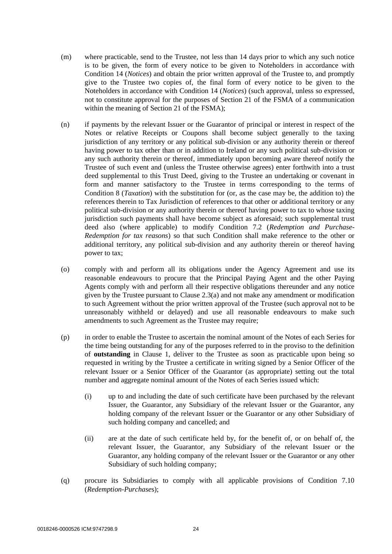- <span id="page-26-0"></span>(m) where practicable, send to the Trustee, not less than 14 days prior to which any such notice is to be given, the form of every notice to be given to Noteholders in accordance with Condition 14 (*Notices*) and obtain the prior written approval of the Trustee to, and promptly give to the Trustee two copies of, the final form of every notice to be given to the Noteholders in accordance with Condition 14 (*Notices*) (such approval, unless so expressed, not to constitute approval for the purposes of Section 21 of the FSMA of a communication within the meaning of Section 21 of the FSMA);
- <span id="page-26-3"></span>(n) if payments by the relevant Issuer or the Guarantor of principal or interest in respect of the Notes or relative Receipts or Coupons shall become subject generally to the taxing jurisdiction of any territory or any political sub-division or any authority therein or thereof having power to tax other than or in addition to Ireland or any such political sub-division or any such authority therein or thereof, immediately upon becoming aware thereof notify the Trustee of such event and (unless the Trustee otherwise agrees) enter forthwith into a trust deed supplemental to this Trust Deed, giving to the Trustee an undertaking or covenant in form and manner satisfactory to the Trustee in terms corresponding to the terms of Condition 8 (*Taxation*) with the substitution for (or, as the case may be, the addition to) the references therein to Tax Jurisdiction of references to that other or additional territory or any political sub-division or any authority therein or thereof having power to tax to whose taxing jurisdiction such payments shall have become subject as aforesaid; such supplemental trust deed also (where applicable) to modify Condition 7.2 (*Redemption and Purchase-Redemption for tax reasons*) so that such Condition shall make reference to the other or additional territory, any political sub-division and any authority therein or thereof having power to tax;
- <span id="page-26-1"></span>(o) comply with and perform all its obligations under the Agency Agreement and use its reasonable endeavours to procure that the Principal Paying Agent and the other Paying Agents comply with and perform all their respective obligations thereunder and any notice given by the Trustee pursuant to Clause [2.3\(a\)](#page-16-1) and not make any amendment or modification to such Agreement without the prior written approval of the Trustee (such approval not to be unreasonably withheld or delayed) and use all reasonable endeavours to make such amendments to such Agreement as the Trustee may require;
- <span id="page-26-4"></span>(p) in order to enable the Trustee to ascertain the nominal amount of the Notes of each Series for the time being outstanding for any of the purposes referred to in the proviso to the definition of **outstanding** in Clause [1,](#page-3-0) deliver to the Trustee as soon as practicable upon being so requested in writing by the Trustee a certificate in writing signed by a Senior Officer of the relevant Issuer or a Senior Officer of the Guarantor (as appropriate) setting out the total number and aggregate nominal amount of the Notes of each Series issued which:
	- (i) up to and including the date of such certificate have been purchased by the relevant Issuer, the Guarantor, any Subsidiary of the relevant Issuer or the Guarantor, any holding company of the relevant Issuer or the Guarantor or any other Subsidiary of such holding company and cancelled; and
	- (ii) are at the date of such certificate held by, for the benefit of, or on behalf of, the relevant Issuer, the Guarantor, any Subsidiary of the relevant Issuer or the Guarantor, any holding company of the relevant Issuer or the Guarantor or any other Subsidiary of such holding company;
- <span id="page-26-2"></span>(q) procure its Subsidiaries to comply with all applicable provisions of Condition 7.10 (*Redemption-Purchase*s);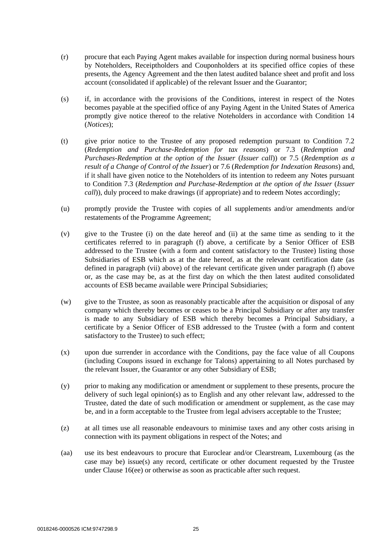- (r) procure that each Paying Agent makes available for inspection during normal business hours by Noteholders, Receiptholders and Couponholders at its specified office copies of these presents, the Agency Agreement and the then latest audited balance sheet and profit and loss account (consolidated if applicable) of the relevant Issuer and the Guarantor;
- (s) if, in accordance with the provisions of the Conditions, interest in respect of the Notes becomes payable at the specified office of any Paying Agent in the United States of America promptly give notice thereof to the relative Noteholders in accordance with Condition 14 (*Notices*);
- (t) give prior notice to the Trustee of any proposed redemption pursuant to Condition 7.2 (*Redemption and Purchase-Redemption for tax reasons*) or 7.3 (*Redemption and Purchases-Redemption at the option of the Issuer* (*Issuer call*)) or 7.5 (*Redemption as a result of a Change of Control of the Issuer*) or 7.6 (*Redemption for Indexation Reasons*) and, if it shall have given notice to the Noteholders of its intention to redeem any Notes pursuant to Condition 7.3 (*Redemption and Purchase-Redemption at the option of the Issuer* (*Issuer call*)), duly proceed to make drawings (if appropriate) and to redeem Notes accordingly;
- (u) promptly provide the Trustee with copies of all supplements and/or amendments and/or restatements of the Programme Agreement;
- (v) give to the Trustee (i) on the date hereof and (ii) at the same time as sending to it the certificates referred to in paragraph [\(f\) above,](#page-24-0) a certificate by a Senior Officer of ESB addressed to the Trustee (with a form and content satisfactory to the Trustee) listing those Subsidiaries of ESB which as at the date hereof, as at the relevant certification date (as defined in paragraph (vii) above) of the relevant certificate given under paragraph [\(f\) above](#page-24-0) or, as the case may be, as at the first day on which the then latest audited consolidated accounts of ESB became available were Principal Subsidiaries;
- (w) give to the Trustee, as soon as reasonably practicable after the acquisition or disposal of any company which thereby becomes or ceases to be a Principal Subsidiary or after any transfer is made to any Subsidiary of ESB which thereby becomes a Principal Subsidiary, a certificate by a Senior Officer of ESB addressed to the Trustee (with a form and content satisfactory to the Trustee) to such effect;
- (x) upon due surrender in accordance with the Conditions, pay the face value of all Coupons (including Coupons issued in exchange for Talons) appertaining to all Notes purchased by the relevant Issuer, the Guarantor or any other Subsidiary of ESB;
- (y) prior to making any modification or amendment or supplement to these presents, procure the delivery of such legal opinion(s) as to English and any other relevant law, addressed to the Trustee, dated the date of such modification or amendment or supplement, as the case may be, and in a form acceptable to the Trustee from legal advisers acceptable to the Trustee;
- (z) at all times use all reasonable endeavours to minimise taxes and any other costs arising in connection with its payment obligations in respect of the Notes; and
- (aa) use its best endeavours to procure that Euroclear and/or Clearstream, Luxembourg (as the case may be) issue(s) any record, certificate or other document requested by the Trustee under Clause 16(ee) or otherwise as soon as practicable after such request.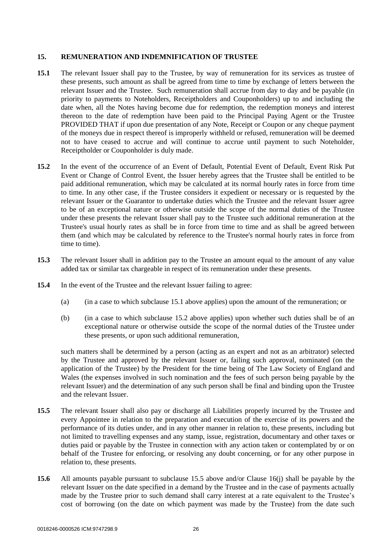#### <span id="page-28-1"></span><span id="page-28-0"></span>**15. REMUNERATION AND INDEMNIFICATION OF TRUSTEE**

- **15.1** The relevant Issuer shall pay to the Trustee, by way of remuneration for its services as trustee of these presents, such amount as shall be agreed from time to time by exchange of letters between the relevant Issuer and the Trustee. Such remuneration shall accrue from day to day and be payable (in priority to payments to Noteholders, Receiptholders and Couponholders) up to and including the date when, all the Notes having become due for redemption, the redemption moneys and interest thereon to the date of redemption have been paid to the Principal Paying Agent or the Trustee PROVIDED THAT if upon due presentation of any Note, Receipt or Coupon or any cheque payment of the moneys due in respect thereof is improperly withheld or refused, remuneration will be deemed not to have ceased to accrue and will continue to accrue until payment to such Noteholder, Receiptholder or Couponholder is duly made.
- <span id="page-28-2"></span>**15.2** In the event of the occurrence of an Event of Default, Potential Event of Default, Event Risk Put Event or Change of Control Event, the Issuer hereby agrees that the Trustee shall be entitled to be paid additional remuneration, which may be calculated at its normal hourly rates in force from time to time. In any other case, if the Trustee considers it expedient or necessary or is requested by the relevant Issuer or the Guarantor to undertake duties which the Trustee and the relevant Issuer agree to be of an exceptional nature or otherwise outside the scope of the normal duties of the Trustee under these presents the relevant Issuer shall pay to the Trustee such additional remuneration at the Trustee's usual hourly rates as shall be in force from time to time and as shall be agreed between them (and which may be calculated by reference to the Trustee's normal hourly rates in force from time to time).
- **15.3** The relevant Issuer shall in addition pay to the Trustee an amount equal to the amount of any value added tax or similar tax chargeable in respect of its remuneration under these presents.
- **15.4** In the event of the Trustee and the relevant Issuer failing to agree:
	- (a) (in a case to which subclause [15.1 above](#page-28-1) applies) upon the amount of the remuneration; or
	- (b) (in a case to which subclause [15.2 above](#page-28-2) applies) upon whether such duties shall be of an exceptional nature or otherwise outside the scope of the normal duties of the Trustee under these presents, or upon such additional remuneration,

such matters shall be determined by a person (acting as an expert and not as an arbitrator) selected by the Trustee and approved by the relevant Issuer or, failing such approval, nominated (on the application of the Trustee) by the President for the time being of The Law Society of England and Wales (the expenses involved in such nomination and the fees of such person being payable by the relevant Issuer) and the determination of any such person shall be final and binding upon the Trustee and the relevant Issuer.

- <span id="page-28-3"></span>**15.5** The relevant Issuer shall also pay or discharge all Liabilities properly incurred by the Trustee and every Appointee in relation to the preparation and execution of the exercise of its powers and the performance of its duties under, and in any other manner in relation to, these presents, including but not limited to travelling expenses and any stamp, issue, registration, documentary and other taxes or duties paid or payable by the Trustee in connection with any action taken or contemplated by or on behalf of the Trustee for enforcing, or resolving any doubt concerning, or for any other purpose in relation to, these presents.
- **15.6** All amounts payable pursuant to subclause [15.5 above](#page-28-3) and/or Clause [16\(j\)](#page-31-0) shall be payable by the relevant Issuer on the date specified in a demand by the Trustee and in the case of payments actually made by the Trustee prior to such demand shall carry interest at a rate equivalent to the Trustee's cost of borrowing (on the date on which payment was made by the Trustee) from the date such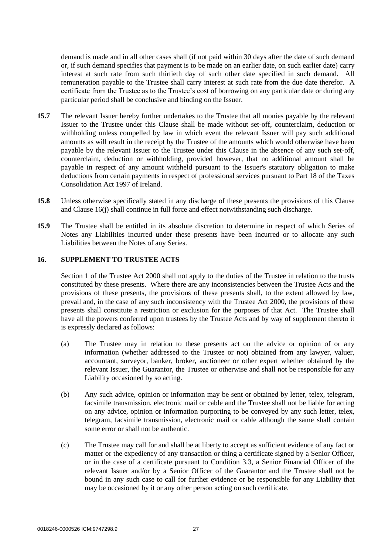demand is made and in all other cases shall (if not paid within 30 days after the date of such demand or, if such demand specifies that payment is to be made on an earlier date, on such earlier date) carry interest at such rate from such thirtieth day of such other date specified in such demand. All remuneration payable to the Trustee shall carry interest at such rate from the due date therefor. A certificate from the Trustee as to the Trustee's cost of borrowing on any particular date or during any particular period shall be conclusive and binding on the Issuer.

- **15.7** The relevant Issuer hereby further undertakes to the Trustee that all monies payable by the relevant Issuer to the Trustee under this Clause shall be made without set-off, counterclaim, deduction or withholding unless compelled by law in which event the relevant Issuer will pay such additional amounts as will result in the receipt by the Trustee of the amounts which would otherwise have been payable by the relevant Issuer to the Trustee under this Clause in the absence of any such set-off, counterclaim, deduction or withholding, provided however, that no additional amount shall be payable in respect of any amount withheld pursuant to the Issuer's statutory obligation to make deductions from certain payments in respect of professional services pursuant to Part 18 of the Taxes Consolidation Act 1997 of Ireland.
- **15.8** Unless otherwise specifically stated in any discharge of these presents the provisions of this Clause and Clause [16\(j\)](#page-31-0) shall continue in full force and effect notwithstanding such discharge.
- **15.9** The Trustee shall be entitled in its absolute discretion to determine in respect of which Series of Notes any Liabilities incurred under these presents have been incurred or to allocate any such Liabilities between the Notes of any Series.

#### **16. SUPPLEMENT TO TRUSTEE ACTS**

Section 1 of the Trustee Act 2000 shall not apply to the duties of the Trustee in relation to the trusts constituted by these presents. Where there are any inconsistencies between the Trustee Acts and the provisions of these presents, the provisions of these presents shall, to the extent allowed by law, prevail and, in the case of any such inconsistency with the Trustee Act 2000, the provisions of these presents shall constitute a restriction or exclusion for the purposes of that Act. The Trustee shall have all the powers conferred upon trustees by the Trustee Acts and by way of supplement thereto it is expressly declared as follows:

- (a) The Trustee may in relation to these presents act on the advice or opinion of or any information (whether addressed to the Trustee or not) obtained from any lawyer, valuer, accountant, surveyor, banker, broker, auctioneer or other expert whether obtained by the relevant Issuer, the Guarantor, the Trustee or otherwise and shall not be responsible for any Liability occasioned by so acting.
- (b) Any such advice, opinion or information may be sent or obtained by letter, telex, telegram, facsimile transmission, electronic mail or cable and the Trustee shall not be liable for acting on any advice, opinion or information purporting to be conveyed by any such letter, telex, telegram, facsimile transmission, electronic mail or cable although the same shall contain some error or shall not be authentic.
- <span id="page-29-0"></span>(c) The Trustee may call for and shall be at liberty to accept as sufficient evidence of any fact or matter or the expediency of any transaction or thing a certificate signed by a Senior Officer, or in the case of a certificate pursuant to Condition 3.3, a Senior Financial Officer of the relevant Issuer and/or by a Senior Officer of the Guarantor and the Trustee shall not be bound in any such case to call for further evidence or be responsible for any Liability that may be occasioned by it or any other person acting on such certificate.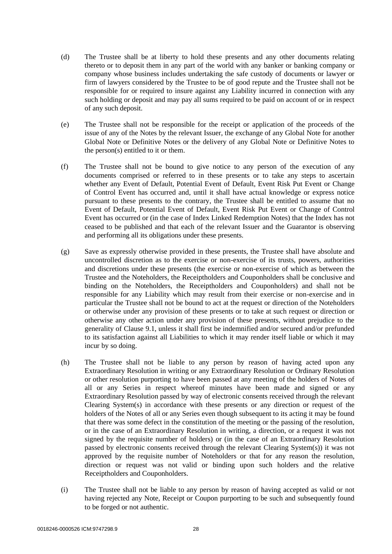- (d) The Trustee shall be at liberty to hold these presents and any other documents relating thereto or to deposit them in any part of the world with any banker or banking company or company whose business includes undertaking the safe custody of documents or lawyer or firm of lawyers considered by the Trustee to be of good repute and the Trustee shall not be responsible for or required to insure against any Liability incurred in connection with any such holding or deposit and may pay all sums required to be paid on account of or in respect of any such deposit.
- (e) The Trustee shall not be responsible for the receipt or application of the proceeds of the issue of any of the Notes by the relevant Issuer, the exchange of any Global Note for another Global Note or Definitive Notes or the delivery of any Global Note or Definitive Notes to the person(s) entitled to it or them.
- (f) The Trustee shall not be bound to give notice to any person of the execution of any documents comprised or referred to in these presents or to take any steps to ascertain whether any Event of Default, Potential Event of Default, Event Risk Put Event or Change of Control Event has occurred and, until it shall have actual knowledge or express notice pursuant to these presents to the contrary, the Trustee shall be entitled to assume that no Event of Default, Potential Event of Default, Event Risk Put Event or Change of Control Event has occurred or (in the case of Index Linked Redemption Notes) that the Index has not ceased to be published and that each of the relevant Issuer and the Guarantor is observing and performing all its obligations under these presents.
- (g) Save as expressly otherwise provided in these presents, the Trustee shall have absolute and uncontrolled discretion as to the exercise or non-exercise of its trusts, powers, authorities and discretions under these presents (the exercise or non-exercise of which as between the Trustee and the Noteholders, the Receiptholders and Couponholders shall be conclusive and binding on the Noteholders, the Receiptholders and Couponholders) and shall not be responsible for any Liability which may result from their exercise or non-exercise and in particular the Trustee shall not be bound to act at the request or direction of the Noteholders or otherwise under any provision of these presents or to take at such request or direction or otherwise any other action under any provision of these presents, without prejudice to the generality of Clause [9.1,](#page-22-0) unless it shall first be indemnified and/or secured and/or prefunded to its satisfaction against all Liabilities to which it may render itself liable or which it may incur by so doing.
- (h) The Trustee shall not be liable to any person by reason of having acted upon any Extraordinary Resolution in writing or any Extraordinary Resolution or Ordinary Resolution or other resolution purporting to have been passed at any meeting of the holders of Notes of all or any Series in respect whereof minutes have been made and signed or any Extraordinary Resolution passed by way of electronic consents received through the relevant Clearing System(s) in accordance with these presents or any direction or request of the holders of the Notes of all or any Series even though subsequent to its acting it may be found that there was some defect in the constitution of the meeting or the passing of the resolution, or in the case of an Extraordinary Resolution in writing, a direction, or a request it was not signed by the requisite number of holders) or (in the case of an Extraordinary Resolution passed by electronic consents received through the relevant Clearing System(s)) it was not approved by the requisite number of Noteholders or that for any reason the resolution, direction or request was not valid or binding upon such holders and the relative Receiptholders and Couponholders.
- (i) The Trustee shall not be liable to any person by reason of having accepted as valid or not having rejected any Note, Receipt or Coupon purporting to be such and subsequently found to be forged or not authentic.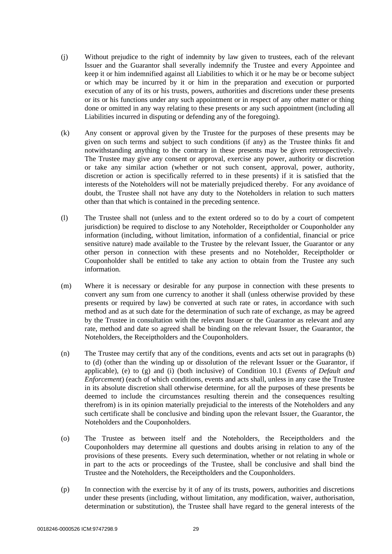- <span id="page-31-0"></span>(j) Without prejudice to the right of indemnity by law given to trustees, each of the relevant Issuer and the Guarantor shall severally indemnify the Trustee and every Appointee and keep it or him indemnified against all Liabilities to which it or he may be or become subject or which may be incurred by it or him in the preparation and execution or purported execution of any of its or his trusts, powers, authorities and discretions under these presents or its or his functions under any such appointment or in respect of any other matter or thing done or omitted in any way relating to these presents or any such appointment (including all Liabilities incurred in disputing or defending any of the foregoing).
- (k) Any consent or approval given by the Trustee for the purposes of these presents may be given on such terms and subject to such conditions (if any) as the Trustee thinks fit and notwithstanding anything to the contrary in these presents may be given retrospectively. The Trustee may give any consent or approval, exercise any power, authority or discretion or take any similar action (whether or not such consent, approval, power, authority, discretion or action is specifically referred to in these presents) if it is satisfied that the interests of the Noteholders will not be materially prejudiced thereby. For any avoidance of doubt, the Trustee shall not have any duty to the Noteholders in relation to such matters other than that which is contained in the preceding sentence.
- (l) The Trustee shall not (unless and to the extent ordered so to do by a court of competent jurisdiction) be required to disclose to any Noteholder, Receiptholder or Couponholder any information (including, without limitation, information of a confidential, financial or price sensitive nature) made available to the Trustee by the relevant Issuer, the Guarantor or any other person in connection with these presents and no Noteholder, Receiptholder or Couponholder shall be entitled to take any action to obtain from the Trustee any such information.
- (m) Where it is necessary or desirable for any purpose in connection with these presents to convert any sum from one currency to another it shall (unless otherwise provided by these presents or required by law) be converted at such rate or rates, in accordance with such method and as at such date for the determination of such rate of exchange, as may be agreed by the Trustee in consultation with the relevant Issuer or the Guarantor as relevant and any rate, method and date so agreed shall be binding on the relevant Issuer, the Guarantor, the Noteholders, the Receiptholders and the Couponholders.
- (n) The Trustee may certify that any of the conditions, events and acts set out in paragraphs (b) to (d) (other than the winding up or dissolution of the relevant Issuer or the Guarantor, if applicable), (e) to (g) and (i) (both inclusive) of Condition 10.1 (*Events of Default and Enforcement*) (each of which conditions, events and acts shall, unless in any case the Trustee in its absolute discretion shall otherwise determine, for all the purposes of these presents be deemed to include the circumstances resulting therein and the consequences resulting therefrom) is in its opinion materially prejudicial to the interests of the Noteholders and any such certificate shall be conclusive and binding upon the relevant Issuer, the Guarantor, the Noteholders and the Couponholders.
- (o) The Trustee as between itself and the Noteholders, the Receiptholders and the Couponholders may determine all questions and doubts arising in relation to any of the provisions of these presents. Every such determination, whether or not relating in whole or in part to the acts or proceedings of the Trustee, shall be conclusive and shall bind the Trustee and the Noteholders, the Receiptholders and the Couponholders.
- (p) In connection with the exercise by it of any of its trusts, powers, authorities and discretions under these presents (including, without limitation, any modification, waiver, authorisation, determination or substitution), the Trustee shall have regard to the general interests of the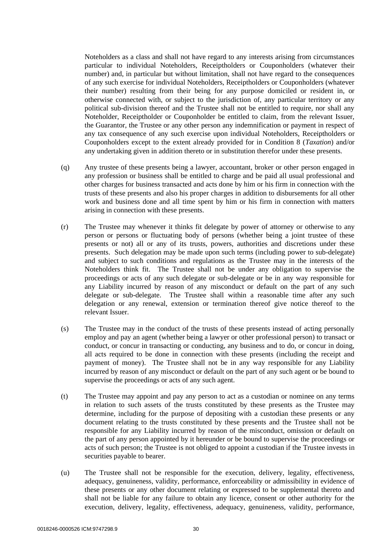Noteholders as a class and shall not have regard to any interests arising from circumstances particular to individual Noteholders, Receiptholders or Couponholders (whatever their number) and, in particular but without limitation, shall not have regard to the consequences of any such exercise for individual Noteholders, Receiptholders or Couponholders (whatever their number) resulting from their being for any purpose domiciled or resident in, or otherwise connected with, or subject to the jurisdiction of, any particular territory or any political sub-division thereof and the Trustee shall not be entitled to require, nor shall any Noteholder, Receiptholder or Couponholder be entitled to claim, from the relevant Issuer, the Guarantor, the Trustee or any other person any indemnification or payment in respect of any tax consequence of any such exercise upon individual Noteholders, Receiptholders or Couponholders except to the extent already provided for in Condition 8 (*Taxation*) and/or any undertaking given in addition thereto or in substitution therefor under these presents.

- (q) Any trustee of these presents being a lawyer, accountant, broker or other person engaged in any profession or business shall be entitled to charge and be paid all usual professional and other charges for business transacted and acts done by him or his firm in connection with the trusts of these presents and also his proper charges in addition to disbursements for all other work and business done and all time spent by him or his firm in connection with matters arising in connection with these presents.
- (r) The Trustee may whenever it thinks fit delegate by power of attorney or otherwise to any person or persons or fluctuating body of persons (whether being a joint trustee of these presents or not) all or any of its trusts, powers, authorities and discretions under these presents. Such delegation may be made upon such terms (including power to sub-delegate) and subject to such conditions and regulations as the Trustee may in the interests of the Noteholders think fit. The Trustee shall not be under any obligation to supervise the proceedings or acts of any such delegate or sub-delegate or be in any way responsible for any Liability incurred by reason of any misconduct or default on the part of any such delegate or sub-delegate. The Trustee shall within a reasonable time after any such delegation or any renewal, extension or termination thereof give notice thereof to the relevant Issuer.
- (s) The Trustee may in the conduct of the trusts of these presents instead of acting personally employ and pay an agent (whether being a lawyer or other professional person) to transact or conduct, or concur in transacting or conducting, any business and to do, or concur in doing, all acts required to be done in connection with these presents (including the receipt and payment of money). The Trustee shall not be in any way responsible for any Liability incurred by reason of any misconduct or default on the part of any such agent or be bound to supervise the proceedings or acts of any such agent.
- (t) The Trustee may appoint and pay any person to act as a custodian or nominee on any terms in relation to such assets of the trusts constituted by these presents as the Trustee may determine, including for the purpose of depositing with a custodian these presents or any document relating to the trusts constituted by these presents and the Trustee shall not be responsible for any Liability incurred by reason of the misconduct, omission or default on the part of any person appointed by it hereunder or be bound to supervise the proceedings or acts of such person; the Trustee is not obliged to appoint a custodian if the Trustee invests in securities payable to bearer.
- (u) The Trustee shall not be responsible for the execution, delivery, legality, effectiveness, adequacy, genuineness, validity, performance, enforceability or admissibility in evidence of these presents or any other document relating or expressed to be supplemental thereto and shall not be liable for any failure to obtain any licence, consent or other authority for the execution, delivery, legality, effectiveness, adequacy, genuineness, validity, performance,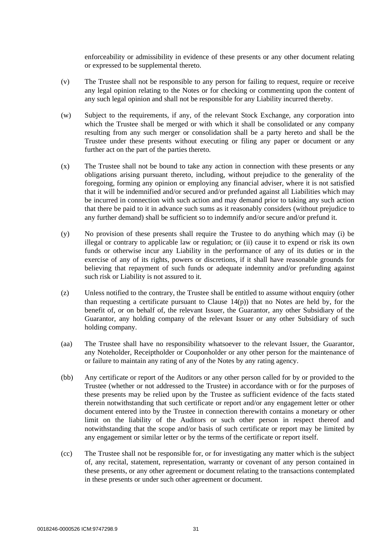enforceability or admissibility in evidence of these presents or any other document relating or expressed to be supplemental thereto.

- (v) The Trustee shall not be responsible to any person for failing to request, require or receive any legal opinion relating to the Notes or for checking or commenting upon the content of any such legal opinion and shall not be responsible for any Liability incurred thereby.
- (w) Subject to the requirements, if any, of the relevant Stock Exchange, any corporation into which the Trustee shall be merged or with which it shall be consolidated or any company resulting from any such merger or consolidation shall be a party hereto and shall be the Trustee under these presents without executing or filing any paper or document or any further act on the part of the parties thereto.
- (x) The Trustee shall not be bound to take any action in connection with these presents or any obligations arising pursuant thereto, including, without prejudice to the generality of the foregoing, forming any opinion or employing any financial adviser, where it is not satisfied that it will be indemnified and/or secured and/or prefunded against all Liabilities which may be incurred in connection with such action and may demand prior to taking any such action that there be paid to it in advance such sums as it reasonably considers (without prejudice to any further demand) shall be sufficient so to indemnify and/or secure and/or prefund it.
- (y) No provision of these presents shall require the Trustee to do anything which may (i) be illegal or contrary to applicable law or regulation; or (ii) cause it to expend or risk its own funds or otherwise incur any Liability in the performance of any of its duties or in the exercise of any of its rights, powers or discretions, if it shall have reasonable grounds for believing that repayment of such funds or adequate indemnity and/or prefunding against such risk or Liability is not assured to it.
- (z) Unless notified to the contrary, the Trustee shall be entitled to assume without enquiry (other than requesting a certificate pursuant to Clause [14\(p\)\)](#page-26-4) that no Notes are held by, for the benefit of, or on behalf of, the relevant Issuer, the Guarantor, any other Subsidiary of the Guarantor, any holding company of the relevant Issuer or any other Subsidiary of such holding company.
- (aa) The Trustee shall have no responsibility whatsoever to the relevant Issuer, the Guarantor, any Noteholder, Receiptholder or Couponholder or any other person for the maintenance of or failure to maintain any rating of any of the Notes by any rating agency.
- (bb) Any certificate or report of the Auditors or any other person called for by or provided to the Trustee (whether or not addressed to the Trustee) in accordance with or for the purposes of these presents may be relied upon by the Trustee as sufficient evidence of the facts stated therein notwithstanding that such certificate or report and/or any engagement letter or other document entered into by the Trustee in connection therewith contains a monetary or other limit on the liability of the Auditors or such other person in respect thereof and notwithstanding that the scope and/or basis of such certificate or report may be limited by any engagement or similar letter or by the terms of the certificate or report itself.
- (cc) The Trustee shall not be responsible for, or for investigating any matter which is the subject of, any recital, statement, representation, warranty or covenant of any person contained in these presents, or any other agreement or document relating to the transactions contemplated in these presents or under such other agreement or document.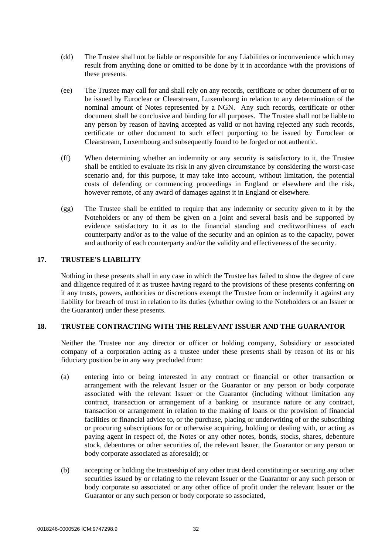- (dd) The Trustee shall not be liable or responsible for any Liabilities or inconvenience which may result from anything done or omitted to be done by it in accordance with the provisions of these presents.
- <span id="page-34-0"></span>(ee) The Trustee may call for and shall rely on any records, certificate or other document of or to be issued by Euroclear or Clearstream, Luxembourg in relation to any determination of the nominal amount of Notes represented by a NGN. Any such records, certificate or other document shall be conclusive and binding for all purposes. The Trustee shall not be liable to any person by reason of having accepted as valid or not having rejected any such records, certificate or other document to such effect purporting to be issued by Euroclear or Clearstream, Luxembourg and subsequently found to be forged or not authentic.
- (ff) When determining whether an indemnity or any security is satisfactory to it, the Trustee shall be entitled to evaluate its risk in any given circumstance by considering the worst-case scenario and, for this purpose, it may take into account, without limitation, the potential costs of defending or commencing proceedings in England or elsewhere and the risk, however remote, of any award of damages against it in England or elsewhere.
- (gg) The Trustee shall be entitled to require that any indemnity or security given to it by the Noteholders or any of them be given on a joint and several basis and be supported by evidence satisfactory to it as to the financial standing and creditworthiness of each counterparty and/or as to the value of the security and an opinion as to the capacity, power and authority of each counterparty and/or the validity and effectiveness of the security.

#### **17. TRUSTEE'S LIABILITY**

Nothing in these presents shall in any case in which the Trustee has failed to show the degree of care and diligence required of it as trustee having regard to the provisions of these presents conferring on it any trusts, powers, authorities or discretions exempt the Trustee from or indemnify it against any liability for breach of trust in relation to its duties (whether owing to the Noteholders or an Issuer or the Guarantor) under these presents.

#### **18. TRUSTEE CONTRACTING WITH THE RELEVANT ISSUER AND THE GUARANTOR**

Neither the Trustee nor any director or officer or holding company, Subsidiary or associated company of a corporation acting as a trustee under these presents shall by reason of its or his fiduciary position be in any way precluded from:

- <span id="page-34-1"></span>(a) entering into or being interested in any contract or financial or other transaction or arrangement with the relevant Issuer or the Guarantor or any person or body corporate associated with the relevant Issuer or the Guarantor (including without limitation any contract, transaction or arrangement of a banking or insurance nature or any contract, transaction or arrangement in relation to the making of loans or the provision of financial facilities or financial advice to, or the purchase, placing or underwriting of or the subscribing or procuring subscriptions for or otherwise acquiring, holding or dealing with, or acting as paying agent in respect of, the Notes or any other notes, bonds, stocks, shares, debenture stock, debentures or other securities of, the relevant Issuer, the Guarantor or any person or body corporate associated as aforesaid); or
- <span id="page-34-2"></span>(b) accepting or holding the trusteeship of any other trust deed constituting or securing any other securities issued by or relating to the relevant Issuer or the Guarantor or any such person or body corporate so associated or any other office of profit under the relevant Issuer or the Guarantor or any such person or body corporate so associated,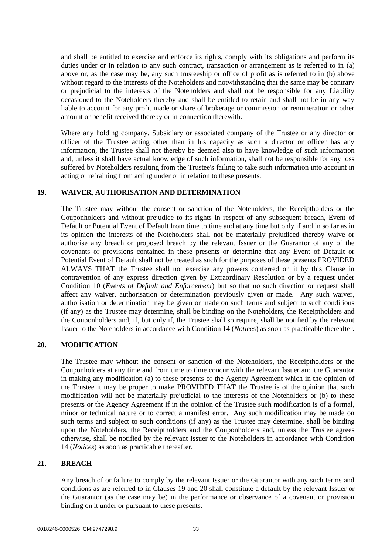and shall be entitled to exercise and enforce its rights, comply with its obligations and perform its duties under or in relation to any such contract, transaction or arrangement as is referred to in [\(a\)](#page-34-1)  [above](#page-34-1) or, as the case may be, any such trusteeship or office of profit as is referred to in [\(b\) above](#page-34-2) without regard to the interests of the Noteholders and notwithstanding that the same may be contrary or prejudicial to the interests of the Noteholders and shall not be responsible for any Liability occasioned to the Noteholders thereby and shall be entitled to retain and shall not be in any way liable to account for any profit made or share of brokerage or commission or remuneration or other amount or benefit received thereby or in connection therewith.

Where any holding company, Subsidiary or associated company of the Trustee or any director or officer of the Trustee acting other than in his capacity as such a director or officer has any information, the Trustee shall not thereby be deemed also to have knowledge of such information and, unless it shall have actual knowledge of such information, shall not be responsible for any loss suffered by Noteholders resulting from the Trustee's failing to take such information into account in acting or refraining from acting under or in relation to these presents.

#### <span id="page-35-0"></span>**19. WAIVER, AUTHORISATION AND DETERMINATION**

The Trustee may without the consent or sanction of the Noteholders, the Receiptholders or the Couponholders and without prejudice to its rights in respect of any subsequent breach, Event of Default or Potential Event of Default from time to time and at any time but only if and in so far as in its opinion the interests of the Noteholders shall not be materially prejudiced thereby waive or authorise any breach or proposed breach by the relevant Issuer or the Guarantor of any of the covenants or provisions contained in these presents or determine that any Event of Default or Potential Event of Default shall not be treated as such for the purposes of these presents PROVIDED ALWAYS THAT the Trustee shall not exercise any powers conferred on it by this Clause in contravention of any express direction given by Extraordinary Resolution or by a request under Condition 10 (*Events of Default and Enforcement*) but so that no such direction or request shall affect any waiver, authorisation or determination previously given or made. Any such waiver, authorisation or determination may be given or made on such terms and subject to such conditions (if any) as the Trustee may determine, shall be binding on the Noteholders, the Receiptholders and the Couponholders and, if, but only if, the Trustee shall so require, shall be notified by the relevant Issuer to the Noteholders in accordance with Condition 14 (*Notices*) as soon as practicable thereafter.

## <span id="page-35-1"></span>**20. MODIFICATION**

The Trustee may without the consent or sanction of the Noteholders, the Receiptholders or the Couponholders at any time and from time to time concur with the relevant Issuer and the Guarantor in making any modification (a) to these presents or the Agency Agreement which in the opinion of the Trustee it may be proper to make PROVIDED THAT the Trustee is of the opinion that such modification will not be materially prejudicial to the interests of the Noteholders or (b) to these presents or the Agency Agreement if in the opinion of the Trustee such modification is of a formal, minor or technical nature or to correct a manifest error. Any such modification may be made on such terms and subject to such conditions (if any) as the Trustee may determine, shall be binding upon the Noteholders, the Receiptholders and the Couponholders and, unless the Trustee agrees otherwise, shall be notified by the relevant Issuer to the Noteholders in accordance with Condition 14 (*Notices*) as soon as practicable thereafter.

#### **21. BREACH**

Any breach of or failure to comply by the relevant Issuer or the Guarantor with any such terms and conditions as are referred to in Clauses [19](#page-35-0) and [20](#page-35-1) shall constitute a default by the relevant Issuer or the Guarantor (as the case may be) in the performance or observance of a covenant or provision binding on it under or pursuant to these presents.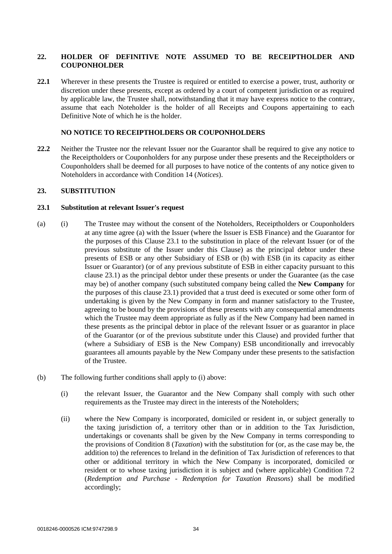# **22. HOLDER OF DEFINITIVE NOTE ASSUMED TO BE RECEIPTHOLDER AND COUPONHOLDER**

**22.1** Wherever in these presents the Trustee is required or entitled to exercise a power, trust, authority or discretion under these presents, except as ordered by a court of competent jurisdiction or as required by applicable law, the Trustee shall, notwithstanding that it may have express notice to the contrary, assume that each Noteholder is the holder of all Receipts and Coupons appertaining to each Definitive Note of which he is the holder.

### **NO NOTICE TO RECEIPTHOLDERS OR COUPONHOLDERS**

**22.2** Neither the Trustee nor the relevant Issuer nor the Guarantor shall be required to give any notice to the Receiptholders or Couponholders for any purpose under these presents and the Receiptholders or Couponholders shall be deemed for all purposes to have notice of the contents of any notice given to Noteholders in accordance with Condition 14 (*Notices*).

### **23. SUBSTITUTION**

### **23.1 Substitution at relevant Issuer's request**

- <span id="page-36-0"></span>(a) (i) The Trustee may without the consent of the Noteholders, Receiptholders or Couponholders at any time agree (a) with the Issuer (where the Issuer is ESB Finance) and the Guarantor for the purposes of this Clause 23.1 to the substitution in place of the relevant Issuer (or of the previous substitute of the Issuer under this Clause) as the principal debtor under these presents of ESB or any other Subsidiary of ESB or (b) with ESB (in its capacity as either Issuer or Guarantor) (or of any previous substitute of ESB in either capacity pursuant to this clause 23.1) as the principal debtor under these presents or under the Guarantee (as the case may be) of another company (such substituted company being called the **New Company** for the purposes of this clause 23.1) provided that a trust deed is executed or some other form of undertaking is given by the New Company in form and manner satisfactory to the Trustee, agreeing to be bound by the provisions of these presents with any consequential amendments which the Trustee may deem appropriate as fully as if the New Company had been named in these presents as the principal debtor in place of the relevant Issuer or as guarantor in place of the Guarantor (or of the previous substitute under this Clause) and provided further that (where a Subsidiary of ESB is the New Company) ESB unconditionally and irrevocably guarantees all amounts payable by the New Company under these presents to the satisfaction of the Trustee.
- (b) The following further conditions shall apply to [\(i\) above:](#page-36-0)
	- (i) the relevant Issuer, the Guarantor and the New Company shall comply with such other requirements as the Trustee may direct in the interests of the Noteholders;
	- (ii) where the New Company is incorporated, domiciled or resident in, or subject generally to the taxing jurisdiction of, a territory other than or in addition to the Tax Jurisdiction, undertakings or covenants shall be given by the New Company in terms corresponding to the provisions of Condition 8 (*Taxation*) with the substitution for (or, as the case may be, the addition to) the references to Ireland in the definition of Tax Jurisdiction of references to that other or additional territory in which the New Company is incorporated, domiciled or resident or to whose taxing jurisdiction it is subject and (where applicable) Condition 7.2 (*Redemption and Purchase - Redemption for Taxation Reasons*) shall be modified accordingly;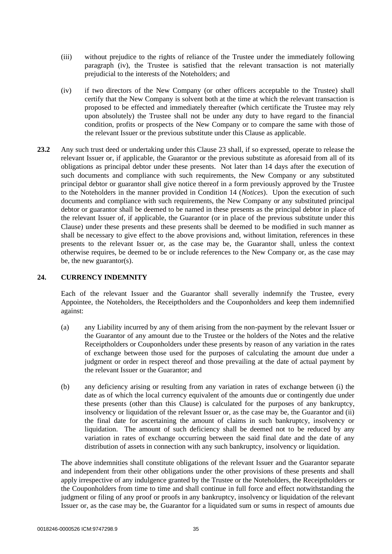- (iii) without prejudice to the rights of reliance of the Trustee under the immediately following paragraph (iv), the Trustee is satisfied that the relevant transaction is not materially prejudicial to the interests of the Noteholders; and
- (iv) if two directors of the New Company (or other officers acceptable to the Trustee) shall certify that the New Company is solvent both at the time at which the relevant transaction is proposed to be effected and immediately thereafter (which certificate the Trustee may rely upon absolutely) the Trustee shall not be under any duty to have regard to the financial condition, profits or prospects of the New Company or to compare the same with those of the relevant Issuer or the previous substitute under this Clause as applicable.
- **23.2** Any such trust deed or undertaking under this Clause 23 shall, if so expressed, operate to release the relevant Issuer or, if applicable, the Guarantor or the previous substitute as aforesaid from all of its obligations as principal debtor under these presents. Not later than 14 days after the execution of such documents and compliance with such requirements, the New Company or any substituted principal debtor or guarantor shall give notice thereof in a form previously approved by the Trustee to the Noteholders in the manner provided in Condition 14 (*Notices*). Upon the execution of such documents and compliance with such requirements, the New Company or any substituted principal debtor or guarantor shall be deemed to be named in these presents as the principal debtor in place of the relevant Issuer of, if applicable, the Guarantor (or in place of the previous substitute under this Clause) under these presents and these presents shall be deemed to be modified in such manner as shall be necessary to give effect to the above provisions and, without limitation, references in these presents to the relevant Issuer or, as the case may be, the Guarantor shall, unless the context otherwise requires, be deemed to be or include references to the New Company or, as the case may be, the new guarantor(s).

#### **24. CURRENCY INDEMNITY**

Each of the relevant Issuer and the Guarantor shall severally indemnify the Trustee, every Appointee, the Noteholders, the Receiptholders and the Couponholders and keep them indemnified against:

- (a) any Liability incurred by any of them arising from the non-payment by the relevant Issuer or the Guarantor of any amount due to the Trustee or the holders of the Notes and the relative Receiptholders or Couponholders under these presents by reason of any variation in the rates of exchange between those used for the purposes of calculating the amount due under a judgment or order in respect thereof and those prevailing at the date of actual payment by the relevant Issuer or the Guarantor; and
- (b) any deficiency arising or resulting from any variation in rates of exchange between (i) the date as of which the local currency equivalent of the amounts due or contingently due under these presents (other than this Clause) is calculated for the purposes of any bankruptcy, insolvency or liquidation of the relevant Issuer or, as the case may be, the Guarantor and (ii) the final date for ascertaining the amount of claims in such bankruptcy, insolvency or liquidation. The amount of such deficiency shall be deemed not to be reduced by any variation in rates of exchange occurring between the said final date and the date of any distribution of assets in connection with any such bankruptcy, insolvency or liquidation.

The above indemnities shall constitute obligations of the relevant Issuer and the Guarantor separate and independent from their other obligations under the other provisions of these presents and shall apply irrespective of any indulgence granted by the Trustee or the Noteholders, the Receiptholders or the Couponholders from time to time and shall continue in full force and effect notwithstanding the judgment or filing of any proof or proofs in any bankruptcy, insolvency or liquidation of the relevant Issuer or, as the case may be, the Guarantor for a liquidated sum or sums in respect of amounts due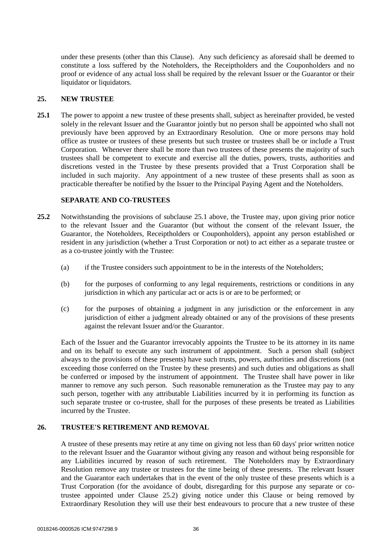under these presents (other than this Clause). Any such deficiency as aforesaid shall be deemed to constitute a loss suffered by the Noteholders, the Receiptholders and the Couponholders and no proof or evidence of any actual loss shall be required by the relevant Issuer or the Guarantor or their liquidator or liquidators.

# **25. NEW TRUSTEE**

<span id="page-38-0"></span>**25.1** The power to appoint a new trustee of these presents shall, subject as hereinafter provided, be vested solely in the relevant Issuer and the Guarantor jointly but no person shall be appointed who shall not previously have been approved by an Extraordinary Resolution. One or more persons may hold office as trustee or trustees of these presents but such trustee or trustees shall be or include a Trust Corporation. Whenever there shall be more than two trustees of these presents the majority of such trustees shall be competent to execute and exercise all the duties, powers, trusts, authorities and discretions vested in the Trustee by these presents provided that a Trust Corporation shall be included in such majority. Any appointment of a new trustee of these presents shall as soon as practicable thereafter be notified by the Issuer to the Principal Paying Agent and the Noteholders.

### **SEPARATE AND CO-TRUSTEES**

- <span id="page-38-1"></span>**25.2** Notwithstanding the provisions of subclause [25.1 above,](#page-38-0) the Trustee may, upon giving prior notice to the relevant Issuer and the Guarantor (but without the consent of the relevant Issuer, the Guarantor, the Noteholders, Receiptholders or Couponholders), appoint any person established or resident in any jurisdiction (whether a Trust Corporation or not) to act either as a separate trustee or as a co-trustee jointly with the Trustee:
	- (a) if the Trustee considers such appointment to be in the interests of the Noteholders;
	- (b) for the purposes of conforming to any legal requirements, restrictions or conditions in any jurisdiction in which any particular act or acts is or are to be performed; or
	- (c) for the purposes of obtaining a judgment in any jurisdiction or the enforcement in any jurisdiction of either a judgment already obtained or any of the provisions of these presents against the relevant Issuer and/or the Guarantor.

Each of the Issuer and the Guarantor irrevocably appoints the Trustee to be its attorney in its name and on its behalf to execute any such instrument of appointment. Such a person shall (subject always to the provisions of these presents) have such trusts, powers, authorities and discretions (not exceeding those conferred on the Trustee by these presents) and such duties and obligations as shall be conferred or imposed by the instrument of appointment. The Trustee shall have power in like manner to remove any such person. Such reasonable remuneration as the Trustee may pay to any such person, together with any attributable Liabilities incurred by it in performing its function as such separate trustee or co-trustee, shall for the purposes of these presents be treated as Liabilities incurred by the Trustee.

# **26. TRUSTEE'S RETIREMENT AND REMOVAL**

A trustee of these presents may retire at any time on giving not less than 60 days' prior written notice to the relevant Issuer and the Guarantor without giving any reason and without being responsible for any Liabilities incurred by reason of such retirement. The Noteholders may by Extraordinary Resolution remove any trustee or trustees for the time being of these presents. The relevant Issuer and the Guarantor each undertakes that in the event of the only trustee of these presents which is a Trust Corporation (for the avoidance of doubt, disregarding for this purpose any separate or cotrustee appointed under Clause [25.2\)](#page-38-1) giving notice under this Clause or being removed by Extraordinary Resolution they will use their best endeavours to procure that a new trustee of these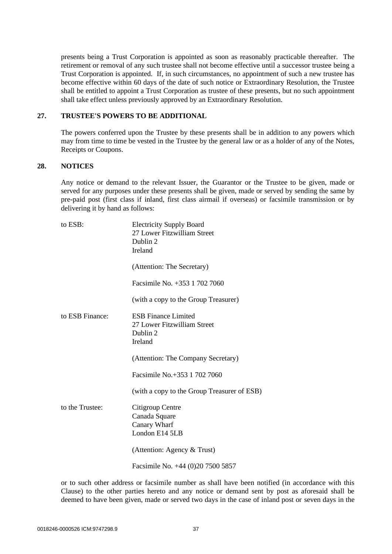presents being a Trust Corporation is appointed as soon as reasonably practicable thereafter. The retirement or removal of any such trustee shall not become effective until a successor trustee being a Trust Corporation is appointed. If, in such circumstances, no appointment of such a new trustee has become effective within 60 days of the date of such notice or Extraordinary Resolution, the Trustee shall be entitled to appoint a Trust Corporation as trustee of these presents, but no such appointment shall take effect unless previously approved by an Extraordinary Resolution.

# **27. TRUSTEE'S POWERS TO BE ADDITIONAL**

The powers conferred upon the Trustee by these presents shall be in addition to any powers which may from time to time be vested in the Trustee by the general law or as a holder of any of the Notes, Receipts or Coupons.

# <span id="page-39-0"></span>**28. NOTICES**

Any notice or demand to the relevant Issuer, the Guarantor or the Trustee to be given, made or served for any purposes under these presents shall be given, made or served by sending the same by pre-paid post (first class if inland, first class airmail if overseas) or facsimile transmission or by delivering it by hand as follows:

| to ESB:         | <b>Electricity Supply Board</b><br>27 Lower Fitzwilliam Street<br>Dublin 2<br>Ireland |
|-----------------|---------------------------------------------------------------------------------------|
|                 | (Attention: The Secretary)                                                            |
|                 | Facsimile No. +353 1 702 7060                                                         |
|                 | (with a copy to the Group Treasurer)                                                  |
| to ESB Finance: | <b>ESB</b> Finance Limited<br>27 Lower Fitzwilliam Street<br>Dublin 2<br>Ireland      |
|                 | (Attention: The Company Secretary)                                                    |
|                 | Facsimile No.+353 1 702 7060                                                          |
|                 | (with a copy to the Group Treasurer of ESB)                                           |
| to the Trustee: | Citigroup Centre<br>Canada Square<br>Canary Wharf<br>London E14 5LB                   |
|                 | (Attention: Agency & Trust)                                                           |
|                 | Facsimile No. +44 (0)20 7500 5857                                                     |

or to such other address or facsimile number as shall have been notified (in accordance with this Clause) to the other parties hereto and any notice or demand sent by post as aforesaid shall be deemed to have been given, made or served two days in the case of inland post or seven days in the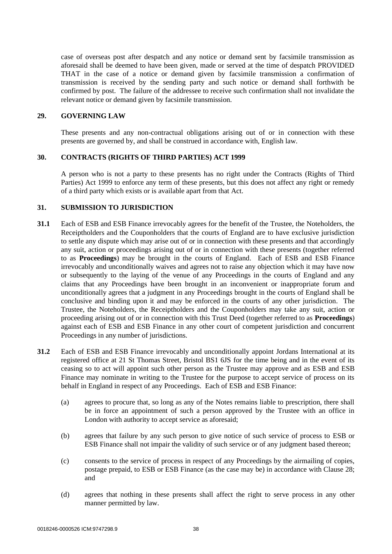case of overseas post after despatch and any notice or demand sent by facsimile transmission as aforesaid shall be deemed to have been given, made or served at the time of despatch PROVIDED THAT in the case of a notice or demand given by facsimile transmission a confirmation of transmission is received by the sending party and such notice or demand shall forthwith be confirmed by post. The failure of the addressee to receive such confirmation shall not invalidate the relevant notice or demand given by facsimile transmission.

# **29. GOVERNING LAW**

These presents and any non-contractual obligations arising out of or in connection with these presents are governed by, and shall be construed in accordance with, English law.

# **30. CONTRACTS (RIGHTS OF THIRD PARTIES) ACT 1999**

A person who is not a party to these presents has no right under the Contracts (Rights of Third Parties) Act 1999 to enforce any term of these presents, but this does not affect any right or remedy of a third party which exists or is available apart from that Act.

# **31. SUBMISSION TO JURISDICTION**

- **31.1** Each of ESB and ESB Finance irrevocably agrees for the benefit of the Trustee, the Noteholders, the Receiptholders and the Couponholders that the courts of England are to have exclusive jurisdiction to settle any dispute which may arise out of or in connection with these presents and that accordingly any suit, action or proceedings arising out of or in connection with these presents (together referred to as **Proceedings**) may be brought in the courts of England. Each of ESB and ESB Finance irrevocably and unconditionally waives and agrees not to raise any objection which it may have now or subsequently to the laying of the venue of any Proceedings in the courts of England and any claims that any Proceedings have been brought in an inconvenient or inappropriate forum and unconditionally agrees that a judgment in any Proceedings brought in the courts of England shall be conclusive and binding upon it and may be enforced in the courts of any other jurisdiction. The Trustee, the Noteholders, the Receiptholders and the Couponholders may take any suit, action or proceeding arising out of or in connection with this Trust Deed (together referred to as **Proceedings**) against each of ESB and ESB Finance in any other court of competent jurisdiction and concurrent Proceedings in any number of jurisdictions.
- **31.2** Each of ESB and ESB Finance irrevocably and unconditionally appoint Jordans International at its registered office at 21 St Thomas Street, Bristol BS1 6JS for the time being and in the event of its ceasing so to act will appoint such other person as the Trustee may approve and as ESB and ESB Finance may nominate in writing to the Trustee for the purpose to accept service of process on its behalf in England in respect of any Proceedings. Each of ESB and ESB Finance:
	- (a) agrees to procure that, so long as any of the Notes remains liable to prescription, there shall be in force an appointment of such a person approved by the Trustee with an office in London with authority to accept service as aforesaid;
	- (b) agrees that failure by any such person to give notice of such service of process to ESB or ESB Finance shall not impair the validity of such service or of any judgment based thereon;
	- (c) consents to the service of process in respect of any Proceedings by the airmailing of copies, postage prepaid, to ESB or ESB Finance (as the case may be) in accordance with Clause [28;](#page-39-0) and
	- (d) agrees that nothing in these presents shall affect the right to serve process in any other manner permitted by law.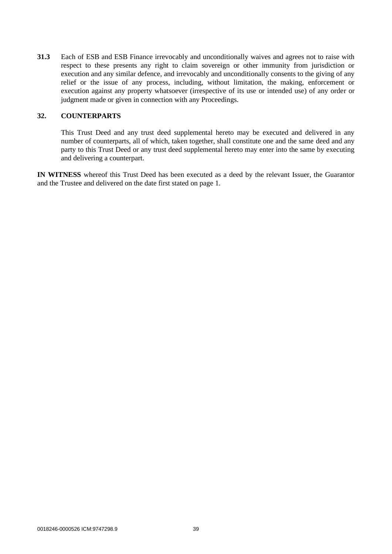**31.3** Each of ESB and ESB Finance irrevocably and unconditionally waives and agrees not to raise with respect to these presents any right to claim sovereign or other immunity from jurisdiction or execution and any similar defence, and irrevocably and unconditionally consents to the giving of any relief or the issue of any process, including, without limitation, the making, enforcement or execution against any property whatsoever (irrespective of its use or intended use) of any order or judgment made or given in connection with any Proceedings.

# **32. COUNTERPARTS**

This Trust Deed and any trust deed supplemental hereto may be executed and delivered in any number of counterparts, all of which, taken together, shall constitute one and the same deed and any party to this Trust Deed or any trust deed supplemental hereto may enter into the same by executing and delivering a counterpart.

**IN WITNESS** whereof this Trust Deed has been executed as a deed by the relevant Issuer, the Guarantor and the Trustee and delivered on the date first stated on page 1.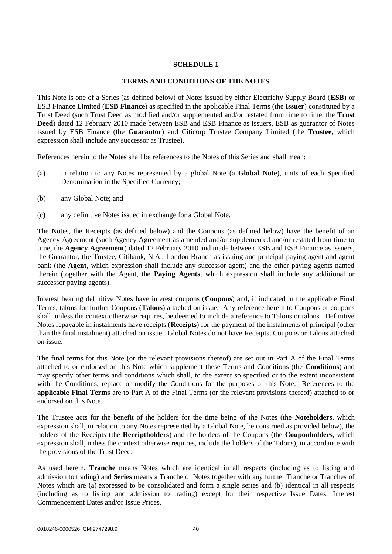# **SCHEDULE 1**

### **TERMS AND CONDITIONS OF THE NOTES**

This Note is one of a Series (as defined below) of Notes issued by either Electricity Supply Board (**ESB**) or ESB Finance Limited (**ESB Finance**) as specified in the applicable Final Terms (the **Issuer**) constituted by a Trust Deed (such Trust Deed as modified and/or supplemented and/or restated from time to time, the **Trust Deed**) dated 12 February 2010 made between ESB and ESB Finance as issuers, ESB as guarantor of Notes issued by ESB Finance (the **Guarantor**) and Citicorp Trustee Company Limited (the **Trustee**, which expression shall include any successor as Trustee).

References herein to the **Notes** shall be references to the Notes of this Series and shall mean:

- (a) in relation to any Notes represented by a global Note (a **Global Note**), units of each Specified Denomination in the Specified Currency;
- (b) any Global Note; and
- (c) any definitive Notes issued in exchange for a Global Note.

The Notes, the Receipts (as defined below) and the Coupons (as defined below) have the benefit of an Agency Agreement (such Agency Agreement as amended and/or supplemented and/or restated from time to time, the **Agency Agreement**) dated 12 February 2010 and made between ESB and ESB Finance as issuers, the Guarantor, the Trustee, Citibank, N.A., London Branch as issuing and principal paying agent and agent bank (the **Agent**, which expression shall include any successor agent) and the other paying agents named therein (together with the Agent, the **Paying Agents**, which expression shall include any additional or successor paying agents).

Interest bearing definitive Notes have interest coupons (**Coupons**) and, if indicated in the applicable Final Terms, talons for further Coupons (**Talons**) attached on issue. Any reference herein to Coupons or coupons shall, unless the context otherwise requires, be deemed to include a reference to Talons or talons. Definitive Notes repayable in instalments have receipts (**Receipts**) for the payment of the instalments of principal (other than the final instalment) attached on issue. Global Notes do not have Receipts, Coupons or Talons attached on issue.

The final terms for this Note (or the relevant provisions thereof) are set out in Part A of the Final Terms attached to or endorsed on this Note which supplement these Terms and Conditions (the **Conditions**) and may specify other terms and conditions which shall, to the extent so specified or to the extent inconsistent with the Conditions, replace or modify the Conditions for the purposes of this Note. References to the **applicable Final Terms** are to Part A of the Final Terms (or the relevant provisions thereof) attached to or endorsed on this Note.

The Trustee acts for the benefit of the holders for the time being of the Notes (the **Noteholders**, which expression shall, in relation to any Notes represented by a Global Note, be construed as provided below), the holders of the Receipts (the **Receiptholders**) and the holders of the Coupons (the **Couponholders**, which expression shall, unless the context otherwise requires, include the holders of the Talons), in accordance with the provisions of the Trust Deed.

As used herein, **Tranche** means Notes which are identical in all respects (including as to listing and admission to trading) and **Series** means a Tranche of Notes together with any further Tranche or Tranches of Notes which are (a) expressed to be consolidated and form a single series and (b) identical in all respects (including as to listing and admission to trading) except for their respective Issue Dates, Interest Commencement Dates and/or Issue Prices.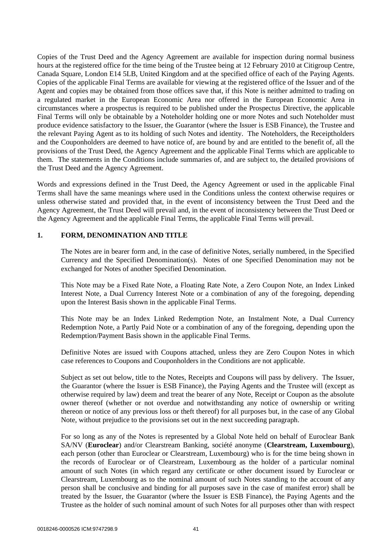Copies of the Trust Deed and the Agency Agreement are available for inspection during normal business hours at the registered office for the time being of the Trustee being at 12 February 2010 at Citigroup Centre, Canada Square, London E14 5LB, United Kingdom and at the specified office of each of the Paying Agents. Copies of the applicable Final Terms are available for viewing at the registered office of the Issuer and of the Agent and copies may be obtained from those offices save that, if this Note is neither admitted to trading on a regulated market in the European Economic Area nor offered in the European Economic Area in circumstances where a prospectus is required to be published under the Prospectus Directive, the applicable Final Terms will only be obtainable by a Noteholder holding one or more Notes and such Noteholder must produce evidence satisfactory to the Issuer, the Guarantor (where the Issuer is ESB Finance), the Trustee and the relevant Paying Agent as to its holding of such Notes and identity. The Noteholders, the Receiptholders and the Couponholders are deemed to have notice of, are bound by and are entitled to the benefit of, all the provisions of the Trust Deed, the Agency Agreement and the applicable Final Terms which are applicable to them. The statements in the Conditions include summaries of, and are subject to, the detailed provisions of the Trust Deed and the Agency Agreement.

Words and expressions defined in the Trust Deed, the Agency Agreement or used in the applicable Final Terms shall have the same meanings where used in the Conditions unless the context otherwise requires or unless otherwise stated and provided that, in the event of inconsistency between the Trust Deed and the Agency Agreement, the Trust Deed will prevail and, in the event of inconsistency between the Trust Deed or the Agency Agreement and the applicable Final Terms, the applicable Final Terms will prevail.

# **1. FORM, DENOMINATION AND TITLE**

The Notes are in bearer form and, in the case of definitive Notes, serially numbered, in the Specified Currency and the Specified Denomination(s). Notes of one Specified Denomination may not be exchanged for Notes of another Specified Denomination.

This Note may be a Fixed Rate Note, a Floating Rate Note, a Zero Coupon Note, an Index Linked Interest Note, a Dual Currency Interest Note or a combination of any of the foregoing, depending upon the Interest Basis shown in the applicable Final Terms.

This Note may be an Index Linked Redemption Note, an Instalment Note, a Dual Currency Redemption Note, a Partly Paid Note or a combination of any of the foregoing, depending upon the Redemption/Payment Basis shown in the applicable Final Terms.

Definitive Notes are issued with Coupons attached, unless they are Zero Coupon Notes in which case references to Coupons and Couponholders in the Conditions are not applicable.

Subject as set out below, title to the Notes, Receipts and Coupons will pass by delivery. The Issuer, the Guarantor (where the Issuer is ESB Finance), the Paying Agents and the Trustee will (except as otherwise required by law) deem and treat the bearer of any Note, Receipt or Coupon as the absolute owner thereof (whether or not overdue and notwithstanding any notice of ownership or writing thereon or notice of any previous loss or theft thereof) for all purposes but, in the case of any Global Note, without prejudice to the provisions set out in the next succeeding paragraph.

For so long as any of the Notes is represented by a Global Note held on behalf of Euroclear Bank SA/NV (**Euroclear**) and/or Clearstream Banking, société anonyme (**Clearstream, Luxembourg**), each person (other than Euroclear or Clearstream, Luxembourg) who is for the time being shown in the records of Euroclear or of Clearstream, Luxembourg as the holder of a particular nominal amount of such Notes (in which regard any certificate or other document issued by Euroclear or Clearstream, Luxembourg as to the nominal amount of such Notes standing to the account of any person shall be conclusive and binding for all purposes save in the case of manifest error) shall be treated by the Issuer, the Guarantor (where the Issuer is ESB Finance), the Paying Agents and the Trustee as the holder of such nominal amount of such Notes for all purposes other than with respect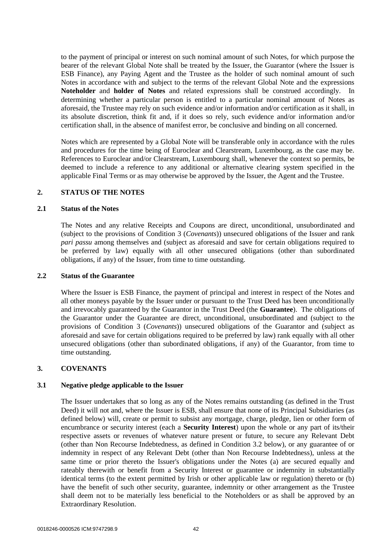to the payment of principal or interest on such nominal amount of such Notes, for which purpose the bearer of the relevant Global Note shall be treated by the Issuer, the Guarantor (where the Issuer is ESB Finance), any Paying Agent and the Trustee as the holder of such nominal amount of such Notes in accordance with and subject to the terms of the relevant Global Note and the expressions **Noteholder** and **holder of Notes** and related expressions shall be construed accordingly. In determining whether a particular person is entitled to a particular nominal amount of Notes as aforesaid, the Trustee may rely on such evidence and/or information and/or certification as it shall, in its absolute discretion, think fit and, if it does so rely, such evidence and/or information and/or certification shall, in the absence of manifest error, be conclusive and binding on all concerned.

Notes which are represented by a Global Note will be transferable only in accordance with the rules and procedures for the time being of Euroclear and Clearstream, Luxembourg, as the case may be. References to Euroclear and/or Clearstream, Luxembourg shall, whenever the context so permits, be deemed to include a reference to any additional or alternative clearing system specified in the applicable Final Terms or as may otherwise be approved by the Issuer, the Agent and the Trustee.

### **2. STATUS OF THE NOTES**

#### **2.1 Status of the Notes**

The Notes and any relative Receipts and Coupons are direct, unconditional, unsubordinated and (subject to the provisions of Condition 3 (*Covenants*)) unsecured obligations of the Issuer and rank *pari passu* among themselves and (subject as aforesaid and save for certain obligations required to be preferred by law) equally with all other unsecured obligations (other than subordinated obligations, if any) of the Issuer, from time to time outstanding.

#### **2.2 Status of the Guarantee**

Where the Issuer is ESB Finance, the payment of principal and interest in respect of the Notes and all other moneys payable by the Issuer under or pursuant to the Trust Deed has been unconditionally and irrevocably guaranteed by the Guarantor in the Trust Deed (the **Guarantee**). The obligations of the Guarantor under the Guarantee are direct, unconditional, unsubordinated and (subject to the provisions of Condition 3 (*Covenants*)) unsecured obligations of the Guarantor and (subject as aforesaid and save for certain obligations required to be preferred by law) rank equally with all other unsecured obligations (other than subordinated obligations, if any) of the Guarantor, from time to time outstanding.

### **3. COVENANTS**

#### **3.1 Negative pledge applicable to the Issuer**

The Issuer undertakes that so long as any of the Notes remains outstanding (as defined in the Trust Deed) it will not and, where the Issuer is ESB, shall ensure that none of its Principal Subsidiaries (as defined below) will, create or permit to subsist any mortgage, charge, pledge, lien or other form of encumbrance or security interest (each a **Security Interest**) upon the whole or any part of its/their respective assets or revenues of whatever nature present or future, to secure any Relevant Debt (other than Non Recourse Indebtedness, as defined in Condition 3.2 below), or any guarantee of or indemnity in respect of any Relevant Debt (other than Non Recourse Indebtedness), unless at the same time or prior thereto the Issuer's obligations under the Notes (a) are secured equally and rateably therewith or benefit from a Security Interest or guarantee or indemnity in substantially identical terms (to the extent permitted by Irish or other applicable law or regulation) thereto or (b) have the benefit of such other security, guarantee, indemnity or other arrangement as the Trustee shall deem not to be materially less beneficial to the Noteholders or as shall be approved by an Extraordinary Resolution.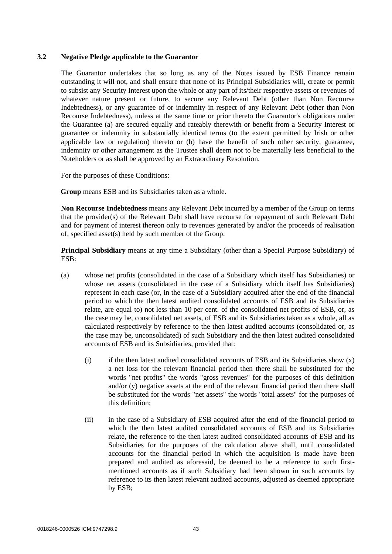### **3.2 Negative Pledge applicable to the Guarantor**

The Guarantor undertakes that so long as any of the Notes issued by ESB Finance remain outstanding it will not, and shall ensure that none of its Principal Subsidiaries will, create or permit to subsist any Security Interest upon the whole or any part of its/their respective assets or revenues of whatever nature present or future, to secure any Relevant Debt (other than Non Recourse Indebtedness), or any guarantee of or indemnity in respect of any Relevant Debt (other than Non Recourse Indebtedness), unless at the same time or prior thereto the Guarantor's obligations under the Guarantee (a) are secured equally and rateably therewith or benefit from a Security Interest or guarantee or indemnity in substantially identical terms (to the extent permitted by Irish or other applicable law or regulation) thereto or (b) have the benefit of such other security, guarantee, indemnity or other arrangement as the Trustee shall deem not to be materially less beneficial to the Noteholders or as shall be approved by an Extraordinary Resolution.

For the purposes of these Conditions:

**Group** means ESB and its Subsidiaries taken as a whole.

**Non Recourse Indebtedness** means any Relevant Debt incurred by a member of the Group on terms that the provider(s) of the Relevant Debt shall have recourse for repayment of such Relevant Debt and for payment of interest thereon only to revenues generated by and/or the proceeds of realisation of, specified asset(s) held by such member of the Group.

**Principal Subsidiary** means at any time a Subsidiary (other than a Special Purpose Subsidiary) of ESB:

- (a) whose net profits (consolidated in the case of a Subsidiary which itself has Subsidiaries) or whose net assets (consolidated in the case of a Subsidiary which itself has Subsidiaries) represent in each case (or, in the case of a Subsidiary acquired after the end of the financial period to which the then latest audited consolidated accounts of ESB and its Subsidiaries relate, are equal to) not less than 10 per cent. of the consolidated net profits of ESB, or, as the case may be, consolidated net assets, of ESB and its Subsidiaries taken as a whole, all as calculated respectively by reference to the then latest audited accounts (consolidated or, as the case may be, unconsolidated) of such Subsidiary and the then latest audited consolidated accounts of ESB and its Subsidiaries, provided that:
	- $(i)$  if the then latest audited consolidated accounts of ESB and its Subsidiaries show  $(x)$ a net loss for the relevant financial period then there shall be substituted for the words "net profits" the words "gross revenues" for the purposes of this definition and/or (y) negative assets at the end of the relevant financial period then there shall be substituted for the words "net assets" the words "total assets" for the purposes of this definition;
	- (ii) in the case of a Subsidiary of ESB acquired after the end of the financial period to which the then latest audited consolidated accounts of ESB and its Subsidiaries relate, the reference to the then latest audited consolidated accounts of ESB and its Subsidiaries for the purposes of the calculation above shall, until consolidated accounts for the financial period in which the acquisition is made have been prepared and audited as aforesaid, be deemed to be a reference to such firstmentioned accounts as if such Subsidiary had been shown in such accounts by reference to its then latest relevant audited accounts, adjusted as deemed appropriate by ESB;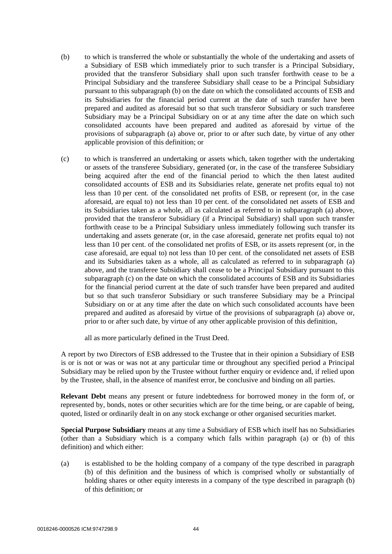- (b) to which is transferred the whole or substantially the whole of the undertaking and assets of a Subsidiary of ESB which immediately prior to such transfer is a Principal Subsidiary, provided that the transferor Subsidiary shall upon such transfer forthwith cease to be a Principal Subsidiary and the transferee Subsidiary shall cease to be a Principal Subsidiary pursuant to this subparagraph (b) on the date on which the consolidated accounts of ESB and its Subsidiaries for the financial period current at the date of such transfer have been prepared and audited as aforesaid but so that such transferor Subsidiary or such transferee Subsidiary may be a Principal Subsidiary on or at any time after the date on which such consolidated accounts have been prepared and audited as aforesaid by virtue of the provisions of subparagraph (a) above or, prior to or after such date, by virtue of any other applicable provision of this definition; or
- (c) to which is transferred an undertaking or assets which, taken together with the undertaking or assets of the transferee Subsidiary, generated (or, in the case of the transferee Subsidiary being acquired after the end of the financial period to which the then latest audited consolidated accounts of ESB and its Subsidiaries relate, generate net profits equal to) not less than 10 per cent. of the consolidated net profits of ESB, or represent (or, in the case aforesaid, are equal to) not less than 10 per cent. of the consolidated net assets of ESB and its Subsidiaries taken as a whole, all as calculated as referred to in subparagraph (a) above, provided that the transferor Subsidiary (if a Principal Subsidiary) shall upon such transfer forthwith cease to be a Principal Subsidiary unless immediately following such transfer its undertaking and assets generate (or, in the case aforesaid, generate net profits equal to) not less than 10 per cent. of the consolidated net profits of ESB, or its assets represent (or, in the case aforesaid, are equal to) not less than 10 per cent. of the consolidated net assets of ESB and its Subsidiaries taken as a whole, all as calculated as referred to in subparagraph (a) above, and the transferee Subsidiary shall cease to be a Principal Subsidiary pursuant to this subparagraph (c) on the date on which the consolidated accounts of ESB and its Subsidiaries for the financial period current at the date of such transfer have been prepared and audited but so that such transferor Subsidiary or such transferee Subsidiary may be a Principal Subsidiary on or at any time after the date on which such consolidated accounts have been prepared and audited as aforesaid by virtue of the provisions of subparagraph (a) above or, prior to or after such date, by virtue of any other applicable provision of this definition,

all as more particularly defined in the Trust Deed.

A report by two Directors of ESB addressed to the Trustee that in their opinion a Subsidiary of ESB is or is not or was or was not at any particular time or throughout any specified period a Principal Subsidiary may be relied upon by the Trustee without further enquiry or evidence and, if relied upon by the Trustee, shall, in the absence of manifest error, be conclusive and binding on all parties.

**Relevant Debt** means any present or future indebtedness for borrowed money in the form of, or represented by, bonds, notes or other securities which are for the time being, or are capable of being, quoted, listed or ordinarily dealt in on any stock exchange or other organised securities market.

**Special Purpose Subsidiary** means at any time a Subsidiary of ESB which itself has no Subsidiaries (other than a Subsidiary which is a company which falls within paragraph (a) or (b) of this definition) and which either:

(a) is established to be the holding company of a company of the type described in paragraph (b) of this definition and the business of which is comprised wholly or substantially of holding shares or other equity interests in a company of the type described in paragraph (b) of this definition; or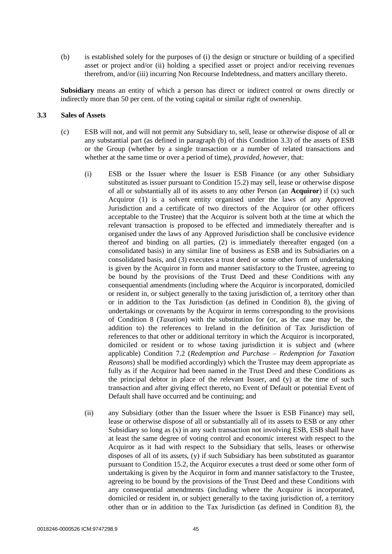(b) is established solely for the purposes of (i) the design or structure or building of a specified asset or project and/or (ii) holding a specified asset or project and/or receiving revenues therefrom, and/or (iii) incurring Non Recourse Indebtedness, and matters ancillary thereto.

**Subsidiary** means an entity of which a person has direct or indirect control or owns directly or indirectly more than 50 per cent. of the voting capital or similar right of ownership.

#### **3.3 Sales of Assets**

- (c) ESB will not, and will not permit any Subsidiary to, sell, lease or otherwise dispose of all or any substantial part (as defined in paragraph (b) of this Condition 3.3) of the assets of ESB or the Group (whether by a single transaction or a number of related transactions and whether at the same time or over a period of time), *provided, however,* that:
	- (i) ESB or the Issuer where the Issuer is ESB Finance (or any other Subsidiary substituted as issuer pursuant to Condition 15.2) may sell, lease or otherwise dispose of all or substantially all of its assets to any other Person (an **Acquiror**) if (x) such Acquiror (1) is a solvent entity organised under the laws of any Approved Jurisdiction and a certificate of two directors of the Acquiror (or other officers acceptable to the Trustee) that the Acquiror is solvent both at the time at which the relevant transaction is proposed to be effected and immediately thereafter and is organised under the laws of any Approved Jurisdiction shall be conclusive evidence thereof and binding on all parties, (2) is immediately thereafter engaged (on a consolidated basis) in any similar line of business as ESB and its Subsidiaries on a consolidated basis, and (3) executes a trust deed or some other form of undertaking is given by the Acquiror in form and manner satisfactory to the Trustee, agreeing to be bound by the provisions of the Trust Deed and these Conditions with any consequential amendments (including where the Acquiror is incorporated, domiciled or resident in, or subject generally to the taxing jurisdiction of, a territory other than or in addition to the Tax Jurisdiction (as defined in Condition 8), the giving of undertakings or covenants by the Acquiror in terms corresponding to the provisions of Condition 8 (*Taxation*) with the substitution for (or, as the case may be, the addition to) the references to Ireland in the definition of Tax Jurisdiction of references to that other or additional territory in which the Acquiror is incorporated, domiciled or resident or to whose taxing jurisdiction it is subject and (where applicable) Condition 7.2 (*Redemption and Purchase – Redemption for Taxation Reasons*) shall be modified accordingly) which the Trustee may deem appropriate as fully as if the Acquiror had been named in the Trust Deed and these Conditions as the principal debtor in place of the relevant Issuer, and (y) at the time of such transaction and after giving effect thereto, no Event of Default or potential Event of Default shall have occurred and be continuing; and
	- (ii) any Subsidiary (other than the Issuer where the Issuer is ESB Finance) may sell, lease or otherwise dispose of all or substantially all of its assets to ESB or any other Subsidiary so long as (x) in any such transaction not involving ESB, ESB shall have at least the same degree of voting control and economic interest with respect to the Acquiror as it had with respect to the Subsidiary that sells, leases or otherwise disposes of all of its assets, (y) if such Subsidiary has been substituted as guarantor pursuant to Condition 15.2, the Acquiror executes a trust deed or some other form of undertaking is given by the Acquiror in form and manner satisfactory to the Trustee, agreeing to be bound by the provisions of the Trust Deed and these Conditions with any consequential amendments (including where the Acquiror is incorporated, domiciled or resident in, or subject generally to the taxing jurisdiction of, a territory other than or in addition to the Tax Jurisdiction (as defined in Condition 8), the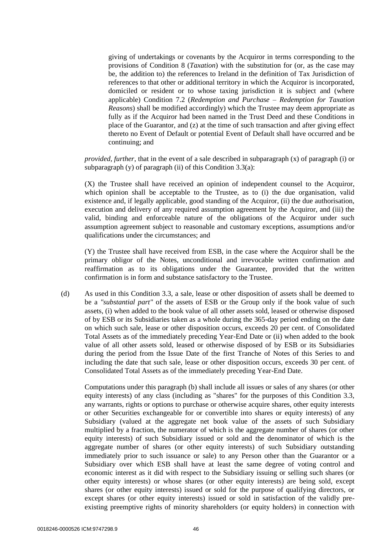giving of undertakings or covenants by the Acquiror in terms corresponding to the provisions of Condition 8 (*Taxation*) with the substitution for (or, as the case may be, the addition to) the references to Ireland in the definition of Tax Jurisdiction of references to that other or additional territory in which the Acquiror is incorporated, domiciled or resident or to whose taxing jurisdiction it is subject and (where applicable) Condition 7.2 (*Redemption and Purchase – Redemption for Taxation Reasons*) shall be modified accordingly) which the Trustee may deem appropriate as fully as if the Acquiror had been named in the Trust Deed and these Conditions in place of the Guarantor, and (z) at the time of such transaction and after giving effect thereto no Event of Default or potential Event of Default shall have occurred and be continuing; and

*provided, further*, that in the event of a sale described in subparagraph (x) of paragraph (i) or subparagraph  $(y)$  of paragraph  $(ii)$  of this Condition 3.3(a):

(X) the Trustee shall have received an opinion of independent counsel to the Acquiror, which opinion shall be acceptable to the Trustee, as to (i) the due organisation, valid existence and, if legally applicable, good standing of the Acquiror, (ii) the due authorisation, execution and delivery of any required assumption agreement by the Acquiror, and (iii) the valid, binding and enforceable nature of the obligations of the Acquiror under such assumption agreement subject to reasonable and customary exceptions, assumptions and/or qualifications under the circumstances; and

(Y) the Trustee shall have received from ESB, in the case where the Acquiror shall be the primary obligor of the Notes, unconditional and irrevocable written confirmation and reaffirmation as to its obligations under the Guarantee, provided that the written confirmation is in form and substance satisfactory to the Trustee.

(d) As used in this Condition 3.3, a sale, lease or other disposition of assets shall be deemed to be a *"substantial part"* of the assets of ESB or the Group only if the book value of such assets, (i) when added to the book value of all other assets sold, leased or otherwise disposed of by ESB or its Subsidiaries taken as a whole during the 365-day period ending on the date on which such sale, lease or other disposition occurs, exceeds 20 per cent. of Consolidated Total Assets as of the immediately preceding Year-End Date or (ii) when added to the book value of all other assets sold, leased or otherwise disposed of by ESB or its Subsidiaries during the period from the Issue Date of the first Tranche of Notes of this Series to and including the date that such sale, lease or other disposition occurs, exceeds 30 per cent. of Consolidated Total Assets as of the immediately preceding Year-End Date.

Computations under this paragraph (b) shall include all issues or sales of any shares (or other equity interests) of any class (including as "shares" for the purposes of this Condition 3.3, any warrants, rights or options to purchase or otherwise acquire shares, other equity interests or other Securities exchangeable for or convertible into shares or equity interests) of any Subsidiary (valued at the aggregate net book value of the assets of such Subsidiary multiplied by a fraction, the numerator of which is the aggregate number of shares (or other equity interests) of such Subsidiary issued or sold and the denominator of which is the aggregate number of shares (or other equity interests) of such Subsidiary outstanding immediately prior to such issuance or sale) to any Person other than the Guarantor or a Subsidiary over which ESB shall have at least the same degree of voting control and economic interest as it did with respect to the Subsidiary issuing or selling such shares (or other equity interests) or whose shares (or other equity interests) are being sold, except shares (or other equity interests) issued or sold for the purpose of qualifying directors, or except shares (or other equity interests) issued or sold in satisfaction of the validly preexisting preemptive rights of minority shareholders (or equity holders) in connection with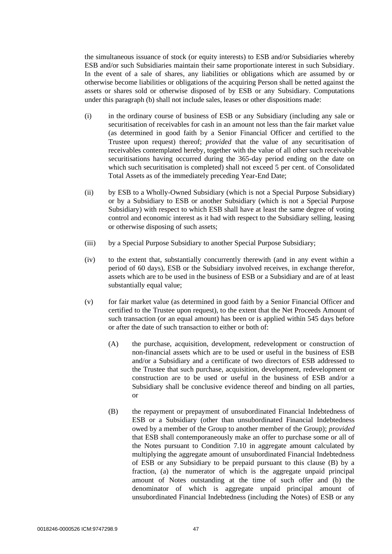the simultaneous issuance of stock (or equity interests) to ESB and/or Subsidiaries whereby ESB and/or such Subsidiaries maintain their same proportionate interest in such Subsidiary. In the event of a sale of shares, any liabilities or obligations which are assumed by or otherwise become liabilities or obligations of the acquiring Person shall be netted against the assets or shares sold or otherwise disposed of by ESB or any Subsidiary. Computations under this paragraph (b) shall not include sales, leases or other dispositions made:

- (i) in the ordinary course of business of ESB or any Subsidiary (including any sale or securitisation of receivables for cash in an amount not less than the fair market value (as determined in good faith by a Senior Financial Officer and certified to the Trustee upon request) thereof; *provided* that the value of any securitisation of receivables contemplated hereby, together with the value of all other such receivable securitisations having occurred during the 365-day period ending on the date on which such securitisation is completed) shall not exceed 5 per cent. of Consolidated Total Assets as of the immediately preceding Year-End Date;
- (ii) by ESB to a Wholly-Owned Subsidiary (which is not a Special Purpose Subsidiary) or by a Subsidiary to ESB or another Subsidiary (which is not a Special Purpose Subsidiary) with respect to which ESB shall have at least the same degree of voting control and economic interest as it had with respect to the Subsidiary selling, leasing or otherwise disposing of such assets;
- (iii) by a Special Purpose Subsidiary to another Special Purpose Subsidiary;
- (iv) to the extent that, substantially concurrently therewith (and in any event within a period of 60 days), ESB or the Subsidiary involved receives, in exchange therefor, assets which are to be used in the business of ESB or a Subsidiary and are of at least substantially equal value;
- (v) for fair market value (as determined in good faith by a Senior Financial Officer and certified to the Trustee upon request), to the extent that the Net Proceeds Amount of such transaction (or an equal amount) has been or is applied within 545 days before or after the date of such transaction to either or both of:
	- (A) the purchase, acquisition, development, redevelopment or construction of non-financial assets which are to be used or useful in the business of ESB and/or a Subsidiary and a certificate of two directors of ESB addressed to the Trustee that such purchase, acquisition, development, redevelopment or construction are to be used or useful in the business of ESB and/or a Subsidiary shall be conclusive evidence thereof and binding on all parties, or
	- (B) the repayment or prepayment of unsubordinated Financial Indebtedness of ESB or a Subsidiary (other than unsubordinated Financial Indebtedness owed by a member of the Group to another member of the Group); *provided* that ESB shall contemporaneously make an offer to purchase some or all of the Notes pursuant to Condition 7.10 in aggregate amount calculated by multiplying the aggregate amount of unsubordinated Financial Indebtedness of ESB or any Subsidiary to be prepaid pursuant to this clause (B) by a fraction, (a) the numerator of which is the aggregate unpaid principal amount of Notes outstanding at the time of such offer and (b) the denominator of which is aggregate unpaid principal amount of unsubordinated Financial Indebtedness (including the Notes) of ESB or any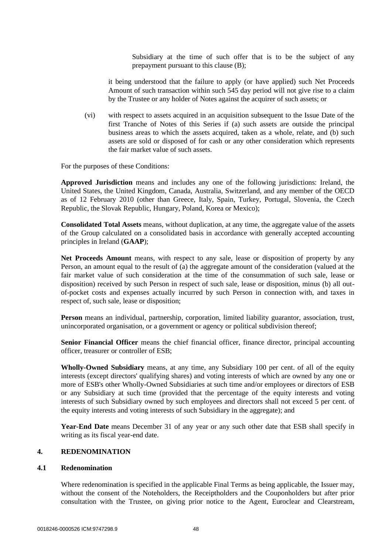Subsidiary at the time of such offer that is to be the subject of any prepayment pursuant to this clause (B);

it being understood that the failure to apply (or have applied) such Net Proceeds Amount of such transaction within such 545 day period will not give rise to a claim by the Trustee or any holder of Notes against the acquirer of such assets; or

(vi) with respect to assets acquired in an acquisition subsequent to the Issue Date of the first Tranche of Notes of this Series if (a) such assets are outside the principal business areas to which the assets acquired, taken as a whole, relate, and (b) such assets are sold or disposed of for cash or any other consideration which represents the fair market value of such assets.

For the purposes of these Conditions:

**Approved Jurisdiction** means and includes any one of the following jurisdictions: Ireland, the United States, the United Kingdom, Canada, Australia, Switzerland, and any member of the OECD as of 12 February 2010 (other than Greece, Italy, Spain, Turkey, Portugal, Slovenia, the Czech Republic, the Slovak Republic, Hungary, Poland, Korea or Mexico);

**Consolidated Total Assets** means, without duplication, at any time, the aggregate value of the assets of the Group calculated on a consolidated basis in accordance with generally accepted accounting principles in Ireland (**GAAP**);

**Net Proceeds Amount** means, with respect to any sale, lease or disposition of property by any Person, an amount equal to the result of (a) the aggregate amount of the consideration (valued at the fair market value of such consideration at the time of the consummation of such sale, lease or disposition) received by such Person in respect of such sale, lease or disposition, minus (b) all outof-pocket costs and expenses actually incurred by such Person in connection with, and taxes in respect of, such sale, lease or disposition;

**Person** means an individual, partnership, corporation, limited liability guarantor, association, trust, unincorporated organisation, or a government or agency or political subdivision thereof;

**Senior Financial Officer** means the chief financial officer, finance director, principal accounting officer, treasurer or controller of ESB;

**Wholly-Owned Subsidiary** means, at any time, any Subsidiary 100 per cent. of all of the equity interests (except directors' qualifying shares) and voting interests of which are owned by any one or more of ESB's other Wholly-Owned Subsidiaries at such time and/or employees or directors of ESB or any Subsidiary at such time (provided that the percentage of the equity interests and voting interests of such Subsidiary owned by such employees and directors shall not exceed 5 per cent. of the equity interests and voting interests of such Subsidiary in the aggregate); and

**Year-End Date** means December 31 of any year or any such other date that ESB shall specify in writing as its fiscal year-end date.

# **4. REDENOMINATION**

### **4.1 Redenomination**

Where redenomination is specified in the applicable Final Terms as being applicable, the Issuer may, without the consent of the Noteholders, the Receiptholders and the Couponholders but after prior consultation with the Trustee, on giving prior notice to the Agent, Euroclear and Clearstream,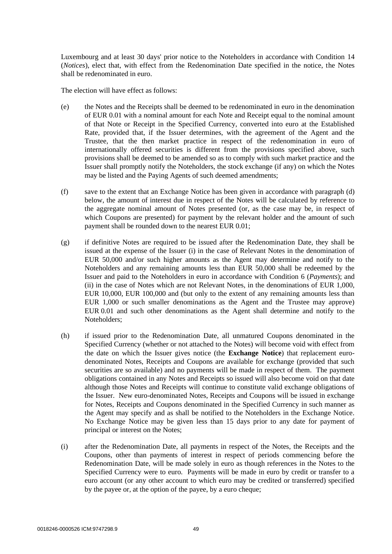Luxembourg and at least 30 days' prior notice to the Noteholders in accordance with Condition 14 (*Notices*), elect that, with effect from the Redenomination Date specified in the notice, the Notes shall be redenominated in euro.

The election will have effect as follows:

- (e) the Notes and the Receipts shall be deemed to be redenominated in euro in the denomination of EUR 0.01 with a nominal amount for each Note and Receipt equal to the nominal amount of that Note or Receipt in the Specified Currency, converted into euro at the Established Rate, provided that, if the Issuer determines, with the agreement of the Agent and the Trustee, that the then market practice in respect of the redenomination in euro of internationally offered securities is different from the provisions specified above, such provisions shall be deemed to be amended so as to comply with such market practice and the Issuer shall promptly notify the Noteholders, the stock exchange (if any) on which the Notes may be listed and the Paying Agents of such deemed amendments;
- (f) save to the extent that an Exchange Notice has been given in accordance with paragraph (d) below, the amount of interest due in respect of the Notes will be calculated by reference to the aggregate nominal amount of Notes presented (or, as the case may be, in respect of which Coupons are presented) for payment by the relevant holder and the amount of such payment shall be rounded down to the nearest EUR 0.01;
- (g) if definitive Notes are required to be issued after the Redenomination Date, they shall be issued at the expense of the Issuer (i) in the case of Relevant Notes in the denomination of EUR 50,000 and/or such higher amounts as the Agent may determine and notify to the Noteholders and any remaining amounts less than EUR 50,000 shall be redeemed by the Issuer and paid to the Noteholders in euro in accordance with Condition 6 (*Payments*); and (ii) in the case of Notes which are not Relevant Notes, in the denominations of EUR 1,000, EUR 10,000, EUR 100,000 and (but only to the extent of any remaining amounts less than EUR 1,000 or such smaller denominations as the Agent and the Trustee may approve) EUR 0.01 and such other denominations as the Agent shall determine and notify to the Noteholders;
- (h) if issued prior to the Redenomination Date, all unmatured Coupons denominated in the Specified Currency (whether or not attached to the Notes) will become void with effect from the date on which the Issuer gives notice (the **Exchange Notice**) that replacement eurodenominated Notes, Receipts and Coupons are available for exchange (provided that such securities are so available) and no payments will be made in respect of them. The payment obligations contained in any Notes and Receipts so issued will also become void on that date although those Notes and Receipts will continue to constitute valid exchange obligations of the Issuer. New euro-denominated Notes, Receipts and Coupons will be issued in exchange for Notes, Receipts and Coupons denominated in the Specified Currency in such manner as the Agent may specify and as shall be notified to the Noteholders in the Exchange Notice. No Exchange Notice may be given less than 15 days prior to any date for payment of principal or interest on the Notes;
- (i) after the Redenomination Date, all payments in respect of the Notes, the Receipts and the Coupons, other than payments of interest in respect of periods commencing before the Redenomination Date, will be made solely in euro as though references in the Notes to the Specified Currency were to euro. Payments will be made in euro by credit or transfer to a euro account (or any other account to which euro may be credited or transferred) specified by the payee or, at the option of the payee, by a euro cheque;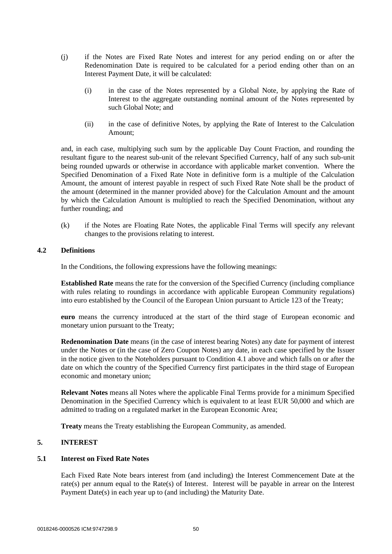- (j) if the Notes are Fixed Rate Notes and interest for any period ending on or after the Redenomination Date is required to be calculated for a period ending other than on an Interest Payment Date, it will be calculated:
	- (i) in the case of the Notes represented by a Global Note, by applying the Rate of Interest to the aggregate outstanding nominal amount of the Notes represented by such Global Note; and
	- (ii) in the case of definitive Notes, by applying the Rate of Interest to the Calculation Amount;

and, in each case, multiplying such sum by the applicable Day Count Fraction, and rounding the resultant figure to the nearest sub-unit of the relevant Specified Currency, half of any such sub-unit being rounded upwards or otherwise in accordance with applicable market convention. Where the Specified Denomination of a Fixed Rate Note in definitive form is a multiple of the Calculation Amount, the amount of interest payable in respect of such Fixed Rate Note shall be the product of the amount (determined in the manner provided above) for the Calculation Amount and the amount by which the Calculation Amount is multiplied to reach the Specified Denomination, without any further rounding; and

(k) if the Notes are Floating Rate Notes, the applicable Final Terms will specify any relevant changes to the provisions relating to interest.

# **4.2 Definitions**

In the Conditions, the following expressions have the following meanings:

**Established Rate** means the rate for the conversion of the Specified Currency (including compliance with rules relating to roundings in accordance with applicable European Community regulations) into euro established by the Council of the European Union pursuant to Article 123 of the Treaty;

**euro** means the currency introduced at the start of the third stage of European economic and monetary union pursuant to the Treaty;

**Redenomination Date** means (in the case of interest bearing Notes) any date for payment of interest under the Notes or (in the case of Zero Coupon Notes) any date, in each case specified by the Issuer in the notice given to the Noteholders pursuant to Condition 4.1 above and which falls on or after the date on which the country of the Specified Currency first participates in the third stage of European economic and monetary union;

**Relevant Notes** means all Notes where the applicable Final Terms provide for a minimum Specified Denomination in the Specified Currency which is equivalent to at least EUR 50,000 and which are admitted to trading on a regulated market in the European Economic Area;

**Treaty** means the Treaty establishing the European Community, as amended.

# **5. INTEREST**

### **5.1 Interest on Fixed Rate Notes**

Each Fixed Rate Note bears interest from (and including) the Interest Commencement Date at the rate(s) per annum equal to the Rate(s) of Interest. Interest will be payable in arrear on the Interest Payment Date(s) in each year up to (and including) the Maturity Date.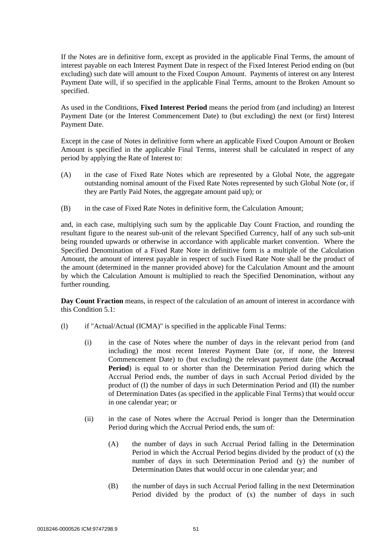If the Notes are in definitive form, except as provided in the applicable Final Terms, the amount of interest payable on each Interest Payment Date in respect of the Fixed Interest Period ending on (but excluding) such date will amount to the Fixed Coupon Amount. Payments of interest on any Interest Payment Date will, if so specified in the applicable Final Terms, amount to the Broken Amount so specified.

As used in the Conditions, **Fixed Interest Period** means the period from (and including) an Interest Payment Date (or the Interest Commencement Date) to (but excluding) the next (or first) Interest Payment Date.

Except in the case of Notes in definitive form where an applicable Fixed Coupon Amount or Broken Amount is specified in the applicable Final Terms, interest shall be calculated in respect of any period by applying the Rate of Interest to:

- (A) in the case of Fixed Rate Notes which are represented by a Global Note, the aggregate outstanding nominal amount of the Fixed Rate Notes represented by such Global Note (or, if they are Partly Paid Notes, the aggregate amount paid up); or
- (B) in the case of Fixed Rate Notes in definitive form, the Calculation Amount;

and, in each case, multiplying such sum by the applicable Day Count Fraction, and rounding the resultant figure to the nearest sub-unit of the relevant Specified Currency, half of any such sub-unit being rounded upwards or otherwise in accordance with applicable market convention. Where the Specified Denomination of a Fixed Rate Note in definitive form is a multiple of the Calculation Amount, the amount of interest payable in respect of such Fixed Rate Note shall be the product of the amount (determined in the manner provided above) for the Calculation Amount and the amount by which the Calculation Amount is multiplied to reach the Specified Denomination, without any further rounding.

**Day Count Fraction** means, in respect of the calculation of an amount of interest in accordance with this Condition 5.1:

- (l) if "Actual/Actual (ICMA)" is specified in the applicable Final Terms:
	- (i) in the case of Notes where the number of days in the relevant period from (and including) the most recent Interest Payment Date (or, if none, the Interest Commencement Date) to (but excluding) the relevant payment date (the **Accrual Period**) is equal to or shorter than the Determination Period during which the Accrual Period ends, the number of days in such Accrual Period divided by the product of (I) the number of days in such Determination Period and (II) the number of Determination Dates (as specified in the applicable Final Terms) that would occur in one calendar year; or
	- (ii) in the case of Notes where the Accrual Period is longer than the Determination Period during which the Accrual Period ends, the sum of:
		- (A) the number of days in such Accrual Period falling in the Determination Period in which the Accrual Period begins divided by the product of  $(x)$  the number of days in such Determination Period and (y) the number of Determination Dates that would occur in one calendar year; and
		- (B) the number of days in such Accrual Period falling in the next Determination Period divided by the product of (x) the number of days in such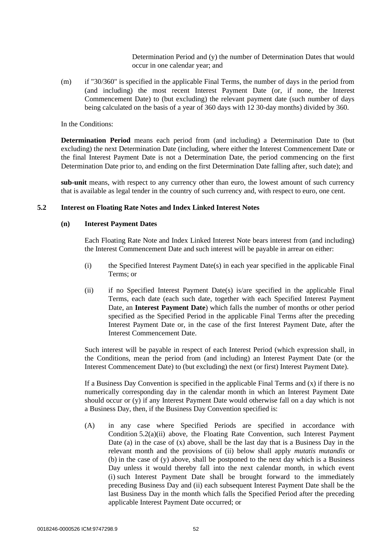Determination Period and (y) the number of Determination Dates that would occur in one calendar year; and

(m) if "30/360" is specified in the applicable Final Terms, the number of days in the period from (and including) the most recent Interest Payment Date (or, if none, the Interest Commencement Date) to (but excluding) the relevant payment date (such number of days being calculated on the basis of a year of 360 days with 12 30-day months) divided by 360.

In the Conditions:

**Determination Period** means each period from (and including) a Determination Date to (but excluding) the next Determination Date (including, where either the Interest Commencement Date or the final Interest Payment Date is not a Determination Date, the period commencing on the first Determination Date prior to, and ending on the first Determination Date falling after, such date); and

**sub-unit** means, with respect to any currency other than euro, the lowest amount of such currency that is available as legal tender in the country of such currency and, with respect to euro, one cent.

### **5.2 Interest on Floating Rate Notes and Index Linked Interest Notes**

#### **(n) Interest Payment Dates**

Each Floating Rate Note and Index Linked Interest Note bears interest from (and including) the Interest Commencement Date and such interest will be payable in arrear on either:

- $(i)$  the Specified Interest Payment Date(s) in each year specified in the applicable Final Terms; or
- (ii) if no Specified Interest Payment Date(s) is/are specified in the applicable Final Terms, each date (each such date, together with each Specified Interest Payment Date, an **Interest Payment Date**) which falls the number of months or other period specified as the Specified Period in the applicable Final Terms after the preceding Interest Payment Date or, in the case of the first Interest Payment Date, after the Interest Commencement Date.

Such interest will be payable in respect of each Interest Period (which expression shall, in the Conditions, mean the period from (and including) an Interest Payment Date (or the Interest Commencement Date) to (but excluding) the next (or first) Interest Payment Date).

If a Business Day Convention is specified in the applicable Final Terms and  $(x)$  if there is no numerically corresponding day in the calendar month in which an Interest Payment Date should occur or (y) if any Interest Payment Date would otherwise fall on a day which is not a Business Day, then, if the Business Day Convention specified is:

(A) in any case where Specified Periods are specified in accordance with Condition  $5.2(a)(ii)$  above, the Floating Rate Convention, such Interest Payment Date (a) in the case of (x) above, shall be the last day that is a Business Day in the relevant month and the provisions of (ii) below shall apply *mutatis mutandis* or (b) in the case of (y) above, shall be postponed to the next day which is a Business Day unless it would thereby fall into the next calendar month, in which event (i) such Interest Payment Date shall be brought forward to the immediately preceding Business Day and (ii) each subsequent Interest Payment Date shall be the last Business Day in the month which falls the Specified Period after the preceding applicable Interest Payment Date occurred; or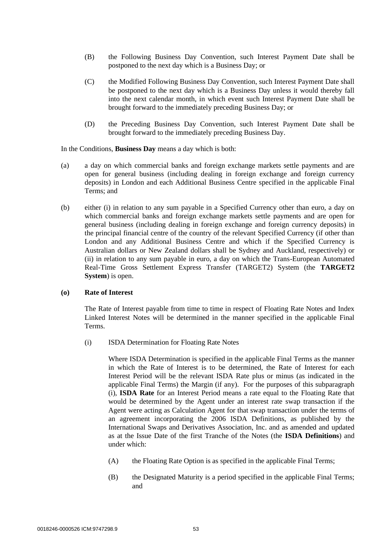- (B) the Following Business Day Convention, such Interest Payment Date shall be postponed to the next day which is a Business Day; or
- (C) the Modified Following Business Day Convention, such Interest Payment Date shall be postponed to the next day which is a Business Day unless it would thereby fall into the next calendar month, in which event such Interest Payment Date shall be brought forward to the immediately preceding Business Day; or
- (D) the Preceding Business Day Convention, such Interest Payment Date shall be brought forward to the immediately preceding Business Day.

#### In the Conditions, **Business Day** means a day which is both:

- (a) a day on which commercial banks and foreign exchange markets settle payments and are open for general business (including dealing in foreign exchange and foreign currency deposits) in London and each Additional Business Centre specified in the applicable Final Terms; and
- (b) either (i) in relation to any sum payable in a Specified Currency other than euro, a day on which commercial banks and foreign exchange markets settle payments and are open for general business (including dealing in foreign exchange and foreign currency deposits) in the principal financial centre of the country of the relevant Specified Currency (if other than London and any Additional Business Centre and which if the Specified Currency is Australian dollars or New Zealand dollars shall be Sydney and Auckland, respectively) or (ii) in relation to any sum payable in euro, a day on which the Trans-European Automated Real-Time Gross Settlement Express Transfer (TARGET2) System (the **TARGET2 System**) is open.

### **(o) Rate of Interest**

The Rate of Interest payable from time to time in respect of Floating Rate Notes and Index Linked Interest Notes will be determined in the manner specified in the applicable Final Terms.

(i) ISDA Determination for Floating Rate Notes

Where ISDA Determination is specified in the applicable Final Terms as the manner in which the Rate of Interest is to be determined, the Rate of Interest for each Interest Period will be the relevant ISDA Rate plus or minus (as indicated in the applicable Final Terms) the Margin (if any). For the purposes of this subparagraph (i), **ISDA Rate** for an Interest Period means a rate equal to the Floating Rate that would be determined by the Agent under an interest rate swap transaction if the Agent were acting as Calculation Agent for that swap transaction under the terms of an agreement incorporating the 2006 ISDA Definitions, as published by the International Swaps and Derivatives Association, Inc. and as amended and updated as at the Issue Date of the first Tranche of the Notes (the **ISDA Definitions**) and under which:

- (A) the Floating Rate Option is as specified in the applicable Final Terms;
- (B) the Designated Maturity is a period specified in the applicable Final Terms; and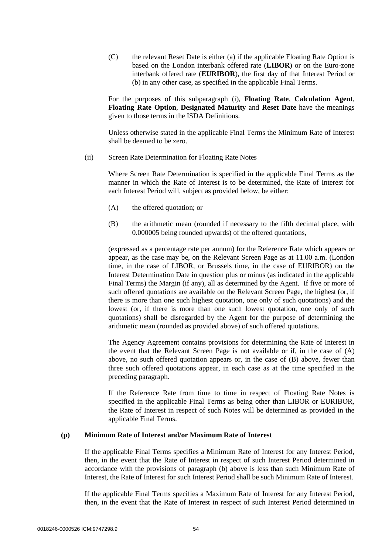(C) the relevant Reset Date is either (a) if the applicable Floating Rate Option is based on the London interbank offered rate (**LIBOR**) or on the Euro-zone interbank offered rate (**EURIBOR**), the first day of that Interest Period or (b) in any other case, as specified in the applicable Final Terms.

For the purposes of this subparagraph (i), **Floating Rate**, **Calculation Agent**, **Floating Rate Option**, **Designated Maturity** and **Reset Date** have the meanings given to those terms in the ISDA Definitions.

Unless otherwise stated in the applicable Final Terms the Minimum Rate of Interest shall be deemed to be zero.

(ii) Screen Rate Determination for Floating Rate Notes

Where Screen Rate Determination is specified in the applicable Final Terms as the manner in which the Rate of Interest is to be determined, the Rate of Interest for each Interest Period will, subject as provided below, be either:

- (A) the offered quotation; or
- (B) the arithmetic mean (rounded if necessary to the fifth decimal place, with 0.000005 being rounded upwards) of the offered quotations,

(expressed as a percentage rate per annum) for the Reference Rate which appears or appear, as the case may be, on the Relevant Screen Page as at 11.00 a.m. (London time, in the case of LIBOR, or Brussels time, in the case of EURIBOR) on the Interest Determination Date in question plus or minus (as indicated in the applicable Final Terms) the Margin (if any), all as determined by the Agent. If five or more of such offered quotations are available on the Relevant Screen Page, the highest (or, if there is more than one such highest quotation, one only of such quotations) and the lowest (or, if there is more than one such lowest quotation, one only of such quotations) shall be disregarded by the Agent for the purpose of determining the arithmetic mean (rounded as provided above) of such offered quotations.

The Agency Agreement contains provisions for determining the Rate of Interest in the event that the Relevant Screen Page is not available or if, in the case of (A) above, no such offered quotation appears or, in the case of (B) above, fewer than three such offered quotations appear, in each case as at the time specified in the preceding paragraph.

If the Reference Rate from time to time in respect of Floating Rate Notes is specified in the applicable Final Terms as being other than LIBOR or EURIBOR, the Rate of Interest in respect of such Notes will be determined as provided in the applicable Final Terms.

# **(p) Minimum Rate of Interest and/or Maximum Rate of Interest**

If the applicable Final Terms specifies a Minimum Rate of Interest for any Interest Period, then, in the event that the Rate of Interest in respect of such Interest Period determined in accordance with the provisions of paragraph (b) above is less than such Minimum Rate of Interest, the Rate of Interest for such Interest Period shall be such Minimum Rate of Interest.

If the applicable Final Terms specifies a Maximum Rate of Interest for any Interest Period, then, in the event that the Rate of Interest in respect of such Interest Period determined in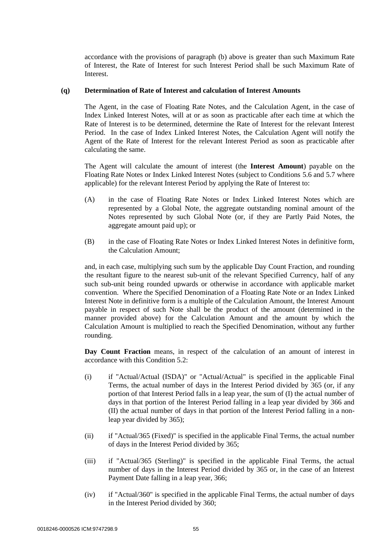accordance with the provisions of paragraph (b) above is greater than such Maximum Rate of Interest, the Rate of Interest for such Interest Period shall be such Maximum Rate of Interest.

### **(q) Determination of Rate of Interest and calculation of Interest Amounts**

The Agent, in the case of Floating Rate Notes, and the Calculation Agent, in the case of Index Linked Interest Notes, will at or as soon as practicable after each time at which the Rate of Interest is to be determined, determine the Rate of Interest for the relevant Interest Period. In the case of Index Linked Interest Notes, the Calculation Agent will notify the Agent of the Rate of Interest for the relevant Interest Period as soon as practicable after calculating the same.

The Agent will calculate the amount of interest (the **Interest Amount**) payable on the Floating Rate Notes or Index Linked Interest Notes (subject to Conditions 5.6 and 5.7 where applicable) for the relevant Interest Period by applying the Rate of Interest to:

- (A) in the case of Floating Rate Notes or Index Linked Interest Notes which are represented by a Global Note, the aggregate outstanding nominal amount of the Notes represented by such Global Note (or, if they are Partly Paid Notes, the aggregate amount paid up); or
- (B) in the case of Floating Rate Notes or Index Linked Interest Notes in definitive form, the Calculation Amount;

and, in each case, multiplying such sum by the applicable Day Count Fraction, and rounding the resultant figure to the nearest sub-unit of the relevant Specified Currency, half of any such sub-unit being rounded upwards or otherwise in accordance with applicable market convention. Where the Specified Denomination of a Floating Rate Note or an Index Linked Interest Note in definitive form is a multiple of the Calculation Amount, the Interest Amount payable in respect of such Note shall be the product of the amount (determined in the manner provided above) for the Calculation Amount and the amount by which the Calculation Amount is multiplied to reach the Specified Denomination, without any further rounding.

**Day Count Fraction** means, in respect of the calculation of an amount of interest in accordance with this Condition 5.2:

- (i) if "Actual/Actual (ISDA)" or "Actual/Actual" is specified in the applicable Final Terms, the actual number of days in the Interest Period divided by 365 (or, if any portion of that Interest Period falls in a leap year, the sum of (I) the actual number of days in that portion of the Interest Period falling in a leap year divided by 366 and (II) the actual number of days in that portion of the Interest Period falling in a nonleap year divided by 365);
- (ii) if "Actual/365 (Fixed)" is specified in the applicable Final Terms, the actual number of days in the Interest Period divided by 365;
- (iii) if "Actual/365 (Sterling)" is specified in the applicable Final Terms, the actual number of days in the Interest Period divided by 365 or, in the case of an Interest Payment Date falling in a leap year, 366;
- (iv) if "Actual/360" is specified in the applicable Final Terms, the actual number of days in the Interest Period divided by 360;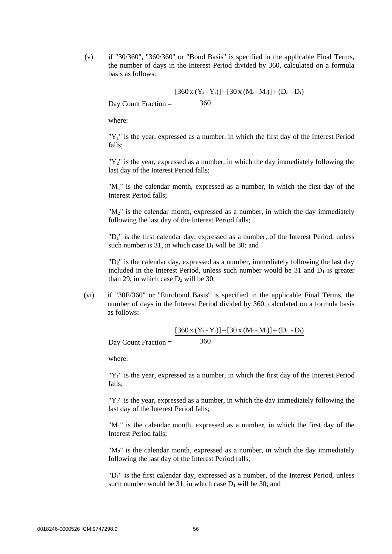(v) if "30/360", "360/360" or "Bond Basis" is specified in the applicable Final Terms, the number of days in the Interest Period divided by 360, calculated on a formula basis as follows:

Day Count Fraction = 360  $[360 \times (Y_2 - Y_1)] + [30 \times (M_2 - M_1)] + (D_2 - D_1)$ 

where:

" $Y_1$ " is the year, expressed as a number, in which the first day of the Interest Period falls;

" $Y_2$ " is the year, expressed as a number, in which the day immediately following the last day of the Interest Period falls;

"M1" is the calendar month, expressed as a number, in which the first day of the Interest Period falls;

"M<sub>2</sub>" is the calendar month, expressed as a number, in which the day immediately following the last day of the Interest Period falls;

"D1" is the first calendar day, expressed as a number, of the Interest Period, unless such number is 31, in which case  $D_1$  will be 30; and

"D2" is the calendar day, expressed as a number, immediately following the last day included in the Interest Period, unless such number would be  $31$  and  $D_1$  is greater than 29, in which case  $D_2$  will be 30;

(vi) if "30E/360" or "Eurobond Basis" is specified in the applicable Final Terms, the number of days in the Interest Period divided by 360, calculated on a formula basis as follows:

Day Count Fraction = 360  $[360 \times (Y_2 - Y_1)] + [30 \times (M_2 - M_1)] + (D_2 - D_1)$ 

where:

" $Y_1$ " is the year, expressed as a number, in which the first day of the Interest Period falls;

" $Y_2$ " is the year, expressed as a number, in which the day immediately following the last day of the Interest Period falls;

"M<sub>1</sub>" is the calendar month, expressed as a number, in which the first day of the Interest Period falls;

"M2" is the calendar month, expressed as a number, in which the day immediately following the last day of the Interest Period falls;

"D1" is the first calendar day, expressed as a number, of the Interest Period, unless such number would be 31, in which case  $D_1$  will be 30; and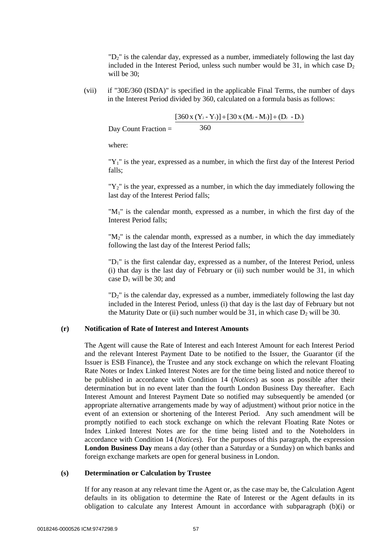"D<sub>2</sub>" is the calendar day, expressed as a number, immediately following the last day included in the Interest Period, unless such number would be  $31$ , in which case  $D_2$ will be 30;

(vii) if "30E/360 (ISDA)" is specified in the applicable Final Terms, the number of days in the Interest Period divided by 360, calculated on a formula basis as follows:

$$
Day Count Fraction = \frac{[360 x (Y_2 - Y_1)] + [30 x (M_2 - M_1)] + (D_2 - D_1)}{360}
$$

where:

"Y<sub>1</sub>" is the year, expressed as a number, in which the first day of the Interest Period falls;

"Y2" is the year, expressed as a number, in which the day immediately following the last day of the Interest Period falls;

"M<sub>1</sub>" is the calendar month, expressed as a number, in which the first day of the Interest Period falls;

 $M_2$ " is the calendar month, expressed as a number, in which the day immediately following the last day of the Interest Period falls;

"D1" is the first calendar day, expressed as a number, of the Interest Period, unless (i) that day is the last day of February or (ii) such number would be 31, in which case  $D_1$  will be 30; and

" $D<sub>2</sub>$ " is the calendar day, expressed as a number, immediately following the last day included in the Interest Period, unless (i) that day is the last day of February but not the Maturity Date or (ii) such number would be 31, in which case  $D_2$  will be 30.

#### **(r) Notification of Rate of Interest and Interest Amounts**

The Agent will cause the Rate of Interest and each Interest Amount for each Interest Period and the relevant Interest Payment Date to be notified to the Issuer, the Guarantor (if the Issuer is ESB Finance), the Trustee and any stock exchange on which the relevant Floating Rate Notes or Index Linked Interest Notes are for the time being listed and notice thereof to be published in accordance with Condition 14 (*Notices*) as soon as possible after their determination but in no event later than the fourth London Business Day thereafter. Each Interest Amount and Interest Payment Date so notified may subsequently be amended (or appropriate alternative arrangements made by way of adjustment) without prior notice in the event of an extension or shortening of the Interest Period. Any such amendment will be promptly notified to each stock exchange on which the relevant Floating Rate Notes or Index Linked Interest Notes are for the time being listed and to the Noteholders in accordance with Condition 14 (*Notices*). For the purposes of this paragraph, the expression **London Business Day** means a day (other than a Saturday or a Sunday) on which banks and foreign exchange markets are open for general business in London.

#### **(s) Determination or Calculation by Trustee**

If for any reason at any relevant time the Agent or, as the case may be, the Calculation Agent defaults in its obligation to determine the Rate of Interest or the Agent defaults in its obligation to calculate any Interest Amount in accordance with subparagraph (b)(i) or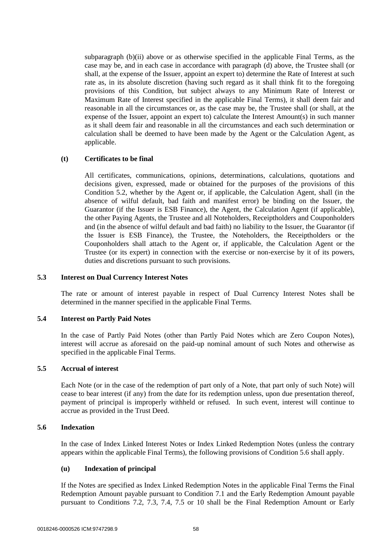subparagraph (b)(ii) above or as otherwise specified in the applicable Final Terms, as the case may be, and in each case in accordance with paragraph (d) above, the Trustee shall (or shall, at the expense of the Issuer, appoint an expert to) determine the Rate of Interest at such rate as, in its absolute discretion (having such regard as it shall think fit to the foregoing provisions of this Condition, but subject always to any Minimum Rate of Interest or Maximum Rate of Interest specified in the applicable Final Terms), it shall deem fair and reasonable in all the circumstances or, as the case may be, the Trustee shall (or shall, at the expense of the Issuer, appoint an expert to) calculate the Interest Amount(s) in such manner as it shall deem fair and reasonable in all the circumstances and each such determination or calculation shall be deemed to have been made by the Agent or the Calculation Agent, as applicable.

# **(t) Certificates to be final**

All certificates, communications, opinions, determinations, calculations, quotations and decisions given, expressed, made or obtained for the purposes of the provisions of this Condition 5.2, whether by the Agent or, if applicable, the Calculation Agent, shall (in the absence of wilful default, bad faith and manifest error) be binding on the Issuer, the Guarantor (if the Issuer is ESB Finance), the Agent, the Calculation Agent (if applicable), the other Paying Agents, the Trustee and all Noteholders, Receiptholders and Couponholders and (in the absence of wilful default and bad faith) no liability to the Issuer, the Guarantor (if the Issuer is ESB Finance), the Trustee, the Noteholders, the Receiptholders or the Couponholders shall attach to the Agent or, if applicable, the Calculation Agent or the Trustee (or its expert) in connection with the exercise or non-exercise by it of its powers, duties and discretions pursuant to such provisions.

# **5.3 Interest on Dual Currency Interest Notes**

The rate or amount of interest payable in respect of Dual Currency Interest Notes shall be determined in the manner specified in the applicable Final Terms.

#### **5.4 Interest on Partly Paid Notes**

In the case of Partly Paid Notes (other than Partly Paid Notes which are Zero Coupon Notes), interest will accrue as aforesaid on the paid-up nominal amount of such Notes and otherwise as specified in the applicable Final Terms.

#### **5.5 Accrual of interest**

Each Note (or in the case of the redemption of part only of a Note, that part only of such Note) will cease to bear interest (if any) from the date for its redemption unless, upon due presentation thereof, payment of principal is improperly withheld or refused. In such event, interest will continue to accrue as provided in the Trust Deed.

#### **5.6 Indexation**

In the case of Index Linked Interest Notes or Index Linked Redemption Notes (unless the contrary appears within the applicable Final Terms), the following provisions of Condition 5.6 shall apply.

# **(u) Indexation of principal**

If the Notes are specified as Index Linked Redemption Notes in the applicable Final Terms the Final Redemption Amount payable pursuant to Condition 7.1 and the Early Redemption Amount payable pursuant to Conditions 7.2, 7.3, 7.4, 7.5 or 10 shall be the Final Redemption Amount or Early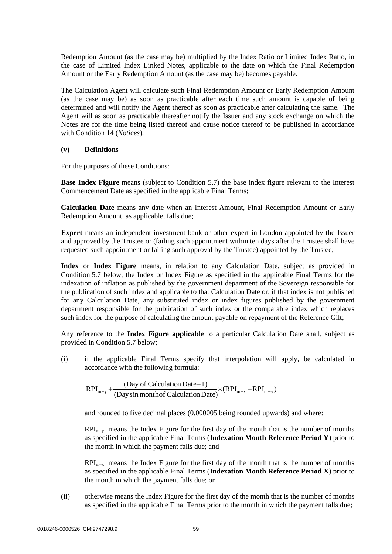Redemption Amount (as the case may be) multiplied by the Index Ratio or Limited Index Ratio, in the case of Limited Index Linked Notes, applicable to the date on which the Final Redemption Amount or the Early Redemption Amount (as the case may be) becomes payable.

The Calculation Agent will calculate such Final Redemption Amount or Early Redemption Amount (as the case may be) as soon as practicable after each time such amount is capable of being determined and will notify the Agent thereof as soon as practicable after calculating the same. The Agent will as soon as practicable thereafter notify the Issuer and any stock exchange on which the Notes are for the time being listed thereof and cause notice thereof to be published in accordance with Condition 14 (*Notices*).

# **(v) Definitions**

For the purposes of these Conditions:

**Base Index Figure** means (subject to Condition 5.7) the base index figure relevant to the Interest Commencement Date as specified in the applicable Final Terms;

**Calculation Date** means any date when an Interest Amount, Final Redemption Amount or Early Redemption Amount, as applicable, falls due;

**Expert** means an independent investment bank or other expert in London appointed by the Issuer and approved by the Trustee or (failing such appointment within ten days after the Trustee shall have requested such appointment or failing such approval by the Trustee) appointed by the Trustee;

**Index** or **Index Figure** means, in relation to any Calculation Date, subject as provided in Condition 5.7 below, the Index or Index Figure as specified in the applicable Final Terms for the indexation of inflation as published by the government department of the Sovereign responsible for the publication of such index and applicable to that Calculation Date or, if that index is not published for any Calculation Date, any substituted index or index figures published by the government department responsible for the publication of such index or the comparable index which replaces such index for the purpose of calculating the amount payable on repayment of the Reference Gilt;

Any reference to the **Index Figure applicable** to a particular Calculation Date shall, subject as provided in Condition 5.7 below;

(i) if the applicable Final Terms specify that interpolation will apply, be calculated in accordance with the following formula:

 $(RPI_{m-x} - RPI_{m-v})$  $RPI_{m-y} + \frac{(Day \ of \ Calculation \ Date-1)}{(Day \sin month \ of \ Calculation \ Date)} \times (RPI_{m-x} - RPI_{m-y})$ 

and rounded to five decimal places (0.000005 being rounded upwards) and where:

 $RPI_{m-v}$  means the Index Figure for the first day of the month that is the number of months as specified in the applicable Final Terms (**Indexation Month Reference Period Y**) prior to the month in which the payment falls due; and

 $RPI_{m-x}$  means the Index Figure for the first day of the month that is the number of months as specified in the applicable Final Terms (**Indexation Month Reference Period X**) prior to the month in which the payment falls due; or

(ii) otherwise means the Index Figure for the first day of the month that is the number of months as specified in the applicable Final Terms prior to the month in which the payment falls due;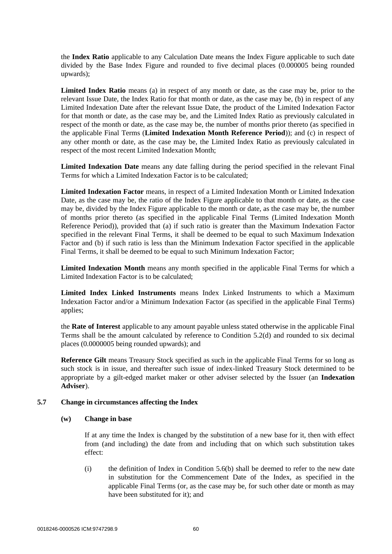the **Index Ratio** applicable to any Calculation Date means the Index Figure applicable to such date divided by the Base Index Figure and rounded to five decimal places (0.000005 being rounded upwards);

**Limited Index Ratio** means (a) in respect of any month or date, as the case may be, prior to the relevant Issue Date, the Index Ratio for that month or date, as the case may be, (b) in respect of any Limited Indexation Date after the relevant Issue Date, the product of the Limited Indexation Factor for that month or date, as the case may be, and the Limited Index Ratio as previously calculated in respect of the month or date, as the case may be, the number of months prior thereto (as specified in the applicable Final Terms (**Limited Indexation Month Reference Period**)); and (c) in respect of any other month or date, as the case may be, the Limited Index Ratio as previously calculated in respect of the most recent Limited Indexation Month;

**Limited Indexation Date** means any date falling during the period specified in the relevant Final Terms for which a Limited Indexation Factor is to be calculated;

**Limited Indexation Factor** means, in respect of a Limited Indexation Month or Limited Indexation Date, as the case may be, the ratio of the Index Figure applicable to that month or date, as the case may be, divided by the Index Figure applicable to the month or date, as the case may be, the number of months prior thereto (as specified in the applicable Final Terms (Limited Indexation Month Reference Period)), provided that (a) if such ratio is greater than the Maximum Indexation Factor specified in the relevant Final Terms, it shall be deemed to be equal to such Maximum Indexation Factor and (b) if such ratio is less than the Minimum Indexation Factor specified in the applicable Final Terms, it shall be deemed to be equal to such Minimum Indexation Factor;

**Limited Indexation Month** means any month specified in the applicable Final Terms for which a Limited Indexation Factor is to be calculated;

**Limited Index Linked Instruments** means Index Linked Instruments to which a Maximum Indexation Factor and/or a Minimum Indexation Factor (as specified in the applicable Final Terms) applies;

the **Rate of Interest** applicable to any amount payable unless stated otherwise in the applicable Final Terms shall be the amount calculated by reference to Condition 5.2(d) and rounded to six decimal places (0.0000005 being rounded upwards); and

**Reference Gilt** means Treasury Stock specified as such in the applicable Final Terms for so long as such stock is in issue, and thereafter such issue of index-linked Treasury Stock determined to be appropriate by a gilt-edged market maker or other adviser selected by the Issuer (an **Indexation Adviser**).

### **5.7 Change in circumstances affecting the Index**

#### **(w) Change in base**

If at any time the Index is changed by the substitution of a new base for it, then with effect from (and including) the date from and including that on which such substitution takes effect:

 $(i)$  the definition of Index in Condition 5.6(b) shall be deemed to refer to the new date in substitution for the Commencement Date of the Index, as specified in the applicable Final Terms (or, as the case may be, for such other date or month as may have been substituted for it); and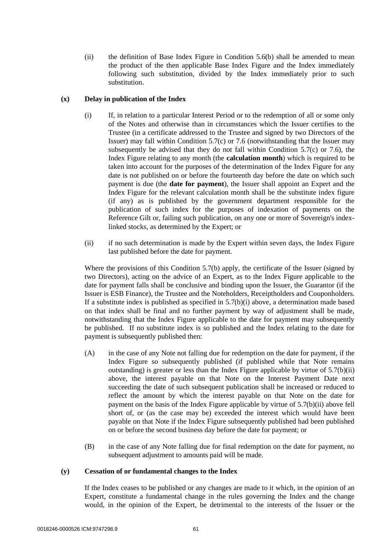(ii) the definition of Base Index Figure in Condition 5.6(b) shall be amended to mean the product of the then applicable Base Index Figure and the Index immediately following such substitution, divided by the Index immediately prior to such substitution.

### **(x) Delay in publication of the Index**

- (i) If, in relation to a particular Interest Period or to the redemption of all or some only of the Notes and otherwise than in circumstances which the Issuer certifies to the Trustee (in a certificate addressed to the Trustee and signed by two Directors of the Issuer) may fall within Condition 5.7(c) or 7.6 (notwithstanding that the Issuer may subsequently be advised that they do not fall within Condition  $5.7(c)$  or 7.6), the Index Figure relating to any month (the **calculation month**) which is required to be taken into account for the purposes of the determination of the Index Figure for any date is not published on or before the fourteenth day before the date on which such payment is due (the **date for payment**), the Issuer shall appoint an Expert and the Index Figure for the relevant calculation month shall be the substitute index figure (if any) as is published by the government department responsible for the publication of such index for the purposes of indexation of payments on the Reference Gilt or, failing such publication, on any one or more of Sovereign's indexlinked stocks, as determined by the Expert; or
- (ii) if no such determination is made by the Expert within seven days, the Index Figure last published before the date for payment.

Where the provisions of this Condition 5.7(b) apply, the certificate of the Issuer (signed by two Directors), acting on the advice of an Expert, as to the Index Figure applicable to the date for payment falls shall be conclusive and binding upon the Issuer, the Guarantor (if the Issuer is ESB Finance), the Trustee and the Noteholders, Receiptholders and Couponholders. If a substitute index is published as specified in  $5.7(b)(i)$  above, a determination made based on that index shall be final and no further payment by way of adjustment shall be made, notwithstanding that the Index Figure applicable to the date for payment may subsequently be published. If no substitute index is so published and the Index relating to the date for payment is subsequently published then:

- (A) in the case of any Note not falling due for redemption on the date for payment, if the Index Figure so subsequently published (if published while that Note remains outstanding) is greater or less than the Index Figure applicable by virtue of 5.7(b)(ii) above, the interest payable on that Note on the Interest Payment Date next succeeding the date of such subsequent publication shall be increased or reduced to reflect the amount by which the interest payable on that Note on the date for payment on the basis of the Index Figure applicable by virtue of 5.7(b)(ii) above fell short of, or (as the case may be) exceeded the interest which would have been payable on that Note if the Index Figure subsequently published had been published on or before the second business day before the date for payment; or
- (B) in the case of any Note falling due for final redemption on the date for payment, no subsequent adjustment to amounts paid will be made.

# **(y) Cessation of or fundamental changes to the Index**

If the Index ceases to be published or any changes are made to it which, in the opinion of an Expert, constitute a fundamental change in the rules governing the Index and the change would, in the opinion of the Expert, be detrimental to the interests of the Issuer or the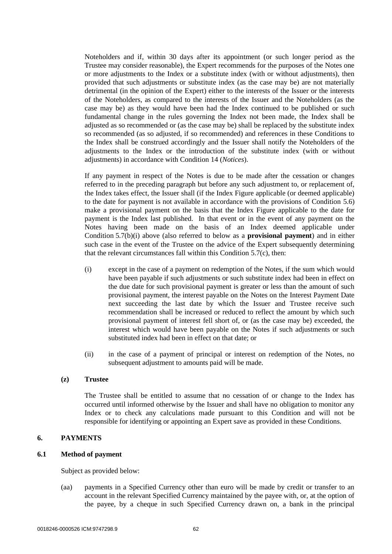Noteholders and if, within 30 days after its appointment (or such longer period as the Trustee may consider reasonable), the Expert recommends for the purposes of the Notes one or more adjustments to the Index or a substitute index (with or without adjustments), then provided that such adjustments or substitute index (as the case may be) are not materially detrimental (in the opinion of the Expert) either to the interests of the Issuer or the interests of the Noteholders, as compared to the interests of the Issuer and the Noteholders (as the case may be) as they would have been had the Index continued to be published or such fundamental change in the rules governing the Index not been made, the Index shall be adjusted as so recommended or (as the case may be) shall be replaced by the substitute index so recommended (as so adjusted, if so recommended) and references in these Conditions to the Index shall be construed accordingly and the Issuer shall notify the Noteholders of the adjustments to the Index or the introduction of the substitute index (with or without adjustments) in accordance with Condition 14 (*Notices*).

If any payment in respect of the Notes is due to be made after the cessation or changes referred to in the preceding paragraph but before any such adjustment to, or replacement of, the Index takes effect, the Issuer shall (if the Index Figure applicable (or deemed applicable) to the date for payment is not available in accordance with the provisions of Condition 5.6) make a provisional payment on the basis that the Index Figure applicable to the date for payment is the Index last published. In that event or in the event of any payment on the Notes having been made on the basis of an Index deemed applicable under Condition 5.7(b)(i) above (also referred to below as a **provisional payment**) and in either such case in the event of the Trustee on the advice of the Expert subsequently determining that the relevant circumstances fall within this Condition 5.7(c), then:

- (i) except in the case of a payment on redemption of the Notes, if the sum which would have been payable if such adjustments or such substitute index had been in effect on the due date for such provisional payment is greater or less than the amount of such provisional payment, the interest payable on the Notes on the Interest Payment Date next succeeding the last date by which the Issuer and Trustee receive such recommendation shall be increased or reduced to reflect the amount by which such provisional payment of interest fell short of, or (as the case may be) exceeded, the interest which would have been payable on the Notes if such adjustments or such substituted index had been in effect on that date; or
- (ii) in the case of a payment of principal or interest on redemption of the Notes, no subsequent adjustment to amounts paid will be made.

### **(z) Trustee**

The Trustee shall be entitled to assume that no cessation of or change to the Index has occurred until informed otherwise by the Issuer and shall have no obligation to monitor any Index or to check any calculations made pursuant to this Condition and will not be responsible for identifying or appointing an Expert save as provided in these Conditions.

#### **6. PAYMENTS**

# **6.1 Method of payment**

Subject as provided below:

(aa) payments in a Specified Currency other than euro will be made by credit or transfer to an account in the relevant Specified Currency maintained by the payee with, or, at the option of the payee, by a cheque in such Specified Currency drawn on, a bank in the principal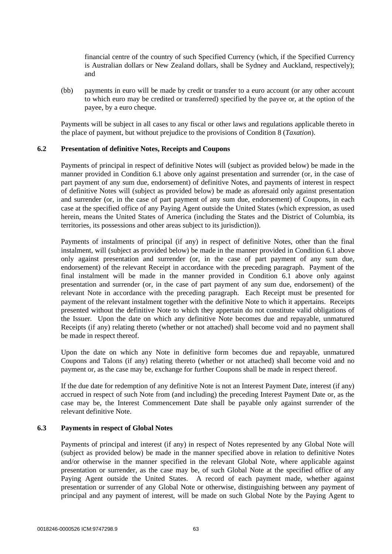financial centre of the country of such Specified Currency (which, if the Specified Currency is Australian dollars or New Zealand dollars, shall be Sydney and Auckland, respectively); and

(bb) payments in euro will be made by credit or transfer to a euro account (or any other account to which euro may be credited or transferred) specified by the payee or, at the option of the payee, by a euro cheque.

Payments will be subject in all cases to any fiscal or other laws and regulations applicable thereto in the place of payment, but without prejudice to the provisions of Condition 8 (*Taxation*).

# **6.2 Presentation of definitive Notes, Receipts and Coupons**

Payments of principal in respect of definitive Notes will (subject as provided below) be made in the manner provided in Condition 6.1 above only against presentation and surrender (or, in the case of part payment of any sum due, endorsement) of definitive Notes, and payments of interest in respect of definitive Notes will (subject as provided below) be made as aforesaid only against presentation and surrender (or, in the case of part payment of any sum due, endorsement) of Coupons, in each case at the specified office of any Paying Agent outside the United States (which expression, as used herein, means the United States of America (including the States and the District of Columbia, its territories, its possessions and other areas subject to its jurisdiction)).

Payments of instalments of principal (if any) in respect of definitive Notes, other than the final instalment, will (subject as provided below) be made in the manner provided in Condition 6.1 above only against presentation and surrender (or, in the case of part payment of any sum due, endorsement) of the relevant Receipt in accordance with the preceding paragraph. Payment of the final instalment will be made in the manner provided in Condition 6.1 above only against presentation and surrender (or, in the case of part payment of any sum due, endorsement) of the relevant Note in accordance with the preceding paragraph. Each Receipt must be presented for payment of the relevant instalment together with the definitive Note to which it appertains. Receipts presented without the definitive Note to which they appertain do not constitute valid obligations of the Issuer. Upon the date on which any definitive Note becomes due and repayable, unmatured Receipts (if any) relating thereto (whether or not attached) shall become void and no payment shall be made in respect thereof.

Upon the date on which any Note in definitive form becomes due and repayable, unmatured Coupons and Talons (if any) relating thereto (whether or not attached) shall become void and no payment or, as the case may be, exchange for further Coupons shall be made in respect thereof.

If the due date for redemption of any definitive Note is not an Interest Payment Date, interest (if any) accrued in respect of such Note from (and including) the preceding Interest Payment Date or, as the case may be, the Interest Commencement Date shall be payable only against surrender of the relevant definitive Note.

# **6.3 Payments in respect of Global Notes**

Payments of principal and interest (if any) in respect of Notes represented by any Global Note will (subject as provided below) be made in the manner specified above in relation to definitive Notes and/or otherwise in the manner specified in the relevant Global Note, where applicable against presentation or surrender, as the case may be, of such Global Note at the specified office of any Paying Agent outside the United States. A record of each payment made, whether against presentation or surrender of any Global Note or otherwise, distinguishing between any payment of principal and any payment of interest, will be made on such Global Note by the Paying Agent to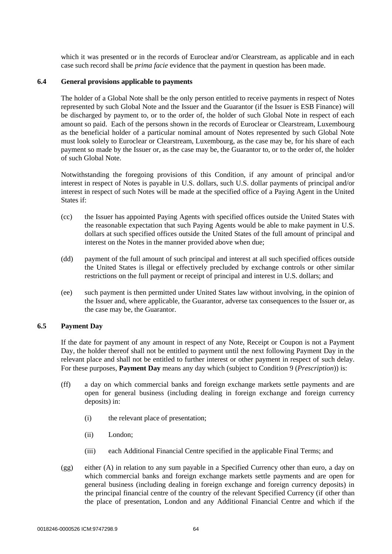which it was presented or in the records of Euroclear and/or Clearstream, as applicable and in each case such record shall be *prima facie* evidence that the payment in question has been made.

#### **6.4 General provisions applicable to payments**

The holder of a Global Note shall be the only person entitled to receive payments in respect of Notes represented by such Global Note and the Issuer and the Guarantor (if the Issuer is ESB Finance) will be discharged by payment to, or to the order of, the holder of such Global Note in respect of each amount so paid. Each of the persons shown in the records of Euroclear or Clearstream, Luxembourg as the beneficial holder of a particular nominal amount of Notes represented by such Global Note must look solely to Euroclear or Clearstream, Luxembourg, as the case may be, for his share of each payment so made by the Issuer or, as the case may be, the Guarantor to, or to the order of, the holder of such Global Note.

Notwithstanding the foregoing provisions of this Condition, if any amount of principal and/or interest in respect of Notes is payable in U.S. dollars, such U.S. dollar payments of principal and/or interest in respect of such Notes will be made at the specified office of a Paying Agent in the United States if:

- (cc) the Issuer has appointed Paying Agents with specified offices outside the United States with the reasonable expectation that such Paying Agents would be able to make payment in U.S. dollars at such specified offices outside the United States of the full amount of principal and interest on the Notes in the manner provided above when due;
- (dd) payment of the full amount of such principal and interest at all such specified offices outside the United States is illegal or effectively precluded by exchange controls or other similar restrictions on the full payment or receipt of principal and interest in U.S. dollars; and
- (ee) such payment is then permitted under United States law without involving, in the opinion of the Issuer and, where applicable, the Guarantor, adverse tax consequences to the Issuer or, as the case may be, the Guarantor.

# **6.5 Payment Day**

If the date for payment of any amount in respect of any Note, Receipt or Coupon is not a Payment Day, the holder thereof shall not be entitled to payment until the next following Payment Day in the relevant place and shall not be entitled to further interest or other payment in respect of such delay. For these purposes, **Payment Day** means any day which (subject to Condition 9 (*Prescription*)) is:

- (ff) a day on which commercial banks and foreign exchange markets settle payments and are open for general business (including dealing in foreign exchange and foreign currency deposits) in:
	- (i) the relevant place of presentation;
	- (ii) London;
	- (iii) each Additional Financial Centre specified in the applicable Final Terms; and
- (gg) either (A) in relation to any sum payable in a Specified Currency other than euro, a day on which commercial banks and foreign exchange markets settle payments and are open for general business (including dealing in foreign exchange and foreign currency deposits) in the principal financial centre of the country of the relevant Specified Currency (if other than the place of presentation, London and any Additional Financial Centre and which if the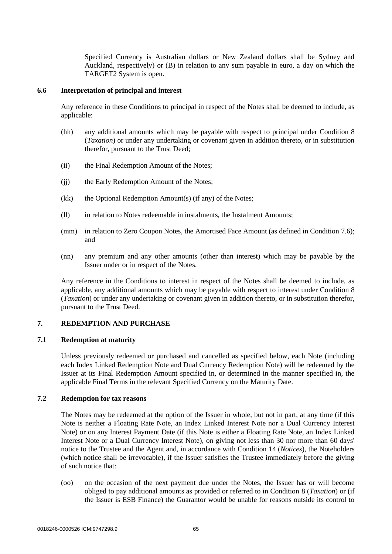Specified Currency is Australian dollars or New Zealand dollars shall be Sydney and Auckland, respectively) or (B) in relation to any sum payable in euro, a day on which the TARGET2 System is open.

### **6.6 Interpretation of principal and interest**

Any reference in these Conditions to principal in respect of the Notes shall be deemed to include, as applicable:

- (hh) any additional amounts which may be payable with respect to principal under Condition 8 (*Taxation*) or under any undertaking or covenant given in addition thereto, or in substitution therefor, pursuant to the Trust Deed;
- (ii) the Final Redemption Amount of the Notes;
- (ii) the Early Redemption Amount of the Notes;
- $(kk)$  the Optional Redemption Amount(s) (if any) of the Notes;
- (ll) in relation to Notes redeemable in instalments, the Instalment Amounts;
- (mm) in relation to Zero Coupon Notes, the Amortised Face Amount (as defined in Condition 7.6); and
- (nn) any premium and any other amounts (other than interest) which may be payable by the Issuer under or in respect of the Notes.

Any reference in the Conditions to interest in respect of the Notes shall be deemed to include, as applicable, any additional amounts which may be payable with respect to interest under Condition 8 (*Taxation*) or under any undertaking or covenant given in addition thereto, or in substitution therefor, pursuant to the Trust Deed.

#### **7. REDEMPTION AND PURCHASE**

#### **7.1 Redemption at maturity**

Unless previously redeemed or purchased and cancelled as specified below, each Note (including each Index Linked Redemption Note and Dual Currency Redemption Note) will be redeemed by the Issuer at its Final Redemption Amount specified in, or determined in the manner specified in, the applicable Final Terms in the relevant Specified Currency on the Maturity Date.

### **7.2 Redemption for tax reasons**

The Notes may be redeemed at the option of the Issuer in whole, but not in part, at any time (if this Note is neither a Floating Rate Note, an Index Linked Interest Note nor a Dual Currency Interest Note) or on any Interest Payment Date (if this Note is either a Floating Rate Note, an Index Linked Interest Note or a Dual Currency Interest Note), on giving not less than 30 nor more than 60 days' notice to the Trustee and the Agent and, in accordance with Condition 14 (*Notices*), the Noteholders (which notice shall be irrevocable), if the Issuer satisfies the Trustee immediately before the giving of such notice that:

(oo) on the occasion of the next payment due under the Notes, the Issuer has or will become obliged to pay additional amounts as provided or referred to in Condition 8 (*Taxation*) or (if the Issuer is ESB Finance) the Guarantor would be unable for reasons outside its control to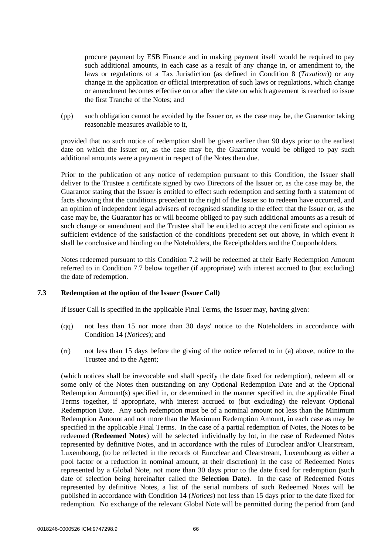procure payment by ESB Finance and in making payment itself would be required to pay such additional amounts, in each case as a result of any change in, or amendment to, the laws or regulations of a Tax Jurisdiction (as defined in Condition 8 (*Taxation*)) or any change in the application or official interpretation of such laws or regulations, which change or amendment becomes effective on or after the date on which agreement is reached to issue the first Tranche of the Notes; and

(pp) such obligation cannot be avoided by the Issuer or, as the case may be, the Guarantor taking reasonable measures available to it,

provided that no such notice of redemption shall be given earlier than 90 days prior to the earliest date on which the Issuer or, as the case may be, the Guarantor would be obliged to pay such additional amounts were a payment in respect of the Notes then due.

Prior to the publication of any notice of redemption pursuant to this Condition, the Issuer shall deliver to the Trustee a certificate signed by two Directors of the Issuer or, as the case may be, the Guarantor stating that the Issuer is entitled to effect such redemption and setting forth a statement of facts showing that the conditions precedent to the right of the Issuer so to redeem have occurred, and an opinion of independent legal advisers of recognised standing to the effect that the Issuer or, as the case may be, the Guarantor has or will become obliged to pay such additional amounts as a result of such change or amendment and the Trustee shall be entitled to accept the certificate and opinion as sufficient evidence of the satisfaction of the conditions precedent set out above, in which event it shall be conclusive and binding on the Noteholders, the Receiptholders and the Couponholders.

Notes redeemed pursuant to this Condition 7.2 will be redeemed at their Early Redemption Amount referred to in Condition 7.7 below together (if appropriate) with interest accrued to (but excluding) the date of redemption.

### **7.3 Redemption at the option of the Issuer (Issuer Call)**

If Issuer Call is specified in the applicable Final Terms, the Issuer may, having given:

- (qq) not less than 15 nor more than 30 days' notice to the Noteholders in accordance with Condition 14 (*Notices*); and
- (rr) not less than 15 days before the giving of the notice referred to in (a) above, notice to the Trustee and to the Agent;

(which notices shall be irrevocable and shall specify the date fixed for redemption), redeem all or some only of the Notes then outstanding on any Optional Redemption Date and at the Optional Redemption Amount(s) specified in, or determined in the manner specified in, the applicable Final Terms together, if appropriate, with interest accrued to (but excluding) the relevant Optional Redemption Date. Any such redemption must be of a nominal amount not less than the Minimum Redemption Amount and not more than the Maximum Redemption Amount, in each case as may be specified in the applicable Final Terms. In the case of a partial redemption of Notes, the Notes to be redeemed (**Redeemed Notes**) will be selected individually by lot, in the case of Redeemed Notes represented by definitive Notes, and in accordance with the rules of Euroclear and/or Clearstream, Luxembourg, (to be reflected in the records of Euroclear and Clearstream, Luxembourg as either a pool factor or a reduction in nominal amount, at their discretion) in the case of Redeemed Notes represented by a Global Note, not more than 30 days prior to the date fixed for redemption (such date of selection being hereinafter called the **Selection Date**). In the case of Redeemed Notes represented by definitive Notes, a list of the serial numbers of such Redeemed Notes will be published in accordance with Condition 14 (*Notices*) not less than 15 days prior to the date fixed for redemption. No exchange of the relevant Global Note will be permitted during the period from (and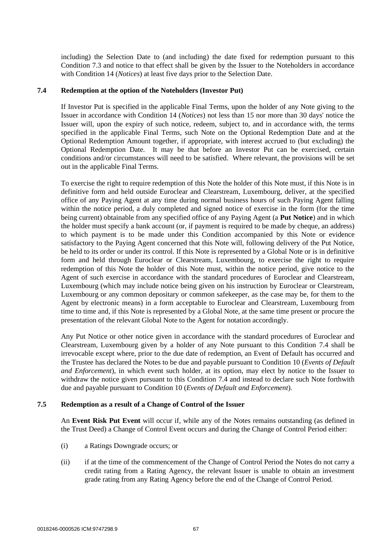including) the Selection Date to (and including) the date fixed for redemption pursuant to this Condition 7.3 and notice to that effect shall be given by the Issuer to the Noteholders in accordance with Condition 14 (*Notices*) at least five days prior to the Selection Date.

# **7.4 Redemption at the option of the Noteholders (Investor Put)**

If Investor Put is specified in the applicable Final Terms, upon the holder of any Note giving to the Issuer in accordance with Condition 14 (*Notices*) not less than 15 nor more than 30 days' notice the Issuer will, upon the expiry of such notice, redeem, subject to, and in accordance with, the terms specified in the applicable Final Terms, such Note on the Optional Redemption Date and at the Optional Redemption Amount together, if appropriate, with interest accrued to (but excluding) the Optional Redemption Date. It may be that before an Investor Put can be exercised, certain conditions and/or circumstances will need to be satisfied. Where relevant, the provisions will be set out in the applicable Final Terms.

To exercise the right to require redemption of this Note the holder of this Note must, if this Note is in definitive form and held outside Euroclear and Clearstream, Luxembourg, deliver, at the specified office of any Paying Agent at any time during normal business hours of such Paying Agent falling within the notice period, a duly completed and signed notice of exercise in the form (for the time being current) obtainable from any specified office of any Paying Agent (a **Put Notice**) and in which the holder must specify a bank account (or, if payment is required to be made by cheque, an address) to which payment is to be made under this Condition accompanied by this Note or evidence satisfactory to the Paying Agent concerned that this Note will, following delivery of the Put Notice, be held to its order or under its control. If this Note is represented by a Global Note or is in definitive form and held through Euroclear or Clearstream, Luxembourg, to exercise the right to require redemption of this Note the holder of this Note must, within the notice period, give notice to the Agent of such exercise in accordance with the standard procedures of Euroclear and Clearstream, Luxembourg (which may include notice being given on his instruction by Euroclear or Clearstream, Luxembourg or any common depositary or common safekeeper, as the case may be, for them to the Agent by electronic means) in a form acceptable to Euroclear and Clearstream, Luxembourg from time to time and, if this Note is represented by a Global Note, at the same time present or procure the presentation of the relevant Global Note to the Agent for notation accordingly.

Any Put Notice or other notice given in accordance with the standard procedures of Euroclear and Clearstream, Luxembourg given by a holder of any Note pursuant to this Condition 7.4 shall be irrevocable except where, prior to the due date of redemption, an Event of Default has occurred and the Trustee has declared the Notes to be due and payable pursuant to Condition 10 (*Events of Default and Enforcement*), in which event such holder, at its option, may elect by notice to the Issuer to withdraw the notice given pursuant to this Condition 7.4 and instead to declare such Note forthwith due and payable pursuant to Condition 10 (*Events of Default and Enforcement*).

# **7.5 Redemption as a result of a Change of Control of the Issuer**

An **Event Risk Put Event** will occur if, while any of the Notes remains outstanding (as defined in the Trust Deed) a Change of Control Event occurs and during the Change of Control Period either:

- (i) a Ratings Downgrade occurs; or
- (ii) if at the time of the commencement of the Change of Control Period the Notes do not carry a credit rating from a Rating Agency, the relevant Issuer is unable to obtain an investment grade rating from any Rating Agency before the end of the Change of Control Period.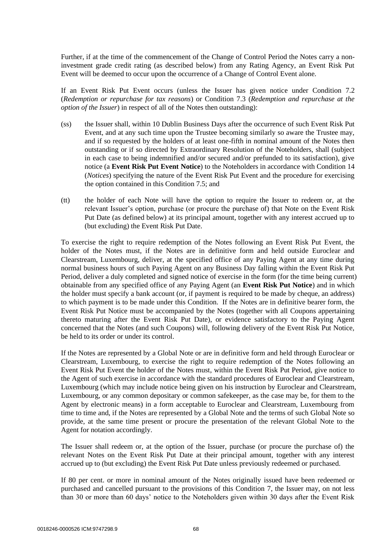Further, if at the time of the commencement of the Change of Control Period the Notes carry a noninvestment grade credit rating (as described below) from any Rating Agency, an Event Risk Put Event will be deemed to occur upon the occurrence of a Change of Control Event alone.

If an Event Risk Put Event occurs (unless the Issuer has given notice under Condition 7.2 (*Redemption or repurchase for tax reasons*) or Condition 7.3 (*Redemption and repurchase at the option of the Issuer*) in respect of all of the Notes then outstanding):

- (ss) the Issuer shall, within 10 Dublin Business Days after the occurrence of such Event Risk Put Event, and at any such time upon the Trustee becoming similarly so aware the Trustee may, and if so requested by the holders of at least one-fifth in nominal amount of the Notes then outstanding or if so directed by Extraordinary Resolution of the Noteholders, shall (subject in each case to being indemnified and/or secured and/or prefunded to its satisfaction), give notice (a **Event Risk Put Event Notice**) to the Noteholders in accordance with Condition 14 (*Notices*) specifying the nature of the Event Risk Put Event and the procedure for exercising the option contained in this Condition 7.5; and
- (tt) the holder of each Note will have the option to require the Issuer to redeem or, at the relevant Issuer's option, purchase (or procure the purchase of) that Note on the Event Risk Put Date (as defined below) at its principal amount, together with any interest accrued up to (but excluding) the Event Risk Put Date.

To exercise the right to require redemption of the Notes following an Event Risk Put Event, the holder of the Notes must, if the Notes are in definitive form and held outside Euroclear and Clearstream, Luxembourg, deliver, at the specified office of any Paying Agent at any time during normal business hours of such Paying Agent on any Business Day falling within the Event Risk Put Period, deliver a duly completed and signed notice of exercise in the form (for the time being current) obtainable from any specified office of any Paying Agent (an **Event Risk Put Notice**) and in which the holder must specify a bank account (or, if payment is required to be made by cheque, an address) to which payment is to be made under this Condition. If the Notes are in definitive bearer form, the Event Risk Put Notice must be accompanied by the Notes (together with all Coupons appertaining thereto maturing after the Event Risk Put Date), or evidence satisfactory to the Paying Agent concerned that the Notes (and such Coupons) will, following delivery of the Event Risk Put Notice, be held to its order or under its control.

If the Notes are represented by a Global Note or are in definitive form and held through Euroclear or Clearstream, Luxembourg, to exercise the right to require redemption of the Notes following an Event Risk Put Event the holder of the Notes must, within the Event Risk Put Period, give notice to the Agent of such exercise in accordance with the standard procedures of Euroclear and Clearstream, Luxembourg (which may include notice being given on his instruction by Euroclear and Clearstream, Luxembourg, or any common depositary or common safekeeper, as the case may be, for them to the Agent by electronic means) in a form acceptable to Euroclear and Clearstream, Luxembourg from time to time and, if the Notes are represented by a Global Note and the terms of such Global Note so provide, at the same time present or procure the presentation of the relevant Global Note to the Agent for notation accordingly.

The Issuer shall redeem or, at the option of the Issuer, purchase (or procure the purchase of) the relevant Notes on the Event Risk Put Date at their principal amount, together with any interest accrued up to (but excluding) the Event Risk Put Date unless previously redeemed or purchased.

If 80 per cent. or more in nominal amount of the Notes originally issued have been redeemed or purchased and cancelled pursuant to the provisions of this Condition 7, the Issuer may, on not less than 30 or more than 60 days' notice to the Noteholders given within 30 days after the Event Risk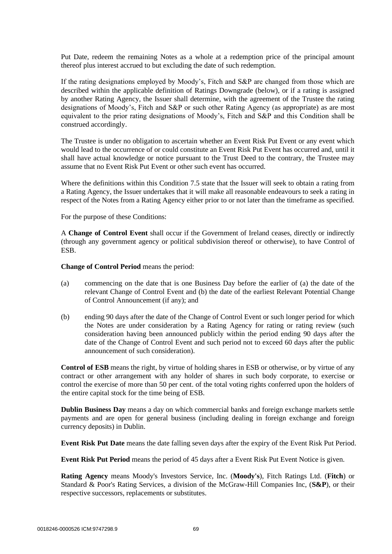Put Date, redeem the remaining Notes as a whole at a redemption price of the principal amount thereof plus interest accrued to but excluding the date of such redemption.

If the rating designations employed by Moody's, Fitch and S&P are changed from those which are described within the applicable definition of Ratings Downgrade (below), or if a rating is assigned by another Rating Agency, the Issuer shall determine, with the agreement of the Trustee the rating designations of Moody's, Fitch and S&P or such other Rating Agency (as appropriate) as are most equivalent to the prior rating designations of Moody's, Fitch and S&P and this Condition shall be construed accordingly.

The Trustee is under no obligation to ascertain whether an Event Risk Put Event or any event which would lead to the occurrence of or could constitute an Event Risk Put Event has occurred and, until it shall have actual knowledge or notice pursuant to the Trust Deed to the contrary, the Trustee may assume that no Event Risk Put Event or other such event has occurred.

Where the definitions within this Condition 7.5 state that the Issuer will seek to obtain a rating from a Rating Agency, the Issuer undertakes that it will make all reasonable endeavours to seek a rating in respect of the Notes from a Rating Agency either prior to or not later than the timeframe as specified.

For the purpose of these Conditions:

A **Change of Control Event** shall occur if the Government of Ireland ceases, directly or indirectly (through any government agency or political subdivision thereof or otherwise), to have Control of **ESB.** 

**Change of Control Period** means the period:

- (a) commencing on the date that is one Business Day before the earlier of (a) the date of the relevant Change of Control Event and (b) the date of the earliest Relevant Potential Change of Control Announcement (if any); and
- (b) ending 90 days after the date of the Change of Control Event or such longer period for which the Notes are under consideration by a Rating Agency for rating or rating review (such consideration having been announced publicly within the period ending 90 days after the date of the Change of Control Event and such period not to exceed 60 days after the public announcement of such consideration).

**Control of ESB** means the right, by virtue of holding shares in ESB or otherwise, or by virtue of any contract or other arrangement with any holder of shares in such body corporate, to exercise or control the exercise of more than 50 per cent. of the total voting rights conferred upon the holders of the entire capital stock for the time being of ESB.

**Dublin Business Day** means a day on which commercial banks and foreign exchange markets settle payments and are open for general business (including dealing in foreign exchange and foreign currency deposits) in Dublin.

**Event Risk Put Date** means the date falling seven days after the expiry of the Event Risk Put Period.

**Event Risk Put Period** means the period of 45 days after a Event Risk Put Event Notice is given.

**Rating Agency** means Moody's Investors Service, Inc. (**Moody's**), Fitch Ratings Ltd. (**Fitch**) or Standard & Poor's Rating Services, a division of the McGraw-Hill Companies Inc, (**S&P**), or their respective successors, replacements or substitutes.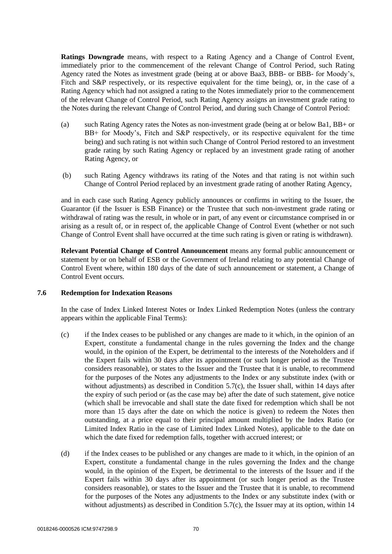**Ratings Downgrade** means, with respect to a Rating Agency and a Change of Control Event, immediately prior to the commencement of the relevant Change of Control Period, such Rating Agency rated the Notes as investment grade (being at or above Baa3, BBB- or BBB- for Moody's, Fitch and S&P respectively, or its respective equivalent for the time being), or, in the case of a Rating Agency which had not assigned a rating to the Notes immediately prior to the commencement of the relevant Change of Control Period, such Rating Agency assigns an investment grade rating to the Notes during the relevant Change of Control Period, and during such Change of Control Period:

- (a) such Rating Agency rates the Notes as non-investment grade (being at or below Ba1, BB+ or BB+ for Moody's, Fitch and S&P respectively, or its respective equivalent for the time being) and such rating is not within such Change of Control Period restored to an investment grade rating by such Rating Agency or replaced by an investment grade rating of another Rating Agency, or
- (b) such Rating Agency withdraws its rating of the Notes and that rating is not within such Change of Control Period replaced by an investment grade rating of another Rating Agency,

and in each case such Rating Agency publicly announces or confirms in writing to the Issuer, the Guarantor (if the Issuer is ESB Finance) or the Trustee that such non-investment grade rating or withdrawal of rating was the result, in whole or in part, of any event or circumstance comprised in or arising as a result of, or in respect of, the applicable Change of Control Event (whether or not such Change of Control Event shall have occurred at the time such rating is given or rating is withdrawn).

**Relevant Potential Change of Control Announcement** means any formal public announcement or statement by or on behalf of ESB or the Government of Ireland relating to any potential Change of Control Event where, within 180 days of the date of such announcement or statement, a Change of Control Event occurs.

# **7.6 Redemption for Indexation Reasons**

In the case of Index Linked Interest Notes or Index Linked Redemption Notes (unless the contrary appears within the applicable Final Terms):

- (c) if the Index ceases to be published or any changes are made to it which, in the opinion of an Expert, constitute a fundamental change in the rules governing the Index and the change would, in the opinion of the Expert, be detrimental to the interests of the Noteholders and if the Expert fails within 30 days after its appointment (or such longer period as the Trustee considers reasonable), or states to the Issuer and the Trustee that it is unable, to recommend for the purposes of the Notes any adjustments to the Index or any substitute index (with or without adjustments) as described in Condition 5.7(c), the Issuer shall, within 14 days after the expiry of such period or (as the case may be) after the date of such statement, give notice (which shall be irrevocable and shall state the date fixed for redemption which shall be not more than 15 days after the date on which the notice is given) to redeem the Notes then outstanding, at a price equal to their principal amount multiplied by the Index Ratio (or Limited Index Ratio in the case of Limited Index Linked Notes), applicable to the date on which the date fixed for redemption falls, together with accrued interest; or
- (d) if the Index ceases to be published or any changes are made to it which, in the opinion of an Expert, constitute a fundamental change in the rules governing the Index and the change would, in the opinion of the Expert, be detrimental to the interests of the Issuer and if the Expert fails within 30 days after its appointment (or such longer period as the Trustee considers reasonable), or states to the Issuer and the Trustee that it is unable, to recommend for the purposes of the Notes any adjustments to the Index or any substitute index (with or without adjustments) as described in Condition 5.7(c), the Issuer may at its option, within 14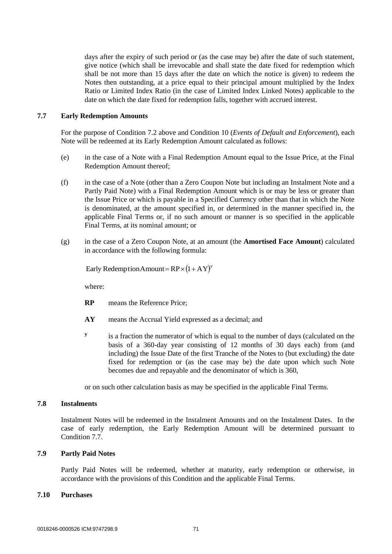days after the expiry of such period or (as the case may be) after the date of such statement, give notice (which shall be irrevocable and shall state the date fixed for redemption which shall be not more than 15 days after the date on which the notice is given) to redeem the Notes then outstanding, at a price equal to their principal amount multiplied by the Index Ratio or Limited Index Ratio (in the case of Limited Index Linked Notes) applicable to the date on which the date fixed for redemption falls, together with accrued interest.

### **7.7 Early Redemption Amounts**

For the purpose of Condition 7.2 above and Condition 10 (*Events of Default and Enforcement*), each Note will be redeemed at its Early Redemption Amount calculated as follows:

- (e) in the case of a Note with a Final Redemption Amount equal to the Issue Price, at the Final Redemption Amount thereof;
- (f) in the case of a Note (other than a Zero Coupon Note but including an Instalment Note and a Partly Paid Note) with a Final Redemption Amount which is or may be less or greater than the Issue Price or which is payable in a Specified Currency other than that in which the Note is denominated, at the amount specified in, or determined in the manner specified in, the applicable Final Terms or, if no such amount or manner is so specified in the applicable Final Terms, at its nominal amount; or
- (g) in the case of a Zero Coupon Note, at an amount (the **Amortised Face Amount**) calculated in accordance with the following formula:

Early Redemption Amount =  $RP \times (1+AY)^y$ 

where:

- **RP** means the Reference Price;
- **AY** means the Accrual Yield expressed as a decimal; and
- **y** is a fraction the numerator of which is equal to the number of days (calculated on the basis of a 360-day year consisting of 12 months of 30 days each) from (and including) the Issue Date of the first Tranche of the Notes to (but excluding) the date fixed for redemption or (as the case may be) the date upon which such Note becomes due and repayable and the denominator of which is 360,

or on such other calculation basis as may be specified in the applicable Final Terms.

# **7.8 Instalments**

Instalment Notes will be redeemed in the Instalment Amounts and on the Instalment Dates. In the case of early redemption, the Early Redemption Amount will be determined pursuant to Condition 7.7.

# **7.9 Partly Paid Notes**

Partly Paid Notes will be redeemed, whether at maturity, early redemption or otherwise, in accordance with the provisions of this Condition and the applicable Final Terms.

#### **7.10 Purchases**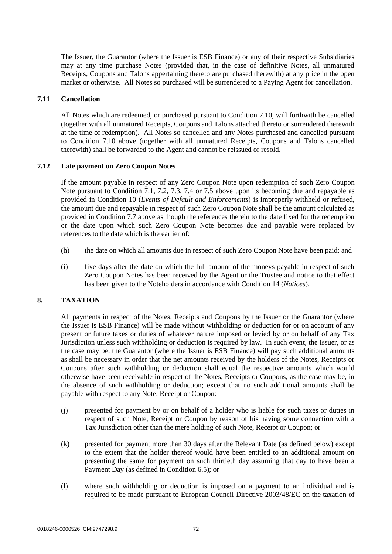The Issuer, the Guarantor (where the Issuer is ESB Finance) or any of their respective Subsidiaries may at any time purchase Notes (provided that, in the case of definitive Notes, all unmatured Receipts, Coupons and Talons appertaining thereto are purchased therewith) at any price in the open market or otherwise. All Notes so purchased will be surrendered to a Paying Agent for cancellation.

## **7.11 Cancellation**

All Notes which are redeemed, or purchased pursuant to Condition 7.10, will forthwith be cancelled (together with all unmatured Receipts, Coupons and Talons attached thereto or surrendered therewith at the time of redemption). All Notes so cancelled and any Notes purchased and cancelled pursuant to Condition 7.10 above (together with all unmatured Receipts, Coupons and Talons cancelled therewith) shall be forwarded to the Agent and cannot be reissued or resold.

## **7.12 Late payment on Zero Coupon Notes**

If the amount payable in respect of any Zero Coupon Note upon redemption of such Zero Coupon Note pursuant to Condition 7.1, 7.2, 7.3, 7.4 or 7.5 above upon its becoming due and repayable as provided in Condition 10 (*Events of Default and Enforcements*) is improperly withheld or refused, the amount due and repayable in respect of such Zero Coupon Note shall be the amount calculated as provided in Condition 7.7 above as though the references therein to the date fixed for the redemption or the date upon which such Zero Coupon Note becomes due and payable were replaced by references to the date which is the earlier of:

- (h) the date on which all amounts due in respect of such Zero Coupon Note have been paid; and
- (i) five days after the date on which the full amount of the moneys payable in respect of such Zero Coupon Notes has been received by the Agent or the Trustee and notice to that effect has been given to the Noteholders in accordance with Condition 14 (*Notices*).

# **8. TAXATION**

All payments in respect of the Notes, Receipts and Coupons by the Issuer or the Guarantor (where the Issuer is ESB Finance) will be made without withholding or deduction for or on account of any present or future taxes or duties of whatever nature imposed or levied by or on behalf of any Tax Jurisdiction unless such withholding or deduction is required by law. In such event, the Issuer, or as the case may be, the Guarantor (where the Issuer is ESB Finance) will pay such additional amounts as shall be necessary in order that the net amounts received by the holders of the Notes, Receipts or Coupons after such withholding or deduction shall equal the respective amounts which would otherwise have been receivable in respect of the Notes, Receipts or Coupons, as the case may be, in the absence of such withholding or deduction; except that no such additional amounts shall be payable with respect to any Note, Receipt or Coupon:

- (j) presented for payment by or on behalf of a holder who is liable for such taxes or duties in respect of such Note, Receipt or Coupon by reason of his having some connection with a Tax Jurisdiction other than the mere holding of such Note, Receipt or Coupon; or
- (k) presented for payment more than 30 days after the Relevant Date (as defined below) except to the extent that the holder thereof would have been entitled to an additional amount on presenting the same for payment on such thirtieth day assuming that day to have been a Payment Day (as defined in Condition 6.5); or
- (l) where such withholding or deduction is imposed on a payment to an individual and is required to be made pursuant to European Council Directive 2003/48/EC on the taxation of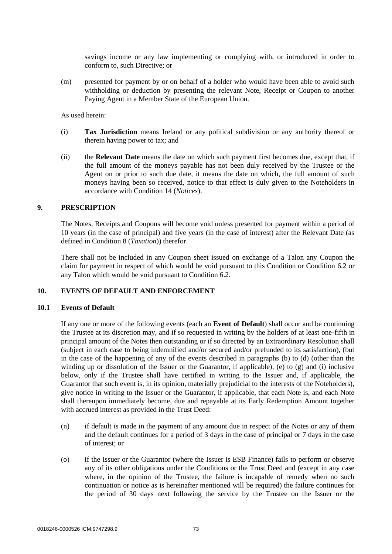savings income or any law implementing or complying with, or introduced in order to conform to, such Directive; or

(m) presented for payment by or on behalf of a holder who would have been able to avoid such withholding or deduction by presenting the relevant Note, Receipt or Coupon to another Paying Agent in a Member State of the European Union.

As used herein:

- (i) **Tax Jurisdiction** means Ireland or any political subdivision or any authority thereof or therein having power to tax; and
- (ii) the **Relevant Date** means the date on which such payment first becomes due, except that, if the full amount of the moneys payable has not been duly received by the Trustee or the Agent on or prior to such due date, it means the date on which, the full amount of such moneys having been so received, notice to that effect is duly given to the Noteholders in accordance with Condition 14 (*Notices*).

#### **9. PRESCRIPTION**

The Notes, Receipts and Coupons will become void unless presented for payment within a period of 10 years (in the case of principal) and five years (in the case of interest) after the Relevant Date (as defined in Condition 8 (*Taxation*)) therefor.

There shall not be included in any Coupon sheet issued on exchange of a Talon any Coupon the claim for payment in respect of which would be void pursuant to this Condition or Condition 6.2 or any Talon which would be void pursuant to Condition 6.2.

# **10. EVENTS OF DEFAULT AND ENFORCEMENT**

#### **10.1 Events of Default**

If any one or more of the following events (each an **Event of Default**) shall occur and be continuing the Trustee at its discretion may, and if so requested in writing by the holders of at least one-fifth in principal amount of the Notes then outstanding or if so directed by an Extraordinary Resolution shall (subject in each case to being indemnified and/or secured and/or prefunded to its satisfaction), (but in the case of the happening of any of the events described in paragraphs (b) to (d) (other than the winding up or dissolution of the Issuer or the Guarantor, if applicable), (e) to (g) and (i) inclusive below, only if the Trustee shall have certified in writing to the Issuer and, if applicable, the Guarantor that such event is, in its opinion, materially prejudicial to the interests of the Noteholders), give notice in writing to the Issuer or the Guarantor, if applicable, that each Note is, and each Note shall thereupon immediately become, due and repayable at its Early Redemption Amount together with accrued interest as provided in the Trust Deed:

- (n) if default is made in the payment of any amount due in respect of the Notes or any of them and the default continues for a period of 3 days in the case of principal or 7 days in the case of interest; or
- (o) if the Issuer or the Guarantor (where the Issuer is ESB Finance) fails to perform or observe any of its other obligations under the Conditions or the Trust Deed and (except in any case where, in the opinion of the Trustee, the failure is incapable of remedy when no such continuation or notice as is hereinafter mentioned will be required) the failure continues for the period of 30 days next following the service by the Trustee on the Issuer or the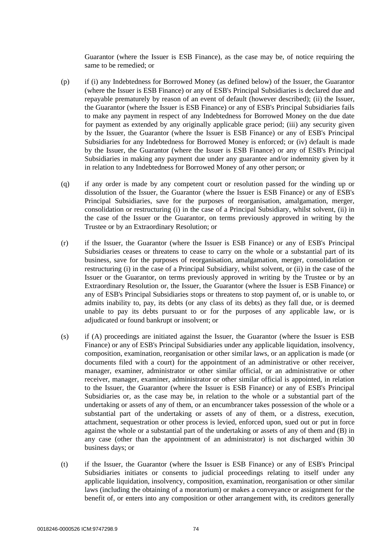Guarantor (where the Issuer is ESB Finance), as the case may be, of notice requiring the same to be remedied; or

- (p) if (i) any Indebtedness for Borrowed Money (as defined below) of the Issuer, the Guarantor (where the Issuer is ESB Finance) or any of ESB's Principal Subsidiaries is declared due and repayable prematurely by reason of an event of default (however described); (ii) the Issuer, the Guarantor (where the Issuer is ESB Finance) or any of ESB's Principal Subsidiaries fails to make any payment in respect of any Indebtedness for Borrowed Money on the due date for payment as extended by any originally applicable grace period; (iii) any security given by the Issuer, the Guarantor (where the Issuer is ESB Finance) or any of ESB's Principal Subsidiaries for any Indebtedness for Borrowed Money is enforced; or (iv) default is made by the Issuer, the Guarantor (where the Issuer is ESB Finance) or any of ESB's Principal Subsidiaries in making any payment due under any guarantee and/or indemnity given by it in relation to any Indebtedness for Borrowed Money of any other person; or
- (q) if any order is made by any competent court or resolution passed for the winding up or dissolution of the Issuer, the Guarantor (where the Issuer is ESB Finance) or any of ESB's Principal Subsidiaries, save for the purposes of reorganisation, amalgamation, merger, consolidation or restructuring (i) in the case of a Principal Subsidiary, whilst solvent, (ii) in the case of the Issuer or the Guarantor, on terms previously approved in writing by the Trustee or by an Extraordinary Resolution; or
- (r) if the Issuer, the Guarantor (where the Issuer is ESB Finance) or any of ESB's Principal Subsidiaries ceases or threatens to cease to carry on the whole or a substantial part of its business, save for the purposes of reorganisation, amalgamation, merger, consolidation or restructuring (i) in the case of a Principal Subsidiary, whilst solvent, or (ii) in the case of the Issuer or the Guarantor, on terms previously approved in writing by the Trustee or by an Extraordinary Resolution or, the Issuer, the Guarantor (where the Issuer is ESB Finance) or any of ESB's Principal Subsidiaries stops or threatens to stop payment of, or is unable to, or admits inability to, pay, its debts (or any class of its debts) as they fall due, or is deemed unable to pay its debts pursuant to or for the purposes of any applicable law, or is adjudicated or found bankrupt or insolvent; or
- (s) if (A) proceedings are initiated against the Issuer, the Guarantor (where the Issuer is ESB Finance) or any of ESB's Principal Subsidiaries under any applicable liquidation, insolvency, composition, examination, reorganisation or other similar laws, or an application is made (or documents filed with a court) for the appointment of an administrative or other receiver, manager, examiner, administrator or other similar official, or an administrative or other receiver, manager, examiner, administrator or other similar official is appointed, in relation to the Issuer, the Guarantor (where the Issuer is ESB Finance) or any of ESB's Principal Subsidiaries or, as the case may be, in relation to the whole or a substantial part of the undertaking or assets of any of them, or an encumbrancer takes possession of the whole or a substantial part of the undertaking or assets of any of them, or a distress, execution, attachment, sequestration or other process is levied, enforced upon, sued out or put in force against the whole or a substantial part of the undertaking or assets of any of them and (B) in any case (other than the appointment of an administrator) is not discharged within 30 business days; or
- (t) if the Issuer, the Guarantor (where the Issuer is ESB Finance) or any of ESB's Principal Subsidiaries initiates or consents to judicial proceedings relating to itself under any applicable liquidation, insolvency, composition, examination, reorganisation or other similar laws (including the obtaining of a moratorium) or makes a conveyance or assignment for the benefit of, or enters into any composition or other arrangement with, its creditors generally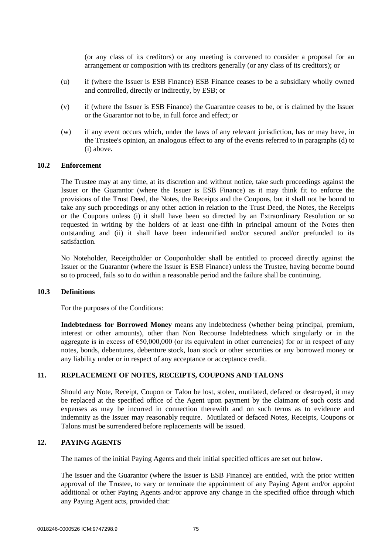(or any class of its creditors) or any meeting is convened to consider a proposal for an arrangement or composition with its creditors generally (or any class of its creditors); or

- (u) if (where the Issuer is ESB Finance) ESB Finance ceases to be a subsidiary wholly owned and controlled, directly or indirectly, by ESB; or
- (v) if (where the Issuer is ESB Finance) the Guarantee ceases to be, or is claimed by the Issuer or the Guarantor not to be, in full force and effect; or
- (w) if any event occurs which, under the laws of any relevant jurisdiction, has or may have, in the Trustee's opinion, an analogous effect to any of the events referred to in paragraphs (d) to (i) above.

# **10.2 Enforcement**

The Trustee may at any time, at its discretion and without notice, take such proceedings against the Issuer or the Guarantor (where the Issuer is ESB Finance) as it may think fit to enforce the provisions of the Trust Deed, the Notes, the Receipts and the Coupons, but it shall not be bound to take any such proceedings or any other action in relation to the Trust Deed, the Notes, the Receipts or the Coupons unless (i) it shall have been so directed by an Extraordinary Resolution or so requested in writing by the holders of at least one-fifth in principal amount of the Notes then outstanding and (ii) it shall have been indemnified and/or secured and/or prefunded to its satisfaction.

No Noteholder, Receiptholder or Couponholder shall be entitled to proceed directly against the Issuer or the Guarantor (where the Issuer is ESB Finance) unless the Trustee, having become bound so to proceed, fails so to do within a reasonable period and the failure shall be continuing.

# **10.3 Definitions**

For the purposes of the Conditions:

**Indebtedness for Borrowed Money** means any indebtedness (whether being principal, premium, interest or other amounts), other than Non Recourse Indebtedness which singularly or in the aggregate is in excess of  $\epsilon$ 50,000,000 (or its equivalent in other currencies) for or in respect of any notes, bonds, debentures, debenture stock, loan stock or other securities or any borrowed money or any liability under or in respect of any acceptance or acceptance credit.

#### **11. REPLACEMENT OF NOTES, RECEIPTS, COUPONS AND TALONS**

Should any Note, Receipt, Coupon or Talon be lost, stolen, mutilated, defaced or destroyed, it may be replaced at the specified office of the Agent upon payment by the claimant of such costs and expenses as may be incurred in connection therewith and on such terms as to evidence and indemnity as the Issuer may reasonably require. Mutilated or defaced Notes, Receipts, Coupons or Talons must be surrendered before replacements will be issued.

# **12. PAYING AGENTS**

The names of the initial Paying Agents and their initial specified offices are set out below.

The Issuer and the Guarantor (where the Issuer is ESB Finance) are entitled, with the prior written approval of the Trustee, to vary or terminate the appointment of any Paying Agent and/or appoint additional or other Paying Agents and/or approve any change in the specified office through which any Paying Agent acts, provided that: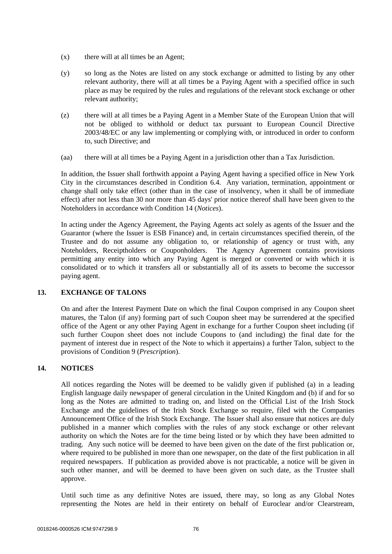- (x) there will at all times be an Agent;
- (y) so long as the Notes are listed on any stock exchange or admitted to listing by any other relevant authority, there will at all times be a Paying Agent with a specified office in such place as may be required by the rules and regulations of the relevant stock exchange or other relevant authority;
- (z) there will at all times be a Paying Agent in a Member State of the European Union that will not be obliged to withhold or deduct tax pursuant to European Council Directive 2003/48/EC or any law implementing or complying with, or introduced in order to conform to, such Directive; and
- (aa) there will at all times be a Paying Agent in a jurisdiction other than a Tax Jurisdiction.

In addition, the Issuer shall forthwith appoint a Paying Agent having a specified office in New York City in the circumstances described in Condition 6.4. Any variation, termination, appointment or change shall only take effect (other than in the case of insolvency, when it shall be of immediate effect) after not less than 30 nor more than 45 days' prior notice thereof shall have been given to the Noteholders in accordance with Condition 14 (*Notices*).

In acting under the Agency Agreement, the Paying Agents act solely as agents of the Issuer and the Guarantor (where the Issuer is ESB Finance) and, in certain circumstances specified therein, of the Trustee and do not assume any obligation to, or relationship of agency or trust with, any Noteholders, Receiptholders or Couponholders. The Agency Agreement contains provisions permitting any entity into which any Paying Agent is merged or converted or with which it is consolidated or to which it transfers all or substantially all of its assets to become the successor paying agent.

# **13. EXCHANGE OF TALONS**

On and after the Interest Payment Date on which the final Coupon comprised in any Coupon sheet matures, the Talon (if any) forming part of such Coupon sheet may be surrendered at the specified office of the Agent or any other Paying Agent in exchange for a further Coupon sheet including (if such further Coupon sheet does not include Coupons to (and including) the final date for the payment of interest due in respect of the Note to which it appertains) a further Talon, subject to the provisions of Condition 9 (*Prescription*).

# **14. NOTICES**

All notices regarding the Notes will be deemed to be validly given if published (a) in a leading English language daily newspaper of general circulation in the United Kingdom and (b) if and for so long as the Notes are admitted to trading on, and listed on the Official List of the Irish Stock Exchange and the guidelines of the Irish Stock Exchange so require, filed with the Companies Announcement Office of the Irish Stock Exchange. The Issuer shall also ensure that notices are duly published in a manner which complies with the rules of any stock exchange or other relevant authority on which the Notes are for the time being listed or by which they have been admitted to trading. Any such notice will be deemed to have been given on the date of the first publication or, where required to be published in more than one newspaper, on the date of the first publication in all required newspapers. If publication as provided above is not practicable, a notice will be given in such other manner, and will be deemed to have been given on such date, as the Trustee shall approve.

Until such time as any definitive Notes are issued, there may, so long as any Global Notes representing the Notes are held in their entirety on behalf of Euroclear and/or Clearstream,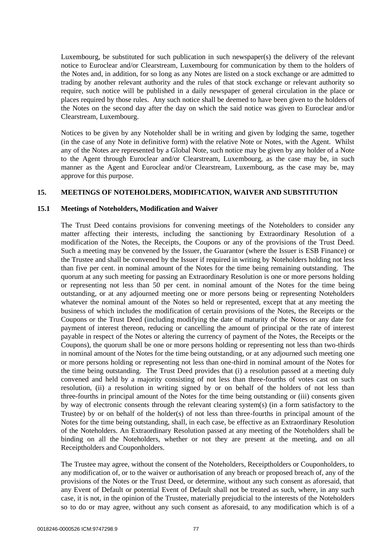Luxembourg, be substituted for such publication in such newspaper(s) the delivery of the relevant notice to Euroclear and/or Clearstream, Luxembourg for communication by them to the holders of the Notes and, in addition, for so long as any Notes are listed on a stock exchange or are admitted to trading by another relevant authority and the rules of that stock exchange or relevant authority so require, such notice will be published in a daily newspaper of general circulation in the place or places required by those rules. Any such notice shall be deemed to have been given to the holders of the Notes on the second day after the day on which the said notice was given to Euroclear and/or Clearstream, Luxembourg.

Notices to be given by any Noteholder shall be in writing and given by lodging the same, together (in the case of any Note in definitive form) with the relative Note or Notes, with the Agent. Whilst any of the Notes are represented by a Global Note, such notice may be given by any holder of a Note to the Agent through Euroclear and/or Clearstream, Luxembourg, as the case may be, in such manner as the Agent and Euroclear and/or Clearstream, Luxembourg, as the case may be, may approve for this purpose.

### **15. MEETINGS OF NOTEHOLDERS, MODIFICATION, WAIVER AND SUBSTITUTION**

#### **15.1 Meetings of Noteholders, Modification and Waiver**

The Trust Deed contains provisions for convening meetings of the Noteholders to consider any matter affecting their interests, including the sanctioning by Extraordinary Resolution of a modification of the Notes, the Receipts, the Coupons or any of the provisions of the Trust Deed. Such a meeting may be convened by the Issuer, the Guarantor (where the Issuer is ESB Finance) or the Trustee and shall be convened by the Issuer if required in writing by Noteholders holding not less than five per cent. in nominal amount of the Notes for the time being remaining outstanding. The quorum at any such meeting for passing an Extraordinary Resolution is one or more persons holding or representing not less than 50 per cent. in nominal amount of the Notes for the time being outstanding, or at any adjourned meeting one or more persons being or representing Noteholders whatever the nominal amount of the Notes so held or represented, except that at any meeting the business of which includes the modification of certain provisions of the Notes, the Receipts or the Coupons or the Trust Deed (including modifying the date of maturity of the Notes or any date for payment of interest thereon, reducing or cancelling the amount of principal or the rate of interest payable in respect of the Notes or altering the currency of payment of the Notes, the Receipts or the Coupons), the quorum shall be one or more persons holding or representing not less than two-thirds in nominal amount of the Notes for the time being outstanding, or at any adjourned such meeting one or more persons holding or representing not less than one-third in nominal amount of the Notes for the time being outstanding. The Trust Deed provides that (i) a resolution passed at a meeting duly convened and held by a majority consisting of not less than three-fourths of votes cast on such resolution, (ii) a resolution in writing signed by or on behalf of the holders of not less than three-fourths in principal amount of the Notes for the time being outstanding or (iii) consents given by way of electronic consents through the relevant clearing system(s) (in a form satisfactory to the Trustee) by or on behalf of the holder(s) of not less than three-fourths in principal amount of the Notes for the time being outstanding, shall, in each case, be effective as an Extraordinary Resolution of the Noteholders. An Extraordinary Resolution passed at any meeting of the Noteholders shall be binding on all the Noteholders, whether or not they are present at the meeting, and on all Receiptholders and Couponholders.

The Trustee may agree, without the consent of the Noteholders, Receiptholders or Couponholders, to any modification of, or to the waiver or authorisation of any breach or proposed breach of, any of the provisions of the Notes or the Trust Deed, or determine, without any such consent as aforesaid, that any Event of Default or potential Event of Default shall not be treated as such, where, in any such case, it is not, in the opinion of the Trustee, materially prejudicial to the interests of the Noteholders so to do or may agree, without any such consent as aforesaid, to any modification which is of a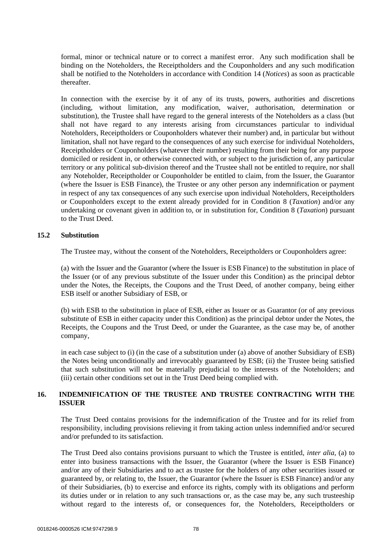formal, minor or technical nature or to correct a manifest error. Any such modification shall be binding on the Noteholders, the Receiptholders and the Couponholders and any such modification shall be notified to the Noteholders in accordance with Condition 14 (*Notices*) as soon as practicable thereafter.

In connection with the exercise by it of any of its trusts, powers, authorities and discretions (including, without limitation, any modification, waiver, authorisation, determination or substitution), the Trustee shall have regard to the general interests of the Noteholders as a class (but shall not have regard to any interests arising from circumstances particular to individual Noteholders, Receiptholders or Couponholders whatever their number) and, in particular but without limitation, shall not have regard to the consequences of any such exercise for individual Noteholders, Receiptholders or Couponholders (whatever their number) resulting from their being for any purpose domiciled or resident in, or otherwise connected with, or subject to the jurisdiction of, any particular territory or any political sub-division thereof and the Trustee shall not be entitled to require, nor shall any Noteholder, Receiptholder or Couponholder be entitled to claim, from the Issuer, the Guarantor (where the Issuer is ESB Finance), the Trustee or any other person any indemnification or payment in respect of any tax consequences of any such exercise upon individual Noteholders, Receiptholders or Couponholders except to the extent already provided for in Condition 8 (*Taxation*) and/or any undertaking or covenant given in addition to, or in substitution for, Condition 8 (*Taxation*) pursuant to the Trust Deed.

# **15.2 Substitution**

The Trustee may, without the consent of the Noteholders, Receiptholders or Couponholders agree:

(a) with the Issuer and the Guarantor (where the Issuer is ESB Finance) to the substitution in place of the Issuer (or of any previous substitute of the Issuer under this Condition) as the principal debtor under the Notes, the Receipts, the Coupons and the Trust Deed, of another company, being either ESB itself or another Subsidiary of ESB, or

(b) with ESB to the substitution in place of ESB, either as Issuer or as Guarantor (or of any previous substitute of ESB in either capacity under this Condition) as the principal debtor under the Notes, the Receipts, the Coupons and the Trust Deed, or under the Guarantee, as the case may be, of another company,

in each case subject to (i) (in the case of a substitution under (a) above of another Subsidiary of ESB) the Notes being unconditionally and irrevocably guaranteed by ESB; (ii) the Trustee being satisfied that such substitution will not be materially prejudicial to the interests of the Noteholders; and (iii) certain other conditions set out in the Trust Deed being complied with.

# **16. INDEMNIFICATION OF THE TRUSTEE AND TRUSTEE CONTRACTING WITH THE ISSUER**

The Trust Deed contains provisions for the indemnification of the Trustee and for its relief from responsibility, including provisions relieving it from taking action unless indemnified and/or secured and/or prefunded to its satisfaction.

The Trust Deed also contains provisions pursuant to which the Trustee is entitled, *inter alia*, (a) to enter into business transactions with the Issuer, the Guarantor (where the Issuer is ESB Finance) and/or any of their Subsidiaries and to act as trustee for the holders of any other securities issued or guaranteed by, or relating to, the Issuer, the Guarantor (where the Issuer is ESB Finance) and/or any of their Subsidiaries, (b) to exercise and enforce its rights, comply with its obligations and perform its duties under or in relation to any such transactions or, as the case may be, any such trusteeship without regard to the interests of, or consequences for, the Noteholders, Receiptholders or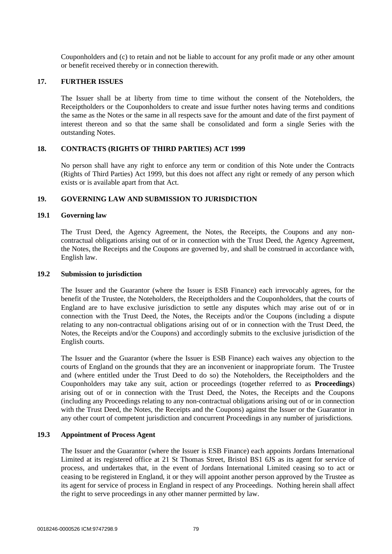Couponholders and (c) to retain and not be liable to account for any profit made or any other amount or benefit received thereby or in connection therewith.

### **17. FURTHER ISSUES**

The Issuer shall be at liberty from time to time without the consent of the Noteholders, the Receiptholders or the Couponholders to create and issue further notes having terms and conditions the same as the Notes or the same in all respects save for the amount and date of the first payment of interest thereon and so that the same shall be consolidated and form a single Series with the outstanding Notes.

# **18. CONTRACTS (RIGHTS OF THIRD PARTIES) ACT 1999**

No person shall have any right to enforce any term or condition of this Note under the Contracts (Rights of Third Parties) Act 1999, but this does not affect any right or remedy of any person which exists or is available apart from that Act.

# **19. GOVERNING LAW AND SUBMISSION TO JURISDICTION**

### **19.1 Governing law**

The Trust Deed, the Agency Agreement, the Notes, the Receipts, the Coupons and any noncontractual obligations arising out of or in connection with the Trust Deed, the Agency Agreement, the Notes, the Receipts and the Coupons are governed by, and shall be construed in accordance with, English law.

## **19.2 Submission to jurisdiction**

The Issuer and the Guarantor (where the Issuer is ESB Finance) each irrevocably agrees, for the benefit of the Trustee, the Noteholders, the Receiptholders and the Couponholders, that the courts of England are to have exclusive jurisdiction to settle any disputes which may arise out of or in connection with the Trust Deed, the Notes, the Receipts and/or the Coupons (including a dispute relating to any non-contractual obligations arising out of or in connection with the Trust Deed, the Notes, the Receipts and/or the Coupons) and accordingly submits to the exclusive jurisdiction of the English courts.

The Issuer and the Guarantor (where the Issuer is ESB Finance) each waives any objection to the courts of England on the grounds that they are an inconvenient or inappropriate forum. The Trustee and (where entitled under the Trust Deed to do so) the Noteholders, the Receiptholders and the Couponholders may take any suit, action or proceedings (together referred to as **Proceedings**) arising out of or in connection with the Trust Deed, the Notes, the Receipts and the Coupons (including any Proceedings relating to any non-contractual obligations arising out of or in connection with the Trust Deed, the Notes, the Receipts and the Coupons) against the Issuer or the Guarantor in any other court of competent jurisdiction and concurrent Proceedings in any number of jurisdictions.

# **19.3 Appointment of Process Agent**

The Issuer and the Guarantor (where the Issuer is ESB Finance) each appoints Jordans International Limited at its registered office at 21 St Thomas Street, Bristol BS1 6JS as its agent for service of process, and undertakes that, in the event of Jordans International Limited ceasing so to act or ceasing to be registered in England, it or they will appoint another person approved by the Trustee as its agent for service of process in England in respect of any Proceedings. Nothing herein shall affect the right to serve proceedings in any other manner permitted by law.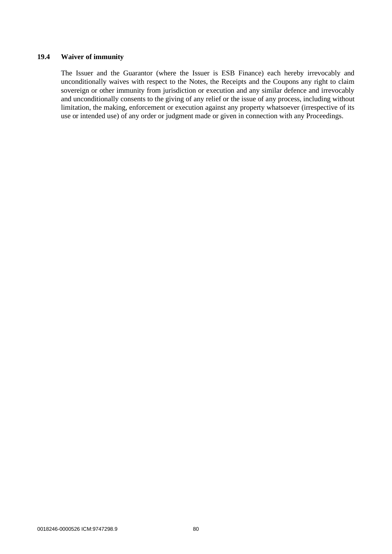# **19.4 Waiver of immunity**

The Issuer and the Guarantor (where the Issuer is ESB Finance) each hereby irrevocably and unconditionally waives with respect to the Notes, the Receipts and the Coupons any right to claim sovereign or other immunity from jurisdiction or execution and any similar defence and irrevocably and unconditionally consents to the giving of any relief or the issue of any process, including without limitation, the making, enforcement or execution against any property whatsoever (irrespective of its use or intended use) of any order or judgment made or given in connection with any Proceedings.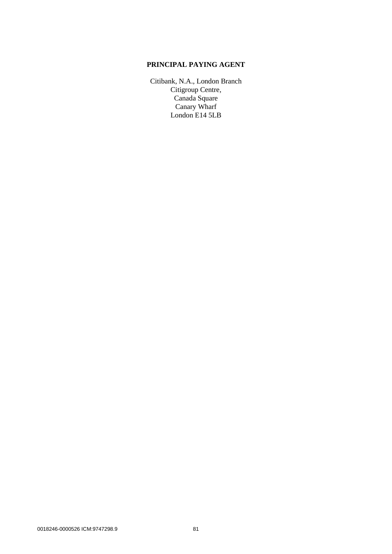# **PRINCIPAL PAYING AGENT**

Citibank, N.A., London Branch Citigroup Centre, Canada Square Canary Wharf London E14 5LB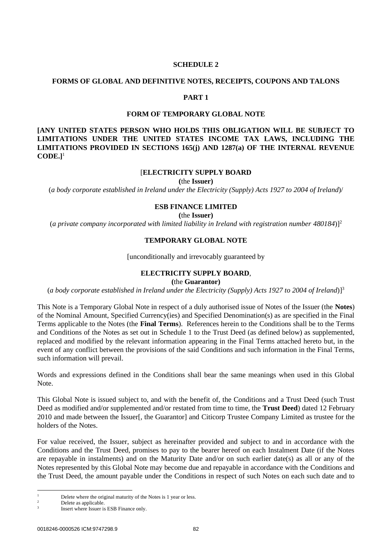#### **SCHEDULE 2**

#### <span id="page-84-0"></span>**FORMS OF GLOBAL AND DEFINITIVE NOTES, RECEIPTS, COUPONS AND TALONS**

# **PART 1**

### **FORM OF TEMPORARY GLOBAL NOTE**

**[ANY UNITED STATES PERSON WHO HOLDS THIS OBLIGATION WILL BE SUBJECT TO LIMITATIONS UNDER THE UNITED STATES INCOME TAX LAWS, INCLUDING THE LIMITATIONS PROVIDED IN SECTIONS 165(j) AND 1287(a) OF THE INTERNAL REVENUE CODE.]**<sup>1</sup>

#### [**ELECTRICITY SUPPLY BOARD**

**(**the **Issuer)**

(*a body corporate established in Ireland under the Electricity (Supply) Acts 1927 to 2004 of Ireland*)/

#### **ESB FINANCE LIMITED**

**(**the **Issuer)**

(*a private company incorporated with limited liability in Ireland with registration number 480184*)]<sup>2</sup>

#### **TEMPORARY GLOBAL NOTE**

[unconditionally and irrevocably guaranteed by

# **ELECTRICITY SUPPLY BOARD**,

**(**the **Guarantor)**

(*a body corporate established in Ireland under the Electricity (Supply) Acts 1927 to 2004 of Ireland*)]<sup>3</sup>

This Note is a Temporary Global Note in respect of a duly authorised issue of Notes of the Issuer (the **Notes**) of the Nominal Amount, Specified Currency(ies) and Specified Denomination(s) as are specified in the Final Terms applicable to the Notes (the **Final Terms**). References herein to the Conditions shall be to the Terms and Conditions of the Notes as set out in [Schedule 1](#page-42-0) to the Trust Deed (as defined below) as supplemented, replaced and modified by the relevant information appearing in the Final Terms attached hereto but, in the event of any conflict between the provisions of the said Conditions and such information in the Final Terms, such information will prevail.

Words and expressions defined in the Conditions shall bear the same meanings when used in this Global Note.

This Global Note is issued subject to, and with the benefit of, the Conditions and a Trust Deed (such Trust Deed as modified and/or supplemented and/or restated from time to time, the **Trust Deed**) dated 12 February 2010 and made between the Issuer[, the Guarantor] and Citicorp Trustee Company Limited as trustee for the holders of the Notes.

For value received, the Issuer, subject as hereinafter provided and subject to and in accordance with the Conditions and the Trust Deed, promises to pay to the bearer hereof on each Instalment Date (if the Notes are repayable in instalments) and on the Maturity Date and/or on such earlier date(s) as all or any of the Notes represented by this Global Note may become due and repayable in accordance with the Conditions and the Trust Deed, the amount payable under the Conditions in respect of such Notes on each such date and to

 $\frac{1}{2}$  Delete where the original maturity of the Notes is 1 year or less.

Delete as applicable.

<sup>3</sup> Insert where Issuer is ESB Finance only.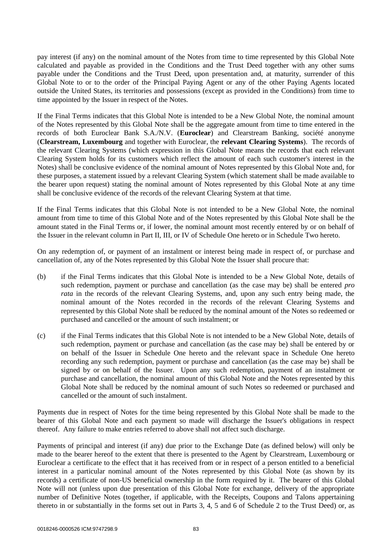pay interest (if any) on the nominal amount of the Notes from time to time represented by this Global Note calculated and payable as provided in the Conditions and the Trust Deed together with any other sums payable under the Conditions and the Trust Deed, upon presentation and, at maturity, surrender of this Global Note to or to the order of the Principal Paying Agent or any of the other Paying Agents located outside the United States, its territories and possessions (except as provided in the Conditions) from time to time appointed by the Issuer in respect of the Notes.

If the Final Terms indicates that this Global Note is intended to be a New Global Note, the nominal amount of the Notes represented by this Global Note shall be the aggregate amount from time to time entered in the records of both Euroclear Bank S.A./N.V. (**Euroclear**) and Clearstream Banking, société anonyme (**Clearstream, Luxembourg** and together with Euroclear, the **relevant Clearing Systems**). The records of the relevant Clearing Systems (which expression in this Global Note means the records that each relevant Clearing System holds for its customers which reflect the amount of each such customer's interest in the Notes) shall be conclusive evidence of the nominal amount of Notes represented by this Global Note and, for these purposes, a statement issued by a relevant Clearing System (which statement shall be made available to the bearer upon request) stating the nominal amount of Notes represented by this Global Note at any time shall be conclusive evidence of the records of the relevant Clearing System at that time.

If the Final Terms indicates that this Global Note is not intended to be a New Global Note, the nominal amount from time to time of this Global Note and of the Notes represented by this Global Note shall be the amount stated in the Final Terms or, if lower, the nominal amount most recently entered by or on behalf of the Issuer in the relevant column in Part II, III, or IV of Schedule One hereto or in Schedule Two hereto.

On any redemption of, or payment of an instalment or interest being made in respect of, or purchase and cancellation of, any of the Notes represented by this Global Note the Issuer shall procure that:

- (b) if the Final Terms indicates that this Global Note is intended to be a New Global Note, details of such redemption, payment or purchase and cancellation (as the case may be) shall be entered *pro rata* in the records of the relevant Clearing Systems, and, upon any such entry being made, the nominal amount of the Notes recorded in the records of the relevant Clearing Systems and represented by this Global Note shall be reduced by the nominal amount of the Notes so redeemed or purchased and cancelled or the amount of such instalment; or
- (c) if the Final Terms indicates that this Global Note is not intended to be a New Global Note, details of such redemption, payment or purchase and cancellation (as the case may be) shall be entered by or on behalf of the Issuer in Schedule One hereto and the relevant space in Schedule One hereto recording any such redemption, payment or purchase and cancellation (as the case may be) shall be signed by or on behalf of the Issuer. Upon any such redemption, payment of an instalment or purchase and cancellation, the nominal amount of this Global Note and the Notes represented by this Global Note shall be reduced by the nominal amount of such Notes so redeemed or purchased and cancelled or the amount of such instalment.

Payments due in respect of Notes for the time being represented by this Global Note shall be made to the bearer of this Global Note and each payment so made will discharge the Issuer's obligations in respect thereof. Any failure to make entries referred to above shall not affect such discharge.

Payments of principal and interest (if any) due prior to the Exchange Date (as defined below) will only be made to the bearer hereof to the extent that there is presented to the Agent by Clearstream, Luxembourg or Euroclear a certificate to the effect that it has received from or in respect of a person entitled to a beneficial interest in a particular nominal amount of the Notes represented by this Global Note (as shown by its records) a certificate of non-US beneficial ownership in the form required by it. The bearer of this Global Note will not (unless upon due presentation of this Global Note for exchange, delivery of the appropriate number of Definitive Notes (together, if applicable, with the Receipts, Coupons and Talons appertaining thereto in or substantially in the forms set out in Parts 3, 4, 5 and 6 of [Schedule 2](#page-84-0) to the Trust Deed) or, as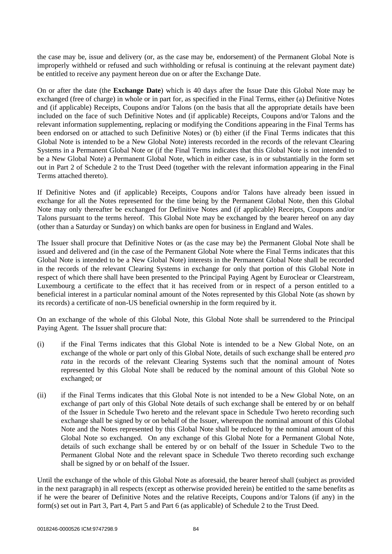the case may be, issue and delivery (or, as the case may be, endorsement) of the Permanent Global Note is improperly withheld or refused and such withholding or refusal is continuing at the relevant payment date) be entitled to receive any payment hereon due on or after the Exchange Date.

On or after the date (the **Exchange Date**) which is 40 days after the Issue Date this Global Note may be exchanged (free of charge) in whole or in part for, as specified in the Final Terms, either (a) Definitive Notes and (if applicable) Receipts, Coupons and/or Talons (on the basis that all the appropriate details have been included on the face of such Definitive Notes and (if applicable) Receipts, Coupons and/or Talons and the relevant information supplementing, replacing or modifying the Conditions appearing in the Final Terms has been endorsed on or attached to such Definitive Notes) or (b) either (if the Final Terms indicates that this Global Note is intended to be a New Global Note) interests recorded in the records of the relevant Clearing Systems in a Permanent Global Note or (if the Final Terms indicates that this Global Note is not intended to be a New Global Note) a Permanent Global Note, which in either case, is in or substantially in the form set out in [Part 2](#page-93-0) of [Schedule 2](#page-84-0) to the Trust Deed (together with the relevant information appearing in the Final Terms attached thereto).

If Definitive Notes and (if applicable) Receipts, Coupons and/or Talons have already been issued in exchange for all the Notes represented for the time being by the Permanent Global Note, then this Global Note may only thereafter be exchanged for Definitive Notes and (if applicable) Receipts, Coupons and/or Talons pursuant to the terms hereof. This Global Note may be exchanged by the bearer hereof on any day (other than a Saturday or Sunday) on which banks are open for business in England and Wales.

The Issuer shall procure that Definitive Notes or (as the case may be) the Permanent Global Note shall be issued and delivered and (in the case of the Permanent Global Note where the Final Terms indicates that this Global Note is intended to be a New Global Note) interests in the Permanent Global Note shall be recorded in the records of the relevant Clearing Systems in exchange for only that portion of this Global Note in respect of which there shall have been presented to the Principal Paying Agent by Euroclear or Clearstream, Luxembourg a certificate to the effect that it has received from or in respect of a person entitled to a beneficial interest in a particular nominal amount of the Notes represented by this Global Note (as shown by its records) a certificate of non-US beneficial ownership in the form required by it.

On an exchange of the whole of this Global Note, this Global Note shall be surrendered to the Principal Paying Agent. The Issuer shall procure that:

- (i) if the Final Terms indicates that this Global Note is intended to be a New Global Note, on an exchange of the whole or part only of this Global Note, details of such exchange shall be entered *pro rata* in the records of the relevant Clearing Systems such that the nominal amount of Notes represented by this Global Note shall be reduced by the nominal amount of this Global Note so exchanged; or
- (ii) if the Final Terms indicates that this Global Note is not intended to be a New Global Note, on an exchange of part only of this Global Note details of such exchange shall be entered by or on behalf of the Issuer in Schedule Two hereto and the relevant space in Schedule Two hereto recording such exchange shall be signed by or on behalf of the Issuer, whereupon the nominal amount of this Global Note and the Notes represented by this Global Note shall be reduced by the nominal amount of this Global Note so exchanged. On any exchange of this Global Note for a Permanent Global Note, details of such exchange shall be entered by or on behalf of the Issuer in Schedule Two to the Permanent Global Note and the relevant space in Schedule Two thereto recording such exchange shall be signed by or on behalf of the Issuer.

Until the exchange of the whole of this Global Note as aforesaid, the bearer hereof shall (subject as provided in the next paragraph) in all respects (except as otherwise provided herein) be entitled to the same benefits as if he were the bearer of Definitive Notes and the relative Receipts, Coupons and/or Talons (if any) in the form(s) set out in [Part 3,](#page-102-0) [Part 4,](#page-105-0) [Part 5](#page-106-0) and [Part 6](#page-108-0) (as applicable) of [Schedule 2](#page-84-0) to the Trust Deed.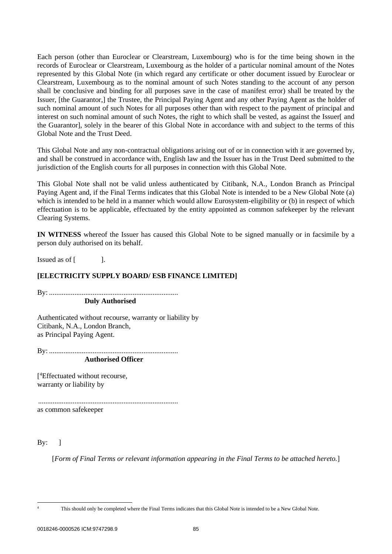Each person (other than Euroclear or Clearstream, Luxembourg) who is for the time being shown in the records of Euroclear or Clearstream, Luxembourg as the holder of a particular nominal amount of the Notes represented by this Global Note (in which regard any certificate or other document issued by Euroclear or Clearstream, Luxembourg as to the nominal amount of such Notes standing to the account of any person shall be conclusive and binding for all purposes save in the case of manifest error) shall be treated by the Issuer, [the Guarantor,] the Trustee, the Principal Paying Agent and any other Paying Agent as the holder of such nominal amount of such Notes for all purposes other than with respect to the payment of principal and interest on such nominal amount of such Notes, the right to which shall be vested, as against the Issuer[ and the Guarantor], solely in the bearer of this Global Note in accordance with and subject to the terms of this Global Note and the Trust Deed.

This Global Note and any non-contractual obligations arising out of or in connection with it are governed by, and shall be construed in accordance with, English law and the Issuer has in the Trust Deed submitted to the jurisdiction of the English courts for all purposes in connection with this Global Note.

This Global Note shall not be valid unless authenticated by Citibank, N.A., London Branch as Principal Paying Agent and, if the Final Terms indicates that this Global Note is intended to be a New Global Note (a) which is intended to be held in a manner which would allow Eurosystem-eligibility or (b) in respect of which effectuation is to be applicable, effectuated by the entity appointed as common safekeeper by the relevant Clearing Systems.

**IN WITNESS** whereof the Issuer has caused this Global Note to be signed manually or in facsimile by a person duly authorised on its behalf.

Issued as of [ ].

# **[ELECTRICITY SUPPLY BOARD/ ESB FINANCE LIMITED]**

By: .......................................................................

**Duly Authorised**

Authenticated without recourse, warranty or liability by Citibank, N.A., London Branch, as Principal Paying Agent.

By: .......................................................................

**Authorised Officer**

[ <sup>4</sup>Effectuated without recourse, warranty or liability by

............................................................................. as common safekeeper

 $By: \quad$ 

[*Form of Final Terms or relevant information appearing in the Final Terms to be attached hereto.*]

<sup>&</sup>lt;sup>4</sup> This should only be completed where the Final Terms indicates that this Global Note is intended to be a New Global Note.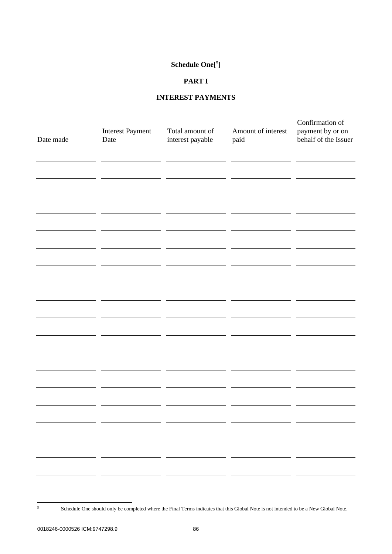### **Schedule One[**<sup>5</sup> **]**

# **PART I**

# **INTEREST PAYMENTS**

| Date made | <b>Interest Payment</b><br>Date | Total amount of<br>interest payable | Amount of interest<br>paid | Confirmation of<br>payment by or on<br>behalf of the Issuer |
|-----------|---------------------------------|-------------------------------------|----------------------------|-------------------------------------------------------------|
|           |                                 |                                     |                            |                                                             |
|           |                                 |                                     |                            |                                                             |
|           |                                 |                                     |                            |                                                             |
|           |                                 |                                     |                            |                                                             |
|           |                                 |                                     |                            |                                                             |
|           |                                 |                                     |                            |                                                             |
|           |                                 |                                     |                            |                                                             |
|           | - -<br>———                      |                                     |                            |                                                             |
|           |                                 |                                     |                            |                                                             |

<sup>5</sup> Schedule One should only be completed where the Final Terms indicates that this Global Note is not intended to be a New Global Note.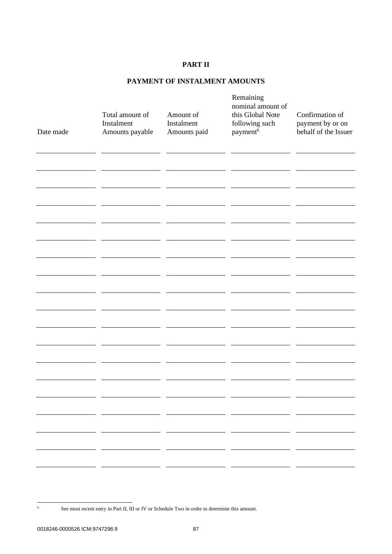# **PART II**

# **PAYMENT OF INSTALMENT AMOUNTS**

| Date made | Total amount of<br>Instalment<br>Amounts payable | Amount of<br>Instalment<br>Amounts paid | Remaining<br>nominal amount of<br>this Global Note<br>following such<br>payment <sup>6</sup> | Confirmation of<br>payment by or on<br>behalf of the Issuer |
|-----------|--------------------------------------------------|-----------------------------------------|----------------------------------------------------------------------------------------------|-------------------------------------------------------------|
|           |                                                  |                                         |                                                                                              |                                                             |
|           |                                                  |                                         |                                                                                              |                                                             |
|           |                                                  |                                         |                                                                                              |                                                             |
|           |                                                  |                                         |                                                                                              |                                                             |
|           |                                                  |                                         |                                                                                              |                                                             |
|           |                                                  | - -                                     | - -                                                                                          |                                                             |
|           |                                                  | - -<br>- -                              |                                                                                              |                                                             |

<sup>&</sup>lt;sup>6</sup> See most recent entry in Part II, III or IV or Schedule Two in order to determine this amount.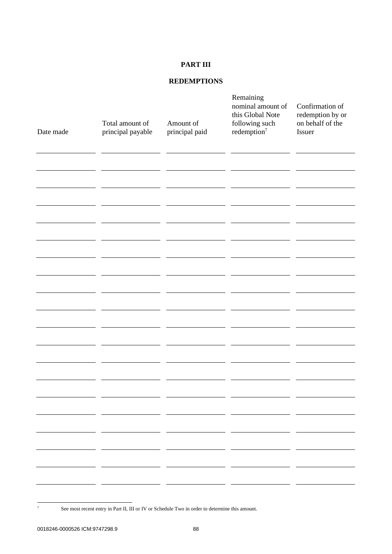# **PART III**

# **REDEMPTIONS**

| Date made                               | Total amount of<br>principal payable | Amount of<br>principal paid | Remaining<br>nominal amount of<br>this Global Note<br>following such<br>redefinition <sup>7</sup> | Confirmation of<br>redemption by or<br>on behalf of the<br>Issuer |
|-----------------------------------------|--------------------------------------|-----------------------------|---------------------------------------------------------------------------------------------------|-------------------------------------------------------------------|
|                                         |                                      |                             |                                                                                                   |                                                                   |
|                                         |                                      |                             |                                                                                                   |                                                                   |
|                                         |                                      |                             |                                                                                                   |                                                                   |
|                                         |                                      |                             |                                                                                                   |                                                                   |
|                                         |                                      |                             |                                                                                                   |                                                                   |
|                                         |                                      |                             |                                                                                                   |                                                                   |
|                                         |                                      |                             |                                                                                                   |                                                                   |
| ________                                |                                      | - -                         |                                                                                                   |                                                                   |
| <u> 1989 - Johann Barbara, martxa a</u> | - -                                  | — —                         |                                                                                                   | - -<br>the contract of the contract of                            |

 $\frac{7}{7}$  See most recent entry in Part II, III or IV or Schedule Two in order to determine this amount.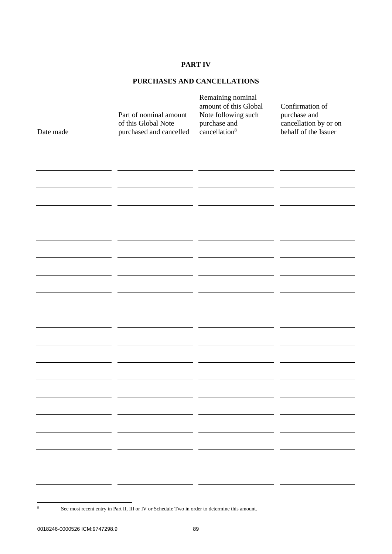# **PART IV**

# **PURCHASES AND CANCELLATIONS**

| Date made | Part of nominal amount<br>of this Global Note<br>purchased and cancelled | Remaining nominal<br>amount of this Global<br>Note following such<br>purchase and<br>cancellation <sup>8</sup> | Confirmation of<br>purchase and<br>cancellation by or on<br>behalf of the Issuer |
|-----------|--------------------------------------------------------------------------|----------------------------------------------------------------------------------------------------------------|----------------------------------------------------------------------------------|
|           |                                                                          |                                                                                                                |                                                                                  |
|           |                                                                          |                                                                                                                |                                                                                  |
|           |                                                                          |                                                                                                                |                                                                                  |
|           |                                                                          |                                                                                                                |                                                                                  |
|           |                                                                          |                                                                                                                |                                                                                  |
|           |                                                                          |                                                                                                                |                                                                                  |
|           |                                                                          |                                                                                                                |                                                                                  |
|           |                                                                          |                                                                                                                |                                                                                  |
|           |                                                                          |                                                                                                                |                                                                                  |
|           |                                                                          |                                                                                                                |                                                                                  |
|           |                                                                          |                                                                                                                |                                                                                  |
|           |                                                                          |                                                                                                                |                                                                                  |
|           |                                                                          |                                                                                                                |                                                                                  |
|           |                                                                          |                                                                                                                |                                                                                  |
|           |                                                                          |                                                                                                                |                                                                                  |
|           |                                                                          |                                                                                                                |                                                                                  |
|           |                                                                          |                                                                                                                |                                                                                  |
|           |                                                                          |                                                                                                                |                                                                                  |
|           |                                                                          |                                                                                                                |                                                                                  |
|           |                                                                          |                                                                                                                |                                                                                  |

<sup>&</sup>lt;sup>8</sup> See most recent entry in Part II, III or IV or Schedule Two in order to determine this amount.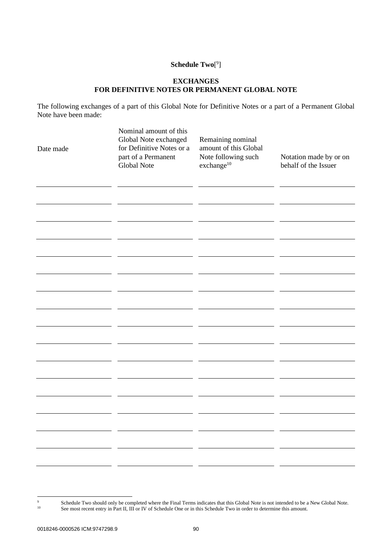# **Schedule Two**[ 9 ]

# **EXCHANGES FOR DEFINITIVE NOTES OR PERMANENT GLOBAL NOTE**

The following exchanges of a part of this Global Note for Definitive Notes or a part of a Permanent Global Note have been made:

| Date made | Nominal amount of this<br>Global Note exchanged<br>for Definitive Notes or a<br>part of a Permanent<br><b>Global Note</b> | Remaining nominal<br>amount of this Global<br>Note following such<br>$\rm exchange^{10}$ | Notation made by or on<br>behalf of the Issuer |
|-----------|---------------------------------------------------------------------------------------------------------------------------|------------------------------------------------------------------------------------------|------------------------------------------------|
|           |                                                                                                                           |                                                                                          |                                                |
|           |                                                                                                                           |                                                                                          |                                                |
|           |                                                                                                                           |                                                                                          |                                                |
|           |                                                                                                                           |                                                                                          |                                                |
|           |                                                                                                                           |                                                                                          |                                                |
|           |                                                                                                                           |                                                                                          |                                                |
|           |                                                                                                                           |                                                                                          |                                                |

<sup>&</sup>lt;sup>9</sup> Schedule Two should only be completed where the Final Terms indicates that this Global Note is not intended to be a New Global Note. <sup>10</sup> See most recent entry in Part II, III or IV of Schedule One or in this Schedule Two in order to determine this amount.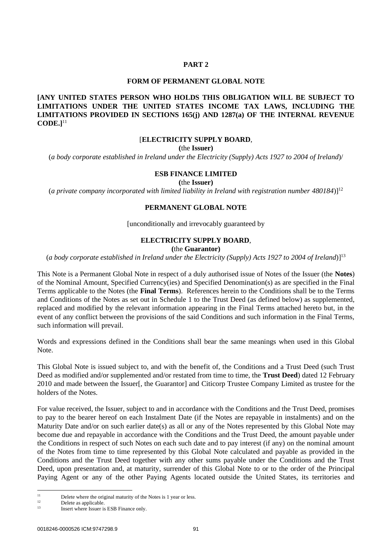## **PART 2**

#### **FORM OF PERMANENT GLOBAL NOTE**

# <span id="page-93-0"></span>**[ANY UNITED STATES PERSON WHO HOLDS THIS OBLIGATION WILL BE SUBJECT TO LIMITATIONS UNDER THE UNITED STATES INCOME TAX LAWS, INCLUDING THE LIMITATIONS PROVIDED IN SECTIONS 165(j) AND 1287(a) OF THE INTERNAL REVENUE CODE.]**<sup>11</sup>

# [**ELECTRICITY SUPPLY BOARD**,

**(**the **Issuer)**

(*a body corporate established in Ireland under the Electricity (Supply) Acts 1927 to 2004 of Ireland*)/

### **ESB FINANCE LIMITED**

**(**the **Issuer)**

(*a private company incorporated with limited liability in Ireland with registration number 480184*)]<sup>12</sup>

### **PERMANENT GLOBAL NOTE**

[unconditionally and irrevocably guaranteed by

#### **ELECTRICITY SUPPLY BOARD**,

**(**the **Guarantor)**

(*a body corporate established in Ireland under the Electricity (Supply) Acts 1927 to 2004 of Ireland*)]<sup>13</sup>

This Note is a Permanent Global Note in respect of a duly authorised issue of Notes of the Issuer (the **Notes**) of the Nominal Amount, Specified Currency(ies) and Specified Denomination(s) as are specified in the Final Terms applicable to the Notes (the **Final Terms**). References herein to the Conditions shall be to the Terms and Conditions of the Notes as set out in [Schedule 1](#page-42-0) to the Trust Deed (as defined below) as supplemented, replaced and modified by the relevant information appearing in the Final Terms attached hereto but, in the event of any conflict between the provisions of the said Conditions and such information in the Final Terms, such information will prevail.

Words and expressions defined in the Conditions shall bear the same meanings when used in this Global Note.

This Global Note is issued subject to, and with the benefit of, the Conditions and a Trust Deed (such Trust Deed as modified and/or supplemented and/or restated from time to time, the **Trust Deed**) dated 12 February 2010 and made between the Issuer[, the Guarantor] and Citicorp Trustee Company Limited as trustee for the holders of the Notes.

For value received, the Issuer, subject to and in accordance with the Conditions and the Trust Deed, promises to pay to the bearer hereof on each Instalment Date (if the Notes are repayable in instalments) and on the Maturity Date and/or on such earlier date(s) as all or any of the Notes represented by this Global Note may become due and repayable in accordance with the Conditions and the Trust Deed, the amount payable under the Conditions in respect of such Notes on each such date and to pay interest (if any) on the nominal amount of the Notes from time to time represented by this Global Note calculated and payable as provided in the Conditions and the Trust Deed together with any other sums payable under the Conditions and the Trust Deed, upon presentation and, at maturity, surrender of this Global Note to or to the order of the Principal Paying Agent or any of the other Paying Agents located outside the United States, its territories and

 $11$  Delete where the original maturity of the Notes is 1 year or less.

 $12$  Delete as applicable.

Insert where Issuer is ESB Finance only.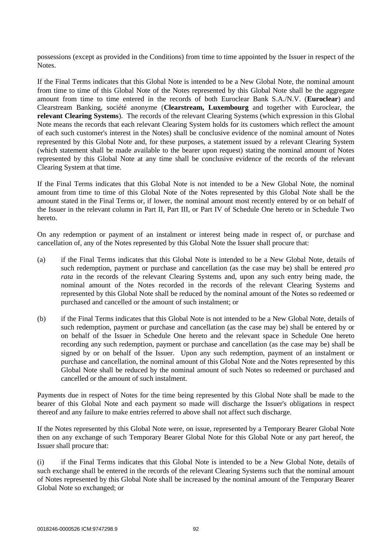possessions (except as provided in the Conditions) from time to time appointed by the Issuer in respect of the Notes.

If the Final Terms indicates that this Global Note is intended to be a New Global Note, the nominal amount from time to time of this Global Note of the Notes represented by this Global Note shall be the aggregate amount from time to time entered in the records of both Euroclear Bank S.A./N.V. (**Euroclear**) and Clearstream Banking, société anonyme (**Clearstream, Luxembourg** and together with Euroclear, the **relevant Clearing Systems**). The records of the relevant Clearing Systems (which expression in this Global Note means the records that each relevant Clearing System holds for its customers which reflect the amount of each such customer's interest in the Notes) shall be conclusive evidence of the nominal amount of Notes represented by this Global Note and, for these purposes, a statement issued by a relevant Clearing System (which statement shall be made available to the bearer upon request) stating the nominal amount of Notes represented by this Global Note at any time shall be conclusive evidence of the records of the relevant Clearing System at that time.

If the Final Terms indicates that this Global Note is not intended to be a New Global Note, the nominal amount from time to time of this Global Note of the Notes represented by this Global Note shall be the amount stated in the Final Terms or, if lower, the nominal amount most recently entered by or on behalf of the Issuer in the relevant column in Part II, Part III, or Part IV of Schedule One hereto or in Schedule Two hereto.

On any redemption or payment of an instalment or interest being made in respect of, or purchase and cancellation of, any of the Notes represented by this Global Note the Issuer shall procure that:

- (a) if the Final Terms indicates that this Global Note is intended to be a New Global Note, details of such redemption, payment or purchase and cancellation (as the case may be) shall be entered *pro rata* in the records of the relevant Clearing Systems and, upon any such entry being made, the nominal amount of the Notes recorded in the records of the relevant Clearing Systems and represented by this Global Note shall be reduced by the nominal amount of the Notes so redeemed or purchased and cancelled or the amount of such instalment; or
- (b) if the Final Terms indicates that this Global Note is not intended to be a New Global Note, details of such redemption, payment or purchase and cancellation (as the case may be) shall be entered by or on behalf of the Issuer in Schedule One hereto and the relevant space in Schedule One hereto recording any such redemption, payment or purchase and cancellation (as the case may be) shall be signed by or on behalf of the Issuer. Upon any such redemption, payment of an instalment or purchase and cancellation, the nominal amount of this Global Note and the Notes represented by this Global Note shall be reduced by the nominal amount of such Notes so redeemed or purchased and cancelled or the amount of such instalment.

Payments due in respect of Notes for the time being represented by this Global Note shall be made to the bearer of this Global Note and each payment so made will discharge the Issuer's obligations in respect thereof and any failure to make entries referred to above shall not affect such discharge.

If the Notes represented by this Global Note were, on issue, represented by a Temporary Bearer Global Note then on any exchange of such Temporary Bearer Global Note for this Global Note or any part hereof, the Issuer shall procure that:

(i) if the Final Terms indicates that this Global Note is intended to be a New Global Note, details of such exchange shall be entered in the records of the relevant Clearing Systems such that the nominal amount of Notes represented by this Global Note shall be increased by the nominal amount of the Temporary Bearer Global Note so exchanged; or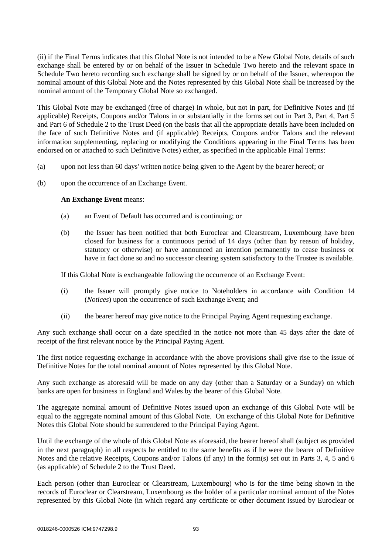(ii) if the Final Terms indicates that this Global Note is not intended to be a New Global Note, details of such exchange shall be entered by or on behalf of the Issuer in Schedule Two hereto and the relevant space in Schedule Two hereto recording such exchange shall be signed by or on behalf of the Issuer, whereupon the nominal amount of this Global Note and the Notes represented by this Global Note shall be increased by the nominal amount of the Temporary Global Note so exchanged.

This Global Note may be exchanged (free of charge) in whole, but not in part, for Definitive Notes and (if applicable) Receipts, Coupons and/or Talons in or substantially in the forms set out in [Part 3,](#page-102-0) [Part 4,](#page-105-0) [Part 5](#page-106-0) and [Part 6](#page-108-0) of [Schedule 2](#page-84-0) to the Trust Deed (on the basis that all the appropriate details have been included on the face of such Definitive Notes and (if applicable) Receipts, Coupons and/or Talons and the relevant information supplementing, replacing or modifying the Conditions appearing in the Final Terms has been endorsed on or attached to such Definitive Notes) either, as specified in the applicable Final Terms:

- (a) upon not less than 60 days' written notice being given to the Agent by the bearer hereof; or
- (b) upon the occurrence of an Exchange Event.

# **An Exchange Event** means:

- (a) an Event of Default has occurred and is continuing; or
- (b) the Issuer has been notified that both Euroclear and Clearstream, Luxembourg have been closed for business for a continuous period of 14 days (other than by reason of holiday, statutory or otherwise) or have announced an intention permanently to cease business or have in fact done so and no successor clearing system satisfactory to the Trustee is available.

If this Global Note is exchangeable following the occurrence of an Exchange Event:

- (i) the Issuer will promptly give notice to Noteholders in accordance with Condition 14 (*Notices*) upon the occurrence of such Exchange Event; and
- (ii) the bearer hereof may give notice to the Principal Paying Agent requesting exchange.

Any such exchange shall occur on a date specified in the notice not more than 45 days after the date of receipt of the first relevant notice by the Principal Paying Agent.

The first notice requesting exchange in accordance with the above provisions shall give rise to the issue of Definitive Notes for the total nominal amount of Notes represented by this Global Note.

Any such exchange as aforesaid will be made on any day (other than a Saturday or a Sunday) on which banks are open for business in England and Wales by the bearer of this Global Note.

The aggregate nominal amount of Definitive Notes issued upon an exchange of this Global Note will be equal to the aggregate nominal amount of this Global Note. On exchange of this Global Note for Definitive Notes this Global Note should be surrendered to the Principal Paying Agent.

Until the exchange of the whole of this Global Note as aforesaid, the bearer hereof shall (subject as provided in the next paragraph) in all respects be entitled to the same benefits as if he were the bearer of Definitive Notes and the relative Receipts, Coupons and/or Talons (if any) in the form(s) set out in Parts 3, 4, 5 and 6 (as applicable) of [Schedule 2](#page-84-0) to the Trust Deed.

Each person (other than Euroclear or Clearstream, Luxembourg) who is for the time being shown in the records of Euroclear or Clearstream, Luxembourg as the holder of a particular nominal amount of the Notes represented by this Global Note (in which regard any certificate or other document issued by Euroclear or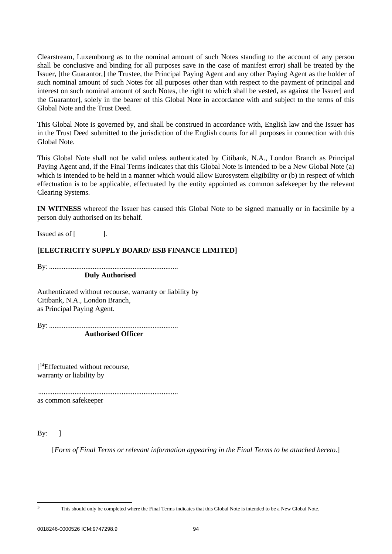Clearstream, Luxembourg as to the nominal amount of such Notes standing to the account of any person shall be conclusive and binding for all purposes save in the case of manifest error) shall be treated by the Issuer, [the Guarantor,] the Trustee, the Principal Paying Agent and any other Paying Agent as the holder of such nominal amount of such Notes for all purposes other than with respect to the payment of principal and interest on such nominal amount of such Notes, the right to which shall be vested, as against the Issuer[ and the Guarantor], solely in the bearer of this Global Note in accordance with and subject to the terms of this Global Note and the Trust Deed.

This Global Note is governed by, and shall be construed in accordance with, English law and the Issuer has in the Trust Deed submitted to the jurisdiction of the English courts for all purposes in connection with this Global Note.

This Global Note shall not be valid unless authenticated by Citibank, N.A., London Branch as Principal Paying Agent and, if the Final Terms indicates that this Global Note is intended to be a New Global Note (a) which is intended to be held in a manner which would allow Eurosystem eligibility or (b) in respect of which effectuation is to be applicable, effectuated by the entity appointed as common safekeeper by the relevant Clearing Systems.

**IN WITNESS** whereof the Issuer has caused this Global Note to be signed manually or in facsimile by a person duly authorised on its behalf.

Issued as of [ ].

# **[ELECTRICITY SUPPLY BOARD/ ESB FINANCE LIMITED]**

By: ....................................................................... **Duly Authorised**

Authenticated without recourse, warranty or liability by Citibank, N.A., London Branch, as Principal Paying Agent.

By: .......................................................................

**Authorised Officer**

[ <sup>14</sup>Effectuated without recourse, warranty or liability by

............................................................................. as common safekeeper

 $By:$  ]

[*Form of Final Terms or relevant information appearing in the Final Terms to be attached hereto.*]

<sup>&</sup>lt;sup>14</sup> This should only be completed where the Final Terms indicates that this Global Note is intended to be a New Global Note.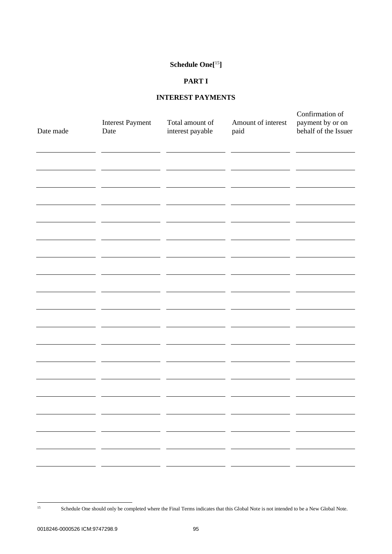# **Schedule One[**<sup>15</sup>**]**

# **PART I**

# **INTEREST PAYMENTS**

| Date made | <b>Interest Payment</b><br>Date | Total amount of<br>interest payable | Amount of interest<br>paid | Confirmation of<br>payment by or on<br>behalf of the Issuer |
|-----------|---------------------------------|-------------------------------------|----------------------------|-------------------------------------------------------------|
|           |                                 |                                     |                            |                                                             |
|           |                                 |                                     |                            |                                                             |
|           |                                 |                                     |                            |                                                             |
|           |                                 |                                     |                            |                                                             |
|           |                                 |                                     |                            |                                                             |
|           |                                 |                                     |                            |                                                             |
|           |                                 |                                     |                            |                                                             |
|           |                                 |                                     |                            |                                                             |

<sup>&</sup>lt;sup>15</sup> Schedule One should only be completed where the Final Terms indicates that this Global Note is not intended to be a New Global Note.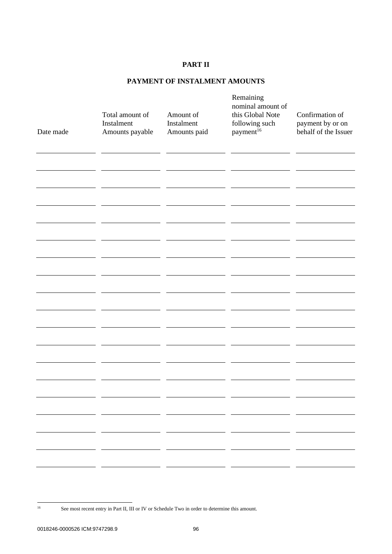# **PART II**

# **PAYMENT OF INSTALMENT AMOUNTS**

| Date made | Total amount of<br>Instalment<br>Amounts payable | Amount of<br>Instalment<br>Amounts paid | Remaining<br>nominal amount of<br>this Global Note<br>following such<br>payment <sup>16</sup> | Confirmation of<br>payment by or on<br>behalf of the Issuer |
|-----------|--------------------------------------------------|-----------------------------------------|-----------------------------------------------------------------------------------------------|-------------------------------------------------------------|
|           |                                                  |                                         |                                                                                               |                                                             |
|           |                                                  |                                         |                                                                                               |                                                             |
|           |                                                  |                                         |                                                                                               |                                                             |
|           |                                                  |                                         |                                                                                               |                                                             |
|           |                                                  |                                         |                                                                                               |                                                             |
|           |                                                  | - -                                     | - -                                                                                           |                                                             |
|           |                                                  | - -<br>- -                              |                                                                                               |                                                             |

<sup>&</sup>lt;sup>16</sup> See most recent entry in Part II, III or IV or Schedule Two in order to determine this amount.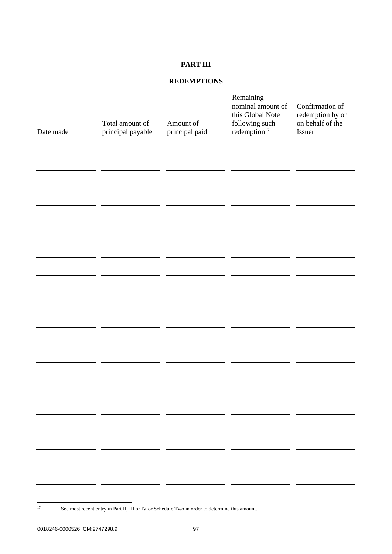# **PART III**

# **REDEMPTIONS**

| Date made                               | Total amount of<br>principal payable | Amount of<br>principal paid | Remaining<br>nominal amount of<br>this Global Note<br>following such<br>redemption $17$ | Confirmation of<br>redemption by or<br>on behalf of the<br>Issuer |
|-----------------------------------------|--------------------------------------|-----------------------------|-----------------------------------------------------------------------------------------|-------------------------------------------------------------------|
|                                         |                                      |                             |                                                                                         |                                                                   |
|                                         |                                      |                             |                                                                                         |                                                                   |
|                                         |                                      |                             |                                                                                         |                                                                   |
|                                         |                                      |                             |                                                                                         |                                                                   |
|                                         |                                      |                             |                                                                                         |                                                                   |
|                                         |                                      |                             |                                                                                         |                                                                   |
|                                         |                                      |                             |                                                                                         |                                                                   |
| ________                                |                                      | - -                         |                                                                                         |                                                                   |
| <u> 1989 - Johann Barbara, martxa a</u> | - -                                  | — —                         |                                                                                         | - -<br>the contract of the contract of                            |
|                                         |                                      |                             |                                                                                         |                                                                   |

<sup>&</sup>lt;sup>17</sup> See most recent entry in Part II, III or IV or Schedule Two in order to determine this amount.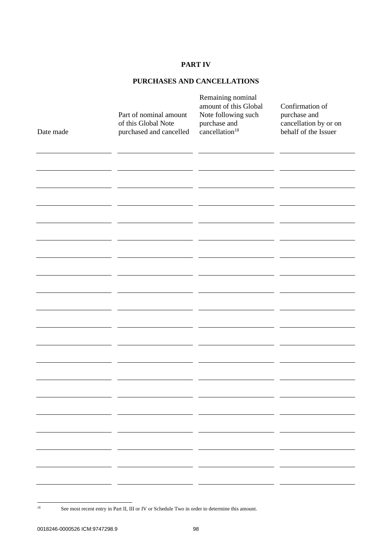# **PART IV**

# **PURCHASES AND CANCELLATIONS**

| Date made | Part of nominal amount<br>of this Global Note<br>purchased and cancelled | Remaining nominal<br>amount of this Global<br>Note following such<br>purchase and<br>cancellation <sup>18</sup> | Confirmation of<br>purchase and<br>cancellation by or on<br>behalf of the Issuer |
|-----------|--------------------------------------------------------------------------|-----------------------------------------------------------------------------------------------------------------|----------------------------------------------------------------------------------|
|           |                                                                          |                                                                                                                 |                                                                                  |
|           |                                                                          |                                                                                                                 |                                                                                  |
|           |                                                                          |                                                                                                                 |                                                                                  |
|           |                                                                          |                                                                                                                 |                                                                                  |
|           |                                                                          |                                                                                                                 |                                                                                  |
|           |                                                                          |                                                                                                                 |                                                                                  |
|           |                                                                          |                                                                                                                 |                                                                                  |
|           |                                                                          |                                                                                                                 |                                                                                  |
|           |                                                                          |                                                                                                                 |                                                                                  |
|           |                                                                          |                                                                                                                 |                                                                                  |
|           |                                                                          |                                                                                                                 |                                                                                  |
|           |                                                                          |                                                                                                                 |                                                                                  |

<sup>&</sup>lt;sup>18</sup> See most recent entry in Part II, III or IV or Schedule Two in order to determine this amount.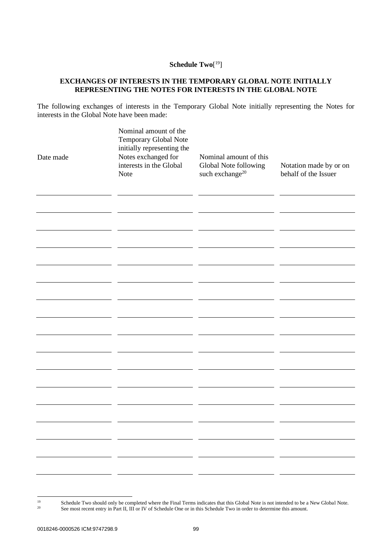# **Schedule Two**[ 19]

# **EXCHANGES OF INTERESTS IN THE TEMPORARY GLOBAL NOTE INITIALLY REPRESENTING THE NOTES FOR INTERESTS IN THE GLOBAL NOTE**

The following exchanges of interests in the Temporary Global Note initially representing the Notes for interests in the Global Note have been made:

| Date made | Nominal amount of the<br>Temporary Global Note<br>initially representing the<br>Notes exchanged for<br>interests in the Global<br><b>Note</b> | Nominal amount of this<br>Global Note following<br>such exchange $^{20}$ | Notation made by or on<br>behalf of the Issuer |
|-----------|-----------------------------------------------------------------------------------------------------------------------------------------------|--------------------------------------------------------------------------|------------------------------------------------|
|           |                                                                                                                                               |                                                                          |                                                |
|           |                                                                                                                                               |                                                                          |                                                |
|           |                                                                                                                                               |                                                                          |                                                |
|           |                                                                                                                                               |                                                                          |                                                |
|           |                                                                                                                                               |                                                                          |                                                |
|           |                                                                                                                                               |                                                                          |                                                |
|           |                                                                                                                                               |                                                                          |                                                |
|           |                                                                                                                                               |                                                                          |                                                |
|           |                                                                                                                                               |                                                                          |                                                |

<sup>&</sup>lt;sup>19</sup> Schedule Two should only be completed where the Final Terms indicates that this Global Note is not intended to be a New Global Note. <sup>20</sup> See most recent entry in Part II, III or IV of Schedule One or in this Schedule Two in order to determine this amount.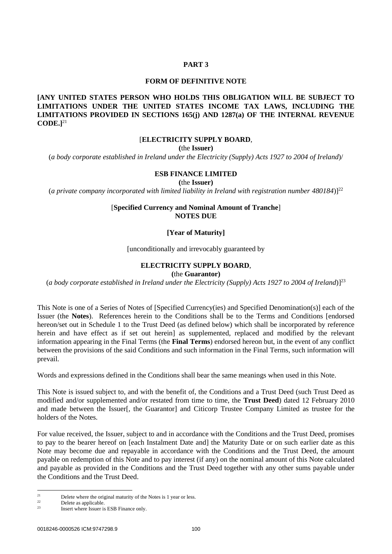# **PART 3**

#### **FORM OF DEFINITIVE NOTE**

# <span id="page-102-0"></span>**[ANY UNITED STATES PERSON WHO HOLDS THIS OBLIGATION WILL BE SUBJECT TO LIMITATIONS UNDER THE UNITED STATES INCOME TAX LAWS, INCLUDING THE LIMITATIONS PROVIDED IN SECTIONS 165(j) AND 1287(a) OF THE INTERNAL REVENUE CODE.]**<sup>21</sup>

# [**ELECTRICITY SUPPLY BOARD**,

**(**the **Issuer)**

(*a body corporate established in Ireland under the Electricity (Supply) Acts 1927 to 2004 of Ireland*)/

#### **ESB FINANCE LIMITED**

**(**the **Issuer)**

(*a private company incorporated with limited liability in Ireland with registration number 480184*)]<sup>22</sup>

### [**Specified Currency and Nominal Amount of Tranche**] **NOTES DUE**

#### **[Year of Maturity]**

[unconditionally and irrevocably guaranteed by

# **ELECTRICITY SUPPLY BOARD**,

#### **(**the **Guarantor)**

(*a body corporate established in Ireland under the Electricity (Supply) Acts 1927 to 2004 of Ireland*)]<sup>23</sup>

This Note is one of a Series of Notes of [Specified Currency(ies) and Specified Denomination(s)] each of the Issuer (the **Notes**). References herein to the Conditions shall be to the Terms and Conditions [endorsed hereon/set out in [Schedule 1](#page-42-0) to the Trust Deed (as defined below) which shall be incorporated by reference herein and have effect as if set out herein] as supplemented, replaced and modified by the relevant information appearing in the Final Terms (the **Final Terms**) endorsed hereon but, in the event of any conflict between the provisions of the said Conditions and such information in the Final Terms, such information will prevail.

Words and expressions defined in the Conditions shall bear the same meanings when used in this Note.

This Note is issued subject to, and with the benefit of, the Conditions and a Trust Deed (such Trust Deed as modified and/or supplemented and/or restated from time to time, the **Trust Deed**) dated 12 February 2010 and made between the Issuer[, the Guarantor] and Citicorp Trustee Company Limited as trustee for the holders of the Notes.

For value received, the Issuer, subject to and in accordance with the Conditions and the Trust Deed, promises to pay to the bearer hereof on [each Instalment Date and] the Maturity Date or on such earlier date as this Note may become due and repayable in accordance with the Conditions and the Trust Deed, the amount payable on redemption of this Note and to pay interest (if any) on the nominal amount of this Note calculated and payable as provided in the Conditions and the Trust Deed together with any other sums payable under the Conditions and the Trust Deed.

 $21$  Delete where the original maturity of the Notes is 1 year or less.

 $22$  Delete as applicable.

Insert where Issuer is ESB Finance only.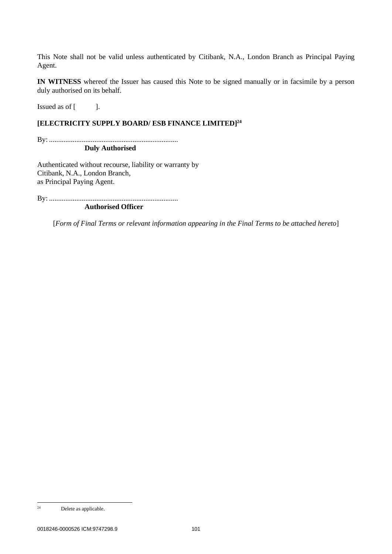This Note shall not be valid unless authenticated by Citibank, N.A., London Branch as Principal Paying Agent.

**IN WITNESS** whereof the Issuer has caused this Note to be signed manually or in facsimile by a person duly authorised on its behalf.

Issued as of [ ].

## **[ELECTRICITY SUPPLY BOARD/ ESB FINANCE LIMITED] 24**

By: ....................................................................... **Duly Authorised**

Authenticated without recourse, liability or warranty by Citibank, N.A., London Branch, as Principal Paying Agent.

By: .......................................................................

**Authorised Officer**

[*Form of Final Terms or relevant information appearing in the Final Terms to be attached hereto*]

 $24$  Delete as applicable.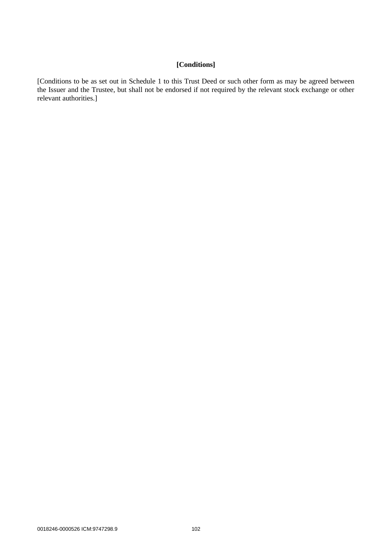# **[Conditions]**

[Conditions to be as set out in [Schedule 1](#page-42-0) to this Trust Deed or such other form as may be agreed between the Issuer and the Trustee, but shall not be endorsed if not required by the relevant stock exchange or other relevant authorities.]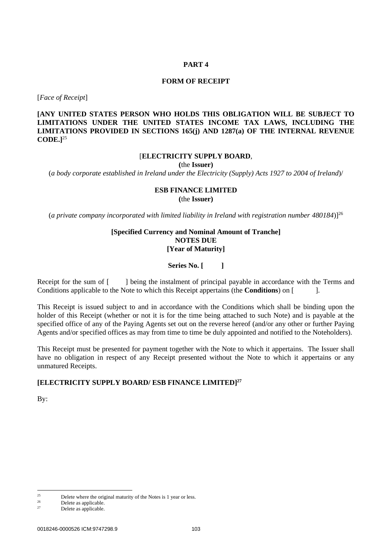## **PART 4**

#### **FORM OF RECEIPT**

<span id="page-105-0"></span>[*Face of Receipt*]

**[ANY UNITED STATES PERSON WHO HOLDS THIS OBLIGATION WILL BE SUBJECT TO LIMITATIONS UNDER THE UNITED STATES INCOME TAX LAWS, INCLUDING THE LIMITATIONS PROVIDED IN SECTIONS 165(j) AND 1287(a) OF THE INTERNAL REVENUE CODE.]**<sup>25</sup>

### [**ELECTRICITY SUPPLY BOARD**,

**(**the **Issuer)**

(*a body corporate established in Ireland under the Electricity (Supply) Acts 1927 to 2004 of Ireland*)/

# **ESB FINANCE LIMITED (**the **Issuer)**

(*a private company incorporated with limited liability in Ireland with registration number 480184*)]<sup>26</sup>

# **[Specified Currency and Nominal Amount of Tranche] NOTES DUE [Year of Maturity]**

**Series No. [ ]**

Receipt for the sum of [ ] being the instalment of principal payable in accordance with the Terms and Conditions applicable to the Note to which this Receipt appertains (the **Conditions**) on [ ].

This Receipt is issued subject to and in accordance with the Conditions which shall be binding upon the holder of this Receipt (whether or not it is for the time being attached to such Note) and is payable at the specified office of any of the Paying Agents set out on the reverse hereof (and/or any other or further Paying Agents and/or specified offices as may from time to time be duly appointed and notified to the Noteholders).

This Receipt must be presented for payment together with the Note to which it appertains. The Issuer shall have no obligation in respect of any Receipt presented without the Note to which it appertains or any unmatured Receipts.

# **[ELECTRICITY SUPPLY BOARD/ ESB FINANCE LIMITED] 27**

By:

 $\frac{25}{26}$  Delete where the original maturity of the Notes is 1 year or less.

 $26$  Delete as applicable.

Delete as applicable.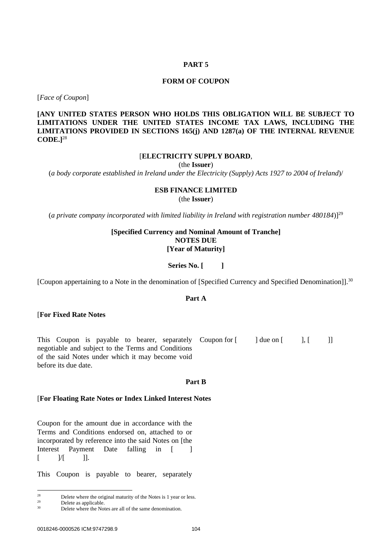#### **PART 5**

# **FORM OF COUPON**

<span id="page-106-0"></span>[*Face of Coupon*]

**[ANY UNITED STATES PERSON WHO HOLDS THIS OBLIGATION WILL BE SUBJECT TO LIMITATIONS UNDER THE UNITED STATES INCOME TAX LAWS, INCLUDING THE LIMITATIONS PROVIDED IN SECTIONS 165(j) AND 1287(a) OF THE INTERNAL REVENUE CODE.]**<sup>28</sup>

### [**ELECTRICITY SUPPLY BOARD**,

(the **Issuer**)

(*a body corporate established in Ireland under the Electricity (Supply) Acts 1927 to 2004 of Ireland*)/

### **ESB FINANCE LIMITED** (the **Issuer**)

(*a private company incorporated with limited liability in Ireland with registration number 480184*)]<sup>29</sup>

# **[Specified Currency and Nominal Amount of Tranche] NOTES DUE [Year of Maturity]**

**Series No. [ ]**

[Coupon appertaining to a Note in the denomination of [Specified Currency and Specified Denomination]].<sup>30</sup>

## **Part A**

#### [**For Fixed Rate Notes**

This Coupon is payable to bearer, separately negotiable and subject to the Terms and Conditions of the said Notes under which it may become void before its due date. Coupon for  $[$  ] due on  $[$  ],  $[$  ]]

#### **Part B**

#### [**For Floating Rate Notes or Index Linked Interest Notes**

Coupon for the amount due in accordance with the Terms and Conditions endorsed on, attached to or incorporated by reference into the said Notes on [the Interest Payment Date falling in [ ]  $[$   $]/[$   $]$ .

This Coupon is payable to bearer, separately

 $28$  Delete where the original maturity of the Notes is 1 year or less.

 $29$  Delete as applicable.

Delete where the Notes are all of the same denomination.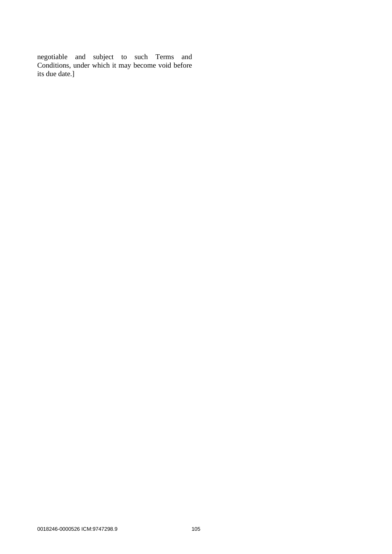negotiable and subject to such Terms and Conditions, under which it may become void before its due date.]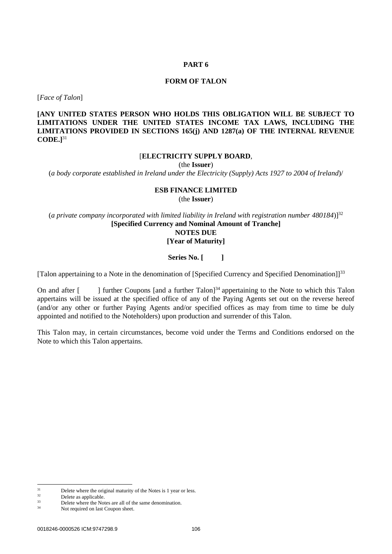#### **PART 6**

#### **FORM OF TALON**

[*Face of Talon*]

**[ANY UNITED STATES PERSON WHO HOLDS THIS OBLIGATION WILL BE SUBJECT TO LIMITATIONS UNDER THE UNITED STATES INCOME TAX LAWS, INCLUDING THE LIMITATIONS PROVIDED IN SECTIONS 165(j) AND 1287(a) OF THE INTERNAL REVENUE CODE.]**<sup>31</sup>

#### [**ELECTRICITY SUPPLY BOARD**,

(the **Issuer**)

(*a body corporate established in Ireland under the Electricity (Supply) Acts 1927 to 2004 of Ireland*)/

#### **ESB FINANCE LIMITED** (the **Issuer**)

(*a private company incorporated with limited liability in Ireland with registration number 480184*)]<sup>32</sup> **[Specified Currency and Nominal Amount of Tranche] NOTES DUE [Year of Maturity]**

#### **Series No. [ ]**

[Talon appertaining to a Note in the denomination of [Specified Currency and Specified Denomination]]<sup>33</sup>

On and after [ ] further Coupons [and a further Talon]<sup>34</sup> appertaining to the Note to which this Talon appertains will be issued at the specified office of any of the Paying Agents set out on the reverse hereof (and/or any other or further Paying Agents and/or specified offices as may from time to time be duly appointed and notified to the Noteholders) upon production and surrender of this Talon.

This Talon may, in certain circumstances, become void under the Terms and Conditions endorsed on the Note to which this Talon appertains.

 $31$  Delete where the original maturity of the Notes is 1 year or less.

 $32$  Delete as applicable.

 $33$  Delete where the Notes are all of the same denomination.

Not required on last Coupon sheet.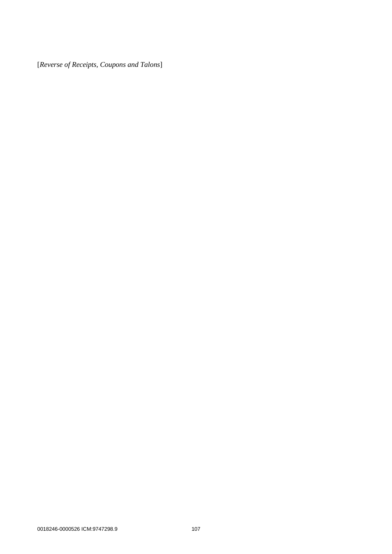[*Reverse of Receipts, Coupons and Talons*]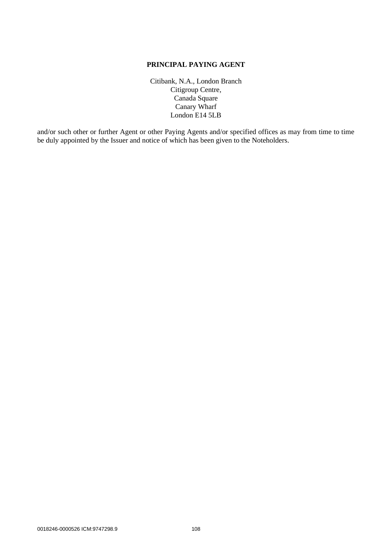## **PRINCIPAL PAYING AGENT**

Citibank, N.A., London Branch Citigroup Centre, Canada Square Canary Wharf London E14 5LB

and/or such other or further Agent or other Paying Agents and/or specified offices as may from time to time be duly appointed by the Issuer and notice of which has been given to the Noteholders.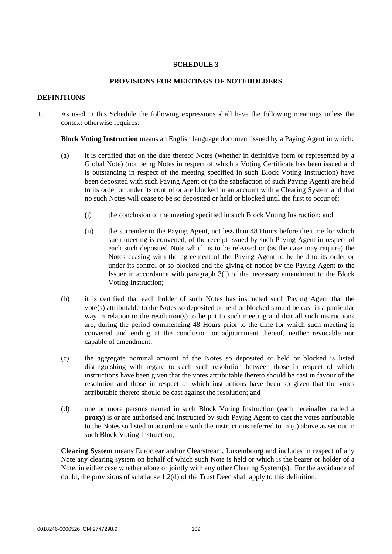## **SCHEDULE 3**

### **PROVISIONS FOR MEETINGS OF NOTEHOLDERS**

#### **DEFINITIONS**

1. As used in this Schedule the following expressions shall have the following meanings unless the context otherwise requires:

**Block Voting Instruction** means an English language document issued by a Paying Agent in which:

- (a) it is certified that on the date thereof Notes (whether in definitive form or represented by a Global Note) (not being Notes in respect of which a Voting Certificate has been issued and is outstanding in respect of the meeting specified in such Block Voting Instruction) have been deposited with such Paying Agent or (to the satisfaction of such Paying Agent) are held to its order or under its control or are blocked in an account with a Clearing System and that no such Notes will cease to be so deposited or held or blocked until the first to occur of:
	- (i) the conclusion of the meeting specified in such Block Voting Instruction; and
	- (ii) the surrender to the Paying Agent, not less than 48 Hours before the time for which such meeting is convened, of the receipt issued by such Paying Agent in respect of each such deposited Note which is to be released or (as the case may require) the Notes ceasing with the agreement of the Paying Agent to be held to its order or under its control or so blocked and the giving of notice by the Paying Agent to the Issuer in accordance with paragraph [3\(f\)](#page-115-0) of the necessary amendment to the Block Voting Instruction;
- (b) it is certified that each holder of such Notes has instructed such Paying Agent that the vote(s) attributable to the Notes so deposited or held or blocked should be cast in a particular way in relation to the resolution(s) to be put to such meeting and that all such instructions are, during the period commencing 48 Hours prior to the time for which such meeting is convened and ending at the conclusion or adjournment thereof, neither revocable nor capable of amendment;
- <span id="page-111-0"></span>(c) the aggregate nominal amount of the Notes so deposited or held or blocked is listed distinguishing with regard to each such resolution between those in respect of which instructions have been given that the votes attributable thereto should be cast in favour of the resolution and those in respect of which instructions have been so given that the votes attributable thereto should be cast against the resolution; and
- (d) one or more persons named in such Block Voting Instruction (each hereinafter called a **proxy**) is or are authorised and instructed by such Paying Agent to cast the votes attributable to the Notes so listed in accordance with the instructions referred to in [\(c\) above](#page-111-0) as set out in such Block Voting Instruction;

**Clearing System** means Euroclear and/or Clearstream, Luxembourg and includes in respect of any Note any clearing system on behalf of which such Note is held or which is the bearer or holder of a Note, in either case whether alone or jointly with any other Clearing System(s). For the avoidance of doubt, the provisions of subclause 1.2(d) of the Trust Deed shall apply to this definition;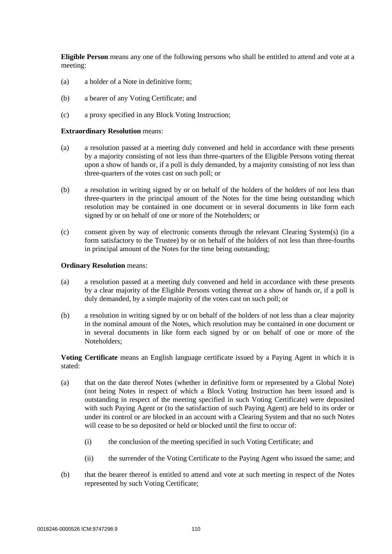**Eligible Person** means any one of the following persons who shall be entitled to attend and vote at a meeting:

- (a) a holder of a Note in definitive form;
- (b) a bearer of any Voting Certificate; and
- (c) a proxy specified in any Block Voting Instruction;

#### **Extraordinary Resolution** means:

- (a) a resolution passed at a meeting duly convened and held in accordance with these presents by a majority consisting of not less than three-quarters of the Eligible Persons voting thereat upon a show of hands or, if a poll is duly demanded, by a majority consisting of not less than three-quarters of the votes cast on such poll; or
- (b) a resolution in writing signed by or on behalf of the holders of the holders of not less than three-quarters in the principal amount of the Notes for the time being outstanding which resolution may be contained in one document or in several documents in like form each signed by or on behalf of one or more of the Noteholders; or
- (c) consent given by way of electronic consents through the relevant Clearing System(s) (in a form satisfactory to the Trustee) by or on behalf of the holders of not less than three-fourths in principal amount of the Notes for the time being outstanding;

#### **Ordinary Resolution** means:

- (a) a resolution passed at a meeting duly convened and held in accordance with these presents by a clear majority of the Eligible Persons voting thereat on a show of hands or, if a poll is duly demanded, by a simple majority of the votes cast on such poll; or
- (b) a resolution in writing signed by or on behalf of the holders of not less than a clear majority in the nominal amount of the Notes, which resolution may be contained in one document or in several documents in like form each signed by or on behalf of one or more of the Noteholders;

**Voting Certificate** means an English language certificate issued by a Paying Agent in which it is stated:

- (a) that on the date thereof Notes (whether in definitive form or represented by a Global Note) (not being Notes in respect of which a Block Voting Instruction has been issued and is outstanding in respect of the meeting specified in such Voting Certificate) were deposited with such Paying Agent or (to the satisfaction of such Paying Agent) are held to its order or under its control or are blocked in an account with a Clearing System and that no such Notes will cease to be so deposited or held or blocked until the first to occur of:
	- (i) the conclusion of the meeting specified in such Voting Certificate; and
	- (ii) the surrender of the Voting Certificate to the Paying Agent who issued the same; and
- (b) that the bearer thereof is entitled to attend and vote at such meeting in respect of the Notes represented by such Voting Certificate;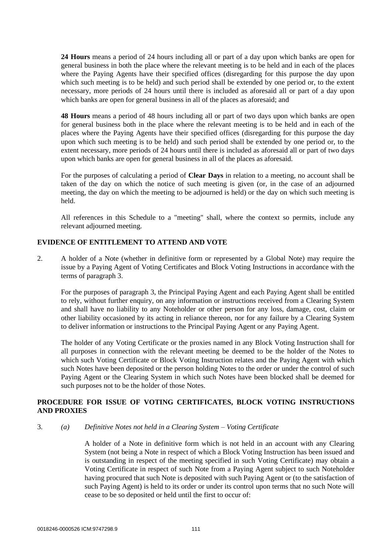**24 Hours** means a period of 24 hours including all or part of a day upon which banks are open for general business in both the place where the relevant meeting is to be held and in each of the places where the Paying Agents have their specified offices (disregarding for this purpose the day upon which such meeting is to be held) and such period shall be extended by one period or, to the extent necessary, more periods of 24 hours until there is included as aforesaid all or part of a day upon which banks are open for general business in all of the places as aforesaid; and

**48 Hours** means a period of 48 hours including all or part of two days upon which banks are open for general business both in the place where the relevant meeting is to be held and in each of the places where the Paying Agents have their specified offices (disregarding for this purpose the day upon which such meeting is to be held) and such period shall be extended by one period or, to the extent necessary, more periods of 24 hours until there is included as aforesaid all or part of two days upon which banks are open for general business in all of the places as aforesaid.

For the purposes of calculating a period of **Clear Days** in relation to a meeting, no account shall be taken of the day on which the notice of such meeting is given (or, in the case of an adjourned meeting, the day on which the meeting to be adjourned is held) or the day on which such meeting is held.

All references in this Schedule to a "meeting" shall, where the context so permits, include any relevant adjourned meeting.

## **EVIDENCE OF ENTITLEMENT TO ATTEND AND VOTE**

2. A holder of a Note (whether in definitive form or represented by a Global Note) may require the issue by a Paying Agent of Voting Certificates and Block Voting Instructions in accordance with the terms of paragraph [3.](#page-113-0)

For the purposes of paragraph [3,](#page-113-0) the Principal Paying Agent and each Paying Agent shall be entitled to rely, without further enquiry, on any information or instructions received from a Clearing System and shall have no liability to any Noteholder or other person for any loss, damage, cost, claim or other liability occasioned by its acting in reliance thereon, nor for any failure by a Clearing System to deliver information or instructions to the Principal Paying Agent or any Paying Agent.

The holder of any Voting Certificate or the proxies named in any Block Voting Instruction shall for all purposes in connection with the relevant meeting be deemed to be the holder of the Notes to which such Voting Certificate or Block Voting Instruction relates and the Paying Agent with which such Notes have been deposited or the person holding Notes to the order or under the control of such Paying Agent or the Clearing System in which such Notes have been blocked shall be deemed for such purposes not to be the holder of those Notes.

## **PROCEDURE FOR ISSUE OF VOTING CERTIFICATES, BLOCK VOTING INSTRUCTIONS AND PROXIES**

### <span id="page-113-0"></span>3. *(a) Definitive Notes not held in a Clearing System – Voting Certificate*

A holder of a Note in definitive form which is not held in an account with any Clearing System (not being a Note in respect of which a Block Voting Instruction has been issued and is outstanding in respect of the meeting specified in such Voting Certificate) may obtain a Voting Certificate in respect of such Note from a Paying Agent subject to such Noteholder having procured that such Note is deposited with such Paying Agent or (to the satisfaction of such Paying Agent) is held to its order or under its control upon terms that no such Note will cease to be so deposited or held until the first to occur of: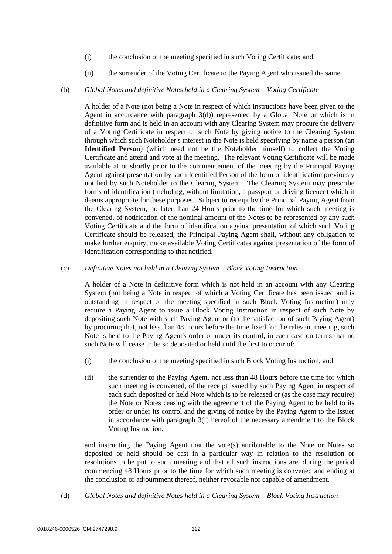- (i) the conclusion of the meeting specified in such Voting Certificate; and
- (ii) the surrender of the Voting Certificate to the Paying Agent who issued the same.

### (b) *Global Notes and definitive Notes held in a Clearing System – Voting Certificate*

A holder of a Note (not being a Note in respect of which instructions have been given to the Agent in accordance with paragraph [3](#page-113-0)[\(d\)\)](#page-114-0) represented by a Global Note or which is in definitive form and is held in an account with any Clearing System may procure the delivery of a Voting Certificate in respect of such Note by giving notice to the Clearing System through which such Noteholder's interest in the Note is held specifying by name a person (an **Identified Person**) (which need not be the Noteholder himself) to collect the Voting Certificate and attend and vote at the meeting. The relevant Voting Certificate will be made available at or shortly prior to the commencement of the meeting by the Principal Paying Agent against presentation by such Identified Person of the form of identification previously notified by such Noteholder to the Clearing System. The Clearing System may prescribe forms of identification (including, without limitation, a passport or driving licence) which it deems appropriate for these purposes. Subject to receipt by the Principal Paying Agent from the Clearing System, no later than 24 Hours prior to the time for which such meeting is convened, of notification of the nominal amount of the Notes to be represented by any such Voting Certificate and the form of identification against presentation of which such Voting Certificate should be released, the Principal Paying Agent shall, without any obligation to make further enquiry, make available Voting Certificates against presentation of the form of identification corresponding to that notified.

#### (c) *Definitive Notes not held in a Clearing System – Block Voting Instruction*

A holder of a Note in definitive form which is not held in an account with any Clearing System (not being a Note in respect of which a Voting Certificate has been issued and is outstanding in respect of the meeting specified in such Block Voting Instruction) may require a Paying Agent to issue a Block Voting Instruction in respect of such Note by depositing such Note with such Paying Agent or (to the satisfaction of such Paying Agent) by procuring that, not less than 48 Hours before the time fixed for the relevant meeting, such Note is held to the Paying Agent's order or under its control, in each case on terms that no such Note will cease to be so deposited or held until the first to occur of:

- (i) the conclusion of the meeting specified in such Block Voting Instruction; and
- (ii) the surrender to the Paying Agent, not less than 48 Hours before the time for which such meeting is convened, of the receipt issued by such Paying Agent in respect of each such deposited or held Note which is to be released or (as the case may require) the Note or Notes ceasing with the agreement of the Paying Agent to be held to its order or under its control and the giving of notice by the Paying Agent to the Issuer in accordance with paragraph [3](#page-113-0)[\(f\)](#page-115-0) hereof of the necessary amendment to the Block Voting Instruction;

and instructing the Paying Agent that the vote(s) attributable to the Note or Notes so deposited or held should be cast in a particular way in relation to the resolution or resolutions to be put to such meeting and that all such instructions are, during the period commencing 48 Hours prior to the time for which such meeting is convened and ending at the conclusion or adjournment thereof, neither revocable nor capable of amendment.

<span id="page-114-0"></span>(d) *Global Notes and definitive Notes held in a Clearing System – Block Voting Instruction*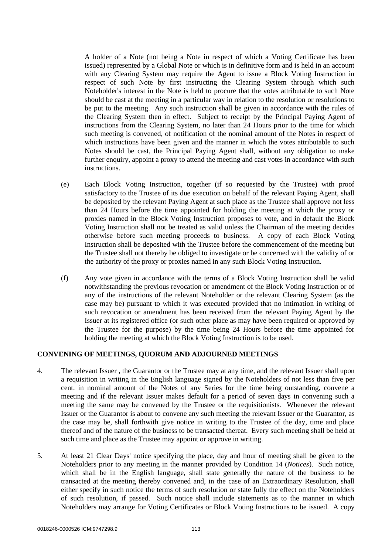A holder of a Note (not being a Note in respect of which a Voting Certificate has been issued) represented by a Global Note or which is in definitive form and is held in an account with any Clearing System may require the Agent to issue a Block Voting Instruction in respect of such Note by first instructing the Clearing System through which such Noteholder's interest in the Note is held to procure that the votes attributable to such Note should be cast at the meeting in a particular way in relation to the resolution or resolutions to be put to the meeting. Any such instruction shall be given in accordance with the rules of the Clearing System then in effect. Subject to receipt by the Principal Paying Agent of instructions from the Clearing System, no later than 24 Hours prior to the time for which such meeting is convened, of notification of the nominal amount of the Notes in respect of which instructions have been given and the manner in which the votes attributable to such Notes should be cast, the Principal Paying Agent shall, without any obligation to make further enquiry, appoint a proxy to attend the meeting and cast votes in accordance with such instructions.

- (e) Each Block Voting Instruction, together (if so requested by the Trustee) with proof satisfactory to the Trustee of its due execution on behalf of the relevant Paying Agent, shall be deposited by the relevant Paying Agent at such place as the Trustee shall approve not less than 24 Hours before the time appointed for holding the meeting at which the proxy or proxies named in the Block Voting Instruction proposes to vote, and in default the Block Voting Instruction shall not be treated as valid unless the Chairman of the meeting decides otherwise before such meeting proceeds to business. A copy of each Block Voting Instruction shall be deposited with the Trustee before the commencement of the meeting but the Trustee shall not thereby be obliged to investigate or be concerned with the validity of or the authority of the proxy or proxies named in any such Block Voting Instruction.
- <span id="page-115-0"></span>(f) Any vote given in accordance with the terms of a Block Voting Instruction shall be valid notwithstanding the previous revocation or amendment of the Block Voting Instruction or of any of the instructions of the relevant Noteholder or the relevant Clearing System (as the case may be) pursuant to which it was executed provided that no intimation in writing of such revocation or amendment has been received from the relevant Paying Agent by the Issuer at its registered office (or such other place as may have been required or approved by the Trustee for the purpose) by the time being 24 Hours before the time appointed for holding the meeting at which the Block Voting Instruction is to be used.

#### <span id="page-115-2"></span>**CONVENING OF MEETINGS, QUORUM AND ADJOURNED MEETINGS**

- 4. The relevant Issuer , the Guarantor or the Trustee may at any time, and the relevant Issuer shall upon a requisition in writing in the English language signed by the Noteholders of not less than five per cent. in nominal amount of the Notes of any Series for the time being outstanding, convene a meeting and if the relevant Issuer makes default for a period of seven days in convening such a meeting the same may be convened by the Trustee or the requisitionists. Whenever the relevant Issuer or the Guarantor is about to convene any such meeting the relevant Issuer or the Guarantor, as the case may be, shall forthwith give notice in writing to the Trustee of the day, time and place thereof and of the nature of the business to be transacted thereat. Every such meeting shall be held at such time and place as the Trustee may appoint or approve in writing.
- <span id="page-115-1"></span>5. At least 21 Clear Days' notice specifying the place, day and hour of meeting shall be given to the Noteholders prior to any meeting in the manner provided by Condition 14 (*Notices*). Such notice, which shall be in the English language, shall state generally the nature of the business to be transacted at the meeting thereby convened and, in the case of an Extraordinary Resolution, shall either specify in such notice the terms of such resolution or state fully the effect on the Noteholders of such resolution, if passed. Such notice shall include statements as to the manner in which Noteholders may arrange for Voting Certificates or Block Voting Instructions to be issued. A copy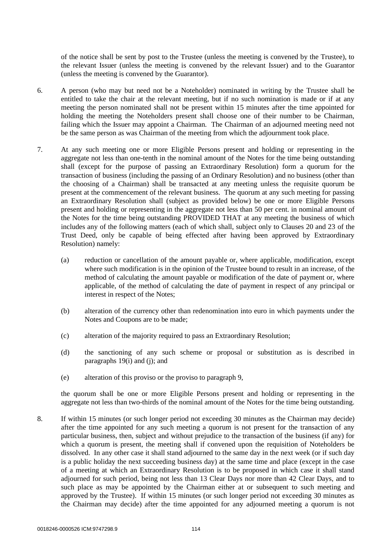of the notice shall be sent by post to the Trustee (unless the meeting is convened by the Trustee), to the relevant Issuer (unless the meeting is convened by the relevant Issuer) and to the Guarantor (unless the meeting is convened by the Guarantor).

- 6. A person (who may but need not be a Noteholder) nominated in writing by the Trustee shall be entitled to take the chair at the relevant meeting, but if no such nomination is made or if at any meeting the person nominated shall not be present within 15 minutes after the time appointed for holding the meeting the Noteholders present shall choose one of their number to be Chairman, failing which the Issuer may appoint a Chairman. The Chairman of an adjourned meeting need not be the same person as was Chairman of the meeting from which the adjournment took place.
- <span id="page-116-0"></span>7. At any such meeting one or more Eligible Persons present and holding or representing in the aggregate not less than one-tenth in the nominal amount of the Notes for the time being outstanding shall (except for the purpose of passing an Extraordinary Resolution) form a quorum for the transaction of business (including the passing of an Ordinary Resolution) and no business (other than the choosing of a Chairman) shall be transacted at any meeting unless the requisite quorum be present at the commencement of the relevant business. The quorum at any such meeting for passing an Extraordinary Resolution shall (subject as provided below) be one or more Eligible Persons present and holding or representing in the aggregate not less than 50 per cent. in nominal amount of the Notes for the time being outstanding PROVIDED THAT at any meeting the business of which includes any of the following matters (each of which shall, subject only to Clauses 20 and 23 of the Trust Deed, only be capable of being effected after having been approved by Extraordinary Resolution) namely:
	- (a) reduction or cancellation of the amount payable or, where applicable, modification, except where such modification is in the opinion of the Trustee bound to result in an increase, of the method of calculating the amount payable or modification of the date of payment or, where applicable, of the method of calculating the date of payment in respect of any principal or interest in respect of the Notes;
	- (b) alteration of the currency other than redenomination into euro in which payments under the Notes and Coupons are to be made;
	- (c) alteration of the majority required to pass an Extraordinary Resolution;
	- (d) the sanctioning of any such scheme or proposal or substitution as is described in paragraphs [19](#page-118-0)[\(i\)](#page-119-0) and [\(j\);](#page-119-1) and
	- (e) alteration of this proviso or the proviso to paragraph [9,](#page-117-0)

the quorum shall be one or more Eligible Persons present and holding or representing in the aggregate not less than two-thirds of the nominal amount of the Notes for the time being outstanding.

8. If within 15 minutes (or such longer period not exceeding 30 minutes as the Chairman may decide) after the time appointed for any such meeting a quorum is not present for the transaction of any particular business, then, subject and without prejudice to the transaction of the business (if any) for which a quorum is present, the meeting shall if convened upon the requisition of Noteholders be dissolved. In any other case it shall stand adjourned to the same day in the next week (or if such day is a public holiday the next succeeding business day) at the same time and place (except in the case of a meeting at which an Extraordinary Resolution is to be proposed in which case it shall stand adjourned for such period, being not less than 13 Clear Days nor more than 42 Clear Days, and to such place as may be appointed by the Chairman either at or subsequent to such meeting and approved by the Trustee). If within 15 minutes (or such longer period not exceeding 30 minutes as the Chairman may decide) after the time appointed for any adjourned meeting a quorum is not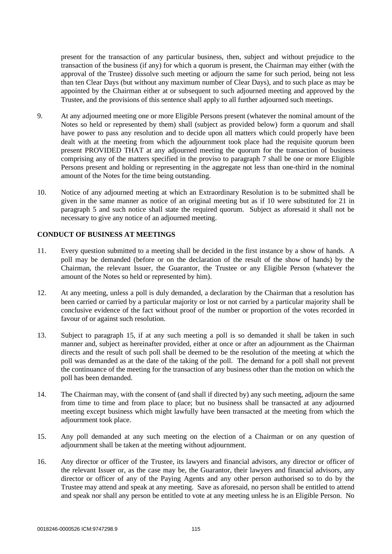present for the transaction of any particular business, then, subject and without prejudice to the transaction of the business (if any) for which a quorum is present, the Chairman may either (with the approval of the Trustee) dissolve such meeting or adjourn the same for such period, being not less than ten Clear Days (but without any maximum number of Clear Days), and to such place as may be appointed by the Chairman either at or subsequent to such adjourned meeting and approved by the Trustee, and the provisions of this sentence shall apply to all further adjourned such meetings.

- <span id="page-117-0"></span>9. At any adjourned meeting one or more Eligible Persons present (whatever the nominal amount of the Notes so held or represented by them) shall (subject as provided below) form a quorum and shall have power to pass any resolution and to decide upon all matters which could properly have been dealt with at the meeting from which the adjournment took place had the requisite quorum been present PROVIDED THAT at any adjourned meeting the quorum for the transaction of business comprising any of the matters specified in the proviso to paragraph [7](#page-116-0) shall be one or more Eligible Persons present and holding or representing in the aggregate not less than one-third in the nominal amount of the Notes for the time being outstanding.
- 10. Notice of any adjourned meeting at which an Extraordinary Resolution is to be submitted shall be given in the same manner as notice of an original meeting but as if 10 were substituted for 21 in paragraph [5](#page-115-1) and such notice shall state the required quorum. Subject as aforesaid it shall not be necessary to give any notice of an adjourned meeting.

## **CONDUCT OF BUSINESS AT MEETINGS**

- 11. Every question submitted to a meeting shall be decided in the first instance by a show of hands. A poll may be demanded (before or on the declaration of the result of the show of hands) by the Chairman, the relevant Issuer, the Guarantor, the Trustee or any Eligible Person (whatever the amount of the Notes so held or represented by him).
- 12. At any meeting, unless a poll is duly demanded, a declaration by the Chairman that a resolution has been carried or carried by a particular majority or lost or not carried by a particular majority shall be conclusive evidence of the fact without proof of the number or proportion of the votes recorded in favour of or against such resolution.
- 13. Subject to paragraph [15,](#page-117-1) if at any such meeting a poll is so demanded it shall be taken in such manner and, subject as hereinafter provided, either at once or after an adjournment as the Chairman directs and the result of such poll shall be deemed to be the resolution of the meeting at which the poll was demanded as at the date of the taking of the poll. The demand for a poll shall not prevent the continuance of the meeting for the transaction of any business other than the motion on which the poll has been demanded.
- 14. The Chairman may, with the consent of (and shall if directed by) any such meeting, adjourn the same from time to time and from place to place; but no business shall be transacted at any adjourned meeting except business which might lawfully have been transacted at the meeting from which the adjournment took place.
- <span id="page-117-1"></span>15. Any poll demanded at any such meeting on the election of a Chairman or on any question of adjournment shall be taken at the meeting without adjournment.
- 16. Any director or officer of the Trustee, its lawyers and financial advisors, any director or officer of the relevant Issuer or, as the case may be, the Guarantor, their lawyers and financial advisors, any director or officer of any of the Paying Agents and any other person authorised so to do by the Trustee may attend and speak at any meeting. Save as aforesaid, no person shall be entitled to attend and speak nor shall any person be entitled to vote at any meeting unless he is an Eligible Person. No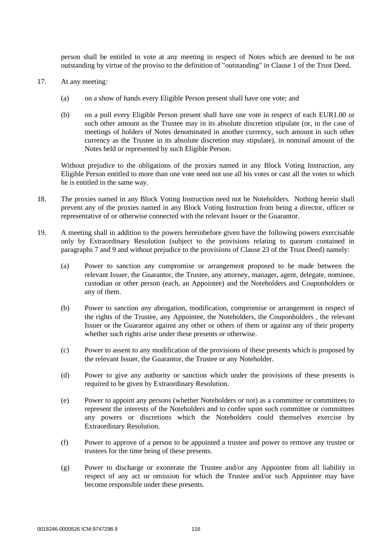person shall be entitled to vote at any meeting in respect of Notes which are deemed to be not outstanding by virtue of the proviso to the definition of "outstanding" in Clause 1 of the Trust Deed.

- <span id="page-118-1"></span>17. At any meeting:
	- (a) on a show of hands every Eligible Person present shall have one vote; and
	- (b) on a poll every Eligible Person present shall have one vote in respect of each EUR1.00 or such other amount as the Trustee may in its absolute discretion stipulate (or, in the case of meetings of holders of Notes denominated in another currency, such amount in such other currency as the Trustee in its absolute discretion may stipulate), in nominal amount of the Notes held or represented by such Eligible Person.

Without prejudice to the obligations of the proxies named in any Block Voting Instruction, any Eligible Person entitled to more than one vote need not use all his votes or cast all the votes to which he is entitled in the same way.

- 18. The proxies named in any Block Voting Instruction need not be Noteholders. Nothing herein shall prevent any of the proxies named in any Block Voting Instruction from being a director, officer or representative of or otherwise connected with the relevant Issuer or the Guarantor.
- <span id="page-118-0"></span>19. A meeting shall in addition to the powers hereinbefore given have the following powers exercisable only by Extraordinary Resolution (subject to the provisions relating to quorum contained in paragraphs [7](#page-116-0) and [9](#page-117-0) and without prejudice to the provisions of Clause 23 of the Trust Deed) namely:
	- (a) Power to sanction any compromise or arrangement proposed to be made between the relevant Issuer, the Guarantor, the Trustee, any attorney, manager, agent, delegate, nominee, custodian or other person (each, an Appointee) and the Noteholders and Couponholders or any of them.
	- (b) Power to sanction any abrogation, modification, compromise or arrangement in respect of the rights of the Trustee, any Appointee, the Noteholders, the Couponholders , the relevant Issuer or the Guarantor against any other or others of them or against any of their property whether such rights arise under these presents or otherwise.
	- (c) Power to assent to any modification of the provisions of these presents which is proposed by the relevant Issuer, the Guarantor, the Trustee or any Noteholder.
	- (d) Power to give any authority or sanction which under the provisions of these presents is required to be given by Extraordinary Resolution.
	- (e) Power to appoint any persons (whether Noteholders or not) as a committee or committees to represent the interests of the Noteholders and to confer upon such committee or committees any powers or discretions which the Noteholders could themselves exercise by Extraordinary Resolution.
	- (f) Power to approve of a person to be appointed a trustee and power to remove any trustee or trustees for the time being of these presents.
	- (g) Power to discharge or exonerate the Trustee and/or any Appointee from all liability in respect of any act or omission for which the Trustee and/or such Appointee may have become responsible under these presents.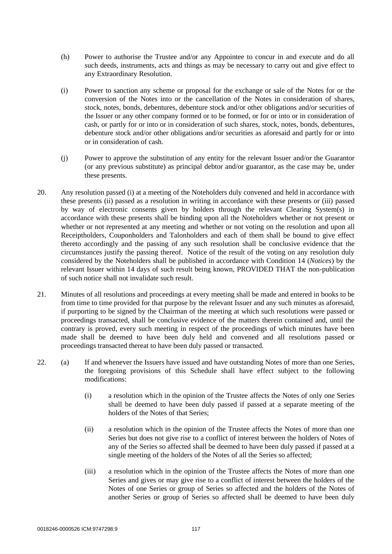- (h) Power to authorise the Trustee and/or any Appointee to concur in and execute and do all such deeds, instruments, acts and things as may be necessary to carry out and give effect to any Extraordinary Resolution.
- <span id="page-119-0"></span>(i) Power to sanction any scheme or proposal for the exchange or sale of the Notes for or the conversion of the Notes into or the cancellation of the Notes in consideration of shares, stock, notes, bonds, debentures, debenture stock and/or other obligations and/or securities of the Issuer or any other company formed or to be formed, or for or into or in consideration of cash, or partly for or into or in consideration of such shares, stock, notes, bonds, debentures, debenture stock and/or other obligations and/or securities as aforesaid and partly for or into or in consideration of cash.
- <span id="page-119-1"></span>(j) Power to approve the substitution of any entity for the relevant Issuer and/or the Guarantor (or any previous substitute) as principal debtor and/or guarantor, as the case may be, under these presents.
- 20. Any resolution passed (i) at a meeting of the Noteholders duly convened and held in accordance with these presents (ii) passed as a resolution in writing in accordance with these presents or (iii) passed by way of electronic consents given by holders through the relevant Clearing System(s) in accordance with these presents shall be binding upon all the Noteholders whether or not present or whether or not represented at any meeting and whether or not voting on the resolution and upon all Receiptholders, Couponholders and Talonholders and each of them shall be bound to give effect thereto accordingly and the passing of any such resolution shall be conclusive evidence that the circumstances justify the passing thereof. Notice of the result of the voting on any resolution duly considered by the Noteholders shall be published in accordance with Condition 14 (*Notices*) by the relevant Issuer within 14 days of such result being known, PROVIDED THAT the non-publication of such notice shall not invalidate such result.
- 21. Minutes of all resolutions and proceedings at every meeting shall be made and entered in books to be from time to time provided for that purpose by the relevant Issuer and any such minutes as aforesaid, if purporting to be signed by the Chairman of the meeting at which such resolutions were passed or proceedings transacted, shall be conclusive evidence of the matters therein contained and, until the contrary is proved, every such meeting in respect of the proceedings of which minutes have been made shall be deemed to have been duly held and convened and all resolutions passed or proceedings transacted thereat to have been duly passed or transacted.
- 22. (a) If and whenever the Issuers have issued and have outstanding Notes of more than one Series, the foregoing provisions of this Schedule shall have effect subject to the following modifications:
	- (i) a resolution which in the opinion of the Trustee affects the Notes of only one Series shall be deemed to have been duly passed if passed at a separate meeting of the holders of the Notes of that Series;
	- (ii) a resolution which in the opinion of the Trustee affects the Notes of more than one Series but does not give rise to a conflict of interest between the holders of Notes of any of the Series so affected shall be deemed to have been duly passed if passed at a single meeting of the holders of the Notes of all the Series so affected;
	- (iii) a resolution which in the opinion of the Trustee affects the Notes of more than one Series and gives or may give rise to a conflict of interest between the holders of the Notes of one Series or group of Series so affected and the holders of the Notes of another Series or group of Series so affected shall be deemed to have been duly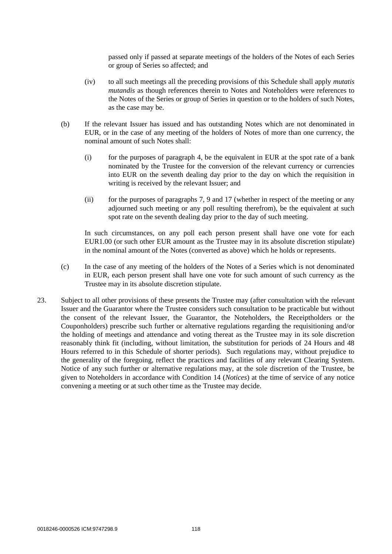passed only if passed at separate meetings of the holders of the Notes of each Series or group of Series so affected; and

- (iv) to all such meetings all the preceding provisions of this Schedule shall apply *mutatis mutandis* as though references therein to Notes and Noteholders were references to the Notes of the Series or group of Series in question or to the holders of such Notes, as the case may be.
- (b) If the relevant Issuer has issued and has outstanding Notes which are not denominated in EUR, or in the case of any meeting of the holders of Notes of more than one currency, the nominal amount of such Notes shall:
	- (i) for the purposes of paragraph [4,](#page-115-2) be the equivalent in EUR at the spot rate of a bank nominated by the Trustee for the conversion of the relevant currency or currencies into EUR on the seventh dealing day prior to the day on which the requisition in writing is received by the relevant Issuer; and
	- (ii) for the purposes of paragraphs [7,](#page-116-0) [9](#page-117-0) and [17](#page-118-1) (whether in respect of the meeting or any adjourned such meeting or any poll resulting therefrom), be the equivalent at such spot rate on the seventh dealing day prior to the day of such meeting.

In such circumstances, on any poll each person present shall have one vote for each EUR1.00 (or such other EUR amount as the Trustee may in its absolute discretion stipulate) in the nominal amount of the Notes (converted as above) which he holds or represents.

- (c) In the case of any meeting of the holders of the Notes of a Series which is not denominated in EUR, each person present shall have one vote for such amount of such currency as the Trustee may in its absolute discretion stipulate.
- 23. Subject to all other provisions of these presents the Trustee may (after consultation with the relevant Issuer and the Guarantor where the Trustee considers such consultation to be practicable but without the consent of the relevant Issuer, the Guarantor, the Noteholders, the Receiptholders or the Couponholders) prescribe such further or alternative regulations regarding the requisitioning and/or the holding of meetings and attendance and voting thereat as the Trustee may in its sole discretion reasonably think fit (including, without limitation, the substitution for periods of 24 Hours and 48 Hours referred to in this Schedule of shorter periods). Such regulations may, without prejudice to the generality of the foregoing, reflect the practices and facilities of any relevant Clearing System. Notice of any such further or alternative regulations may, at the sole discretion of the Trustee, be given to Noteholders in accordance with Condition 14 (*Notices*) at the time of service of any notice convening a meeting or at such other time as the Trustee may decide.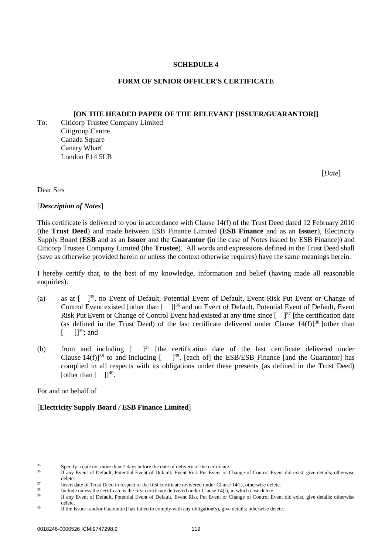## **SCHEDULE 4**

## **FORM OF SENIOR OFFICER'S CERTIFICATE**

## **[ON THE HEADED PAPER OF THE RELEVANT [ISSUER/GUARANTOR]]**

To: Citicorp Trustee Company Limited Citigroup Centre Canada Square Canary Wharf London E14 5LB

<span id="page-121-1"></span><span id="page-121-0"></span>[*Date*]

Dear Sirs

[*Description of Notes*]

This certificate is delivered to you in accordance with Clause 14(f) of the Trust Deed dated 12 February 2010 (the **Trust Deed**) and made between ESB Finance Limited (**ESB Finance** and as an **Issuer**), Electricity Supply Board (**ESB** and as an **Issuer** and the **Guarantor (**in the case of Notes issued by ESB Finance)) and Citicorp Trustee Company Limited (the **Trustee**). All words and expressions defined in the Trust Deed shall (save as otherwise provided herein or unless the context otherwise requires) have the same meanings herein.

I hereby certify that, to the best of my knowledge, information and belief (having made all reasonable enquiries):

- <span id="page-121-2"></span>(a) as at [ ]<sup>35</sup>, no Event of Default, Potential Event of Default, Event Risk Put Event or Change of Control Event existed [other than  $\lceil \quad \rceil$ ]<sup>36</sup> and no Event of Default, Potential Event of Default, Event Risk Put Event or Change of Control Event had existed at any time since  $\left[-\right]^{37}$  [the certification date (as defined in the Trust Deed) of the last certificate delivered under Clause  $14(f)$ <sup>38</sup> [other than  $[$   $]^{39}$ ; and
- (b) from and including  $\left[\begin{array}{cc} 1^{37} \end{array}\right]$  $\left[\begin{array}{cc} 1^{37} \end{array}\right]$  $\left[\begin{array}{cc} 1^{37} \end{array}\right]$  [the certification date of the last certificate delivered under Clause  $14(f)$ <sup>[38](#page-121-1)</sup> to and including  $[-]^{35}$  $[-]^{35}$  $[-]^{35}$ , [each of] the ESB/ESB Finance [and the Guarantor] has complied in all respects with its obligations under these presents (as defined in the Trust Deed) [other than  $[$  ]]<sup>40</sup>.

For and on behalf of

# [**Electricity Supply Board** */* **ESB Finance Limited**]

 $\frac{35}{26}$  Specify a date not more than 7 days before the date of delivery of the certificate.

If any Event of Default, Potential Event of Default, Event Risk Put Event or Change of Control Event did exist, give details; otherwise delete.

<sup>&</sup>lt;sup>37</sup><br>Insert date of Trust Deed in respect of the first certificate delivered under Clause 14(f), otherwise delete.

 $\frac{38}{10}$  Include unless the certificate is the first certificate delivered under Clause 14(f), in which case delete.

If any Event of Default, Potential Event of Default, Event Risk Put Event or Change of Control Event did exist, give details; otherwise delete.

<sup>&</sup>lt;sup>40</sup> If the Issuer [and/or Guarantor] has failed to comply with any obligation(s), give details; otherwise delete.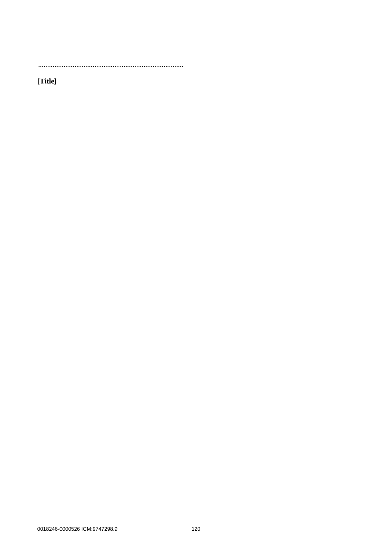[Title]